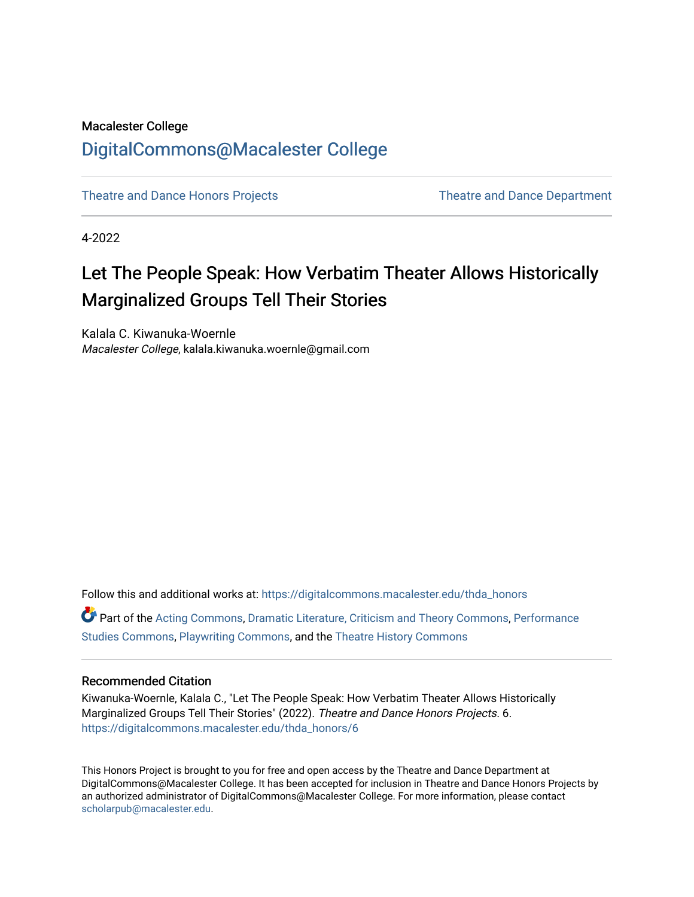## Macalester College [DigitalCommons@Macalester College](https://digitalcommons.macalester.edu/)

[Theatre and Dance Honors Projects](https://digitalcommons.macalester.edu/thda_honors) [Theatre and Dance Department](https://digitalcommons.macalester.edu/theateranddance) 

4-2022

# Let The People Speak: How Verbatim Theater Allows Historically Marginalized Groups Tell Their Stories

Kalala C. Kiwanuka-Woernle Macalester College, kalala.kiwanuka.woernle@gmail.com

Follow this and additional works at: [https://digitalcommons.macalester.edu/thda\\_honors](https://digitalcommons.macalester.edu/thda_honors?utm_source=digitalcommons.macalester.edu%2Fthda_honors%2F6&utm_medium=PDF&utm_campaign=PDFCoverPages) 

Part of the [Acting Commons](https://network.bepress.com/hgg/discipline/1145?utm_source=digitalcommons.macalester.edu%2Fthda_honors%2F6&utm_medium=PDF&utm_campaign=PDFCoverPages), [Dramatic Literature, Criticism and Theory Commons,](https://network.bepress.com/hgg/discipline/555?utm_source=digitalcommons.macalester.edu%2Fthda_honors%2F6&utm_medium=PDF&utm_campaign=PDFCoverPages) [Performance](https://network.bepress.com/hgg/discipline/556?utm_source=digitalcommons.macalester.edu%2Fthda_honors%2F6&utm_medium=PDF&utm_campaign=PDFCoverPages) [Studies Commons,](https://network.bepress.com/hgg/discipline/556?utm_source=digitalcommons.macalester.edu%2Fthda_honors%2F6&utm_medium=PDF&utm_campaign=PDFCoverPages) [Playwriting Commons,](https://network.bepress.com/hgg/discipline/557?utm_source=digitalcommons.macalester.edu%2Fthda_honors%2F6&utm_medium=PDF&utm_campaign=PDFCoverPages) and the [Theatre History Commons](https://network.bepress.com/hgg/discipline/553?utm_source=digitalcommons.macalester.edu%2Fthda_honors%2F6&utm_medium=PDF&utm_campaign=PDFCoverPages) 

#### Recommended Citation

Kiwanuka-Woernle, Kalala C., "Let The People Speak: How Verbatim Theater Allows Historically Marginalized Groups Tell Their Stories" (2022). Theatre and Dance Honors Projects. 6. [https://digitalcommons.macalester.edu/thda\\_honors/6](https://digitalcommons.macalester.edu/thda_honors/6?utm_source=digitalcommons.macalester.edu%2Fthda_honors%2F6&utm_medium=PDF&utm_campaign=PDFCoverPages)

This Honors Project is brought to you for free and open access by the Theatre and Dance Department at DigitalCommons@Macalester College. It has been accepted for inclusion in Theatre and Dance Honors Projects by an authorized administrator of DigitalCommons@Macalester College. For more information, please contact [scholarpub@macalester.edu](mailto:scholarpub@macalester.edu).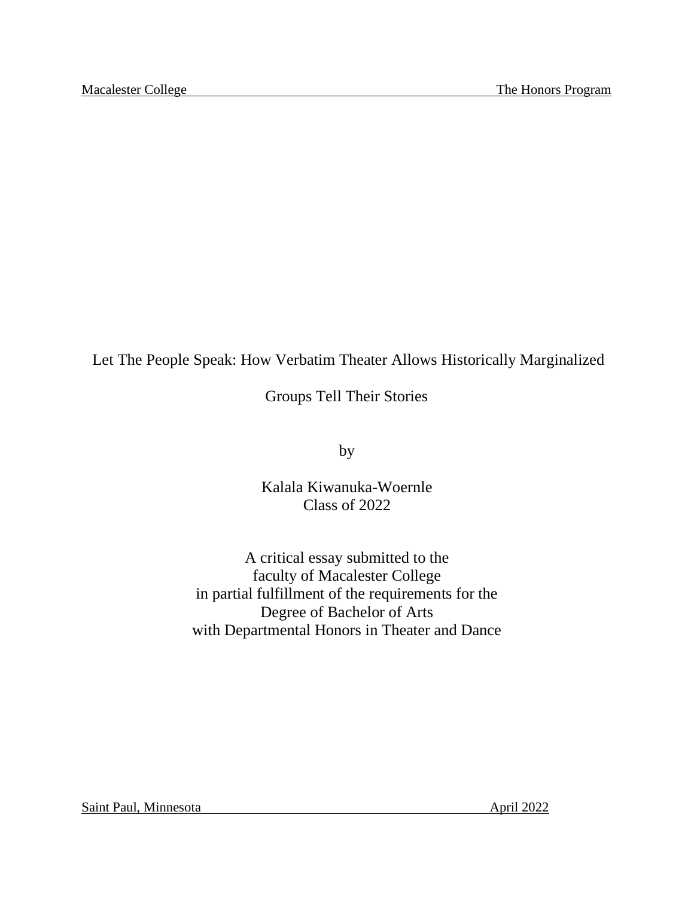## Let The People Speak: How Verbatim Theater Allows Historically Marginalized

Groups Tell Their Stories

by

Kalala Kiwanuka-Woernle Class of 2022

A critical essay submitted to the faculty of Macalester College in partial fulfillment of the requirements for the Degree of Bachelor of Arts with Departmental Honors in Theater and Dance

Saint Paul, Minnesota April 2022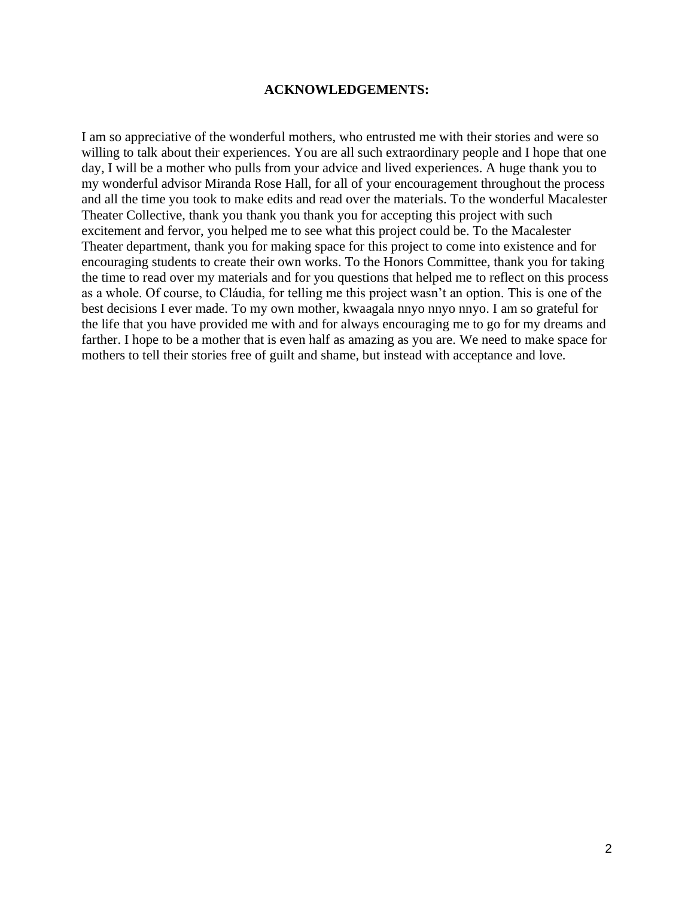#### **ACKNOWLEDGEMENTS:**

I am so appreciative of the wonderful mothers, who entrusted me with their stories and were so willing to talk about their experiences. You are all such extraordinary people and I hope that one day, I will be a mother who pulls from your advice and lived experiences. A huge thank you to my wonderful advisor Miranda Rose Hall, for all of your encouragement throughout the process and all the time you took to make edits and read over the materials. To the wonderful Macalester Theater Collective, thank you thank you thank you for accepting this project with such excitement and fervor, you helped me to see what this project could be. To the Macalester Theater department, thank you for making space for this project to come into existence and for encouraging students to create their own works. To the Honors Committee, thank you for taking the time to read over my materials and for you questions that helped me to reflect on this process as a whole. Of course, to Cláudia, for telling me this project wasn't an option. This is one of the best decisions I ever made. To my own mother, kwaagala nnyo nnyo nnyo. I am so grateful for the life that you have provided me with and for always encouraging me to go for my dreams and farther. I hope to be a mother that is even half as amazing as you are. We need to make space for mothers to tell their stories free of guilt and shame, but instead with acceptance and love.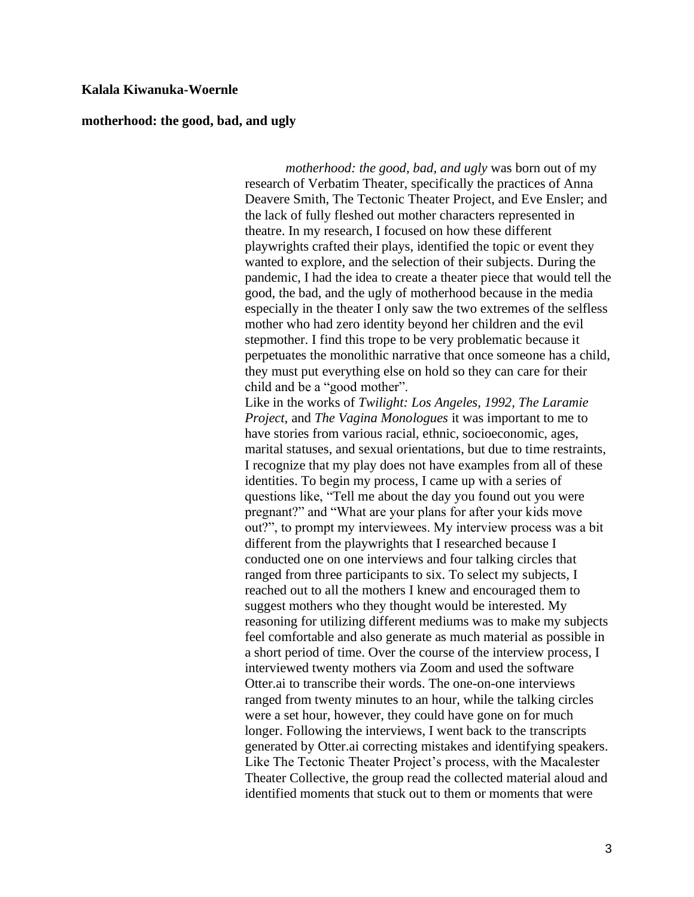#### **Kalala Kiwanuka-Woernle**

#### **motherhood: the good, bad, and ugly**

*motherhood: the good, bad, and ugly* was born out of my research of Verbatim Theater, specifically the practices of Anna Deavere Smith, The Tectonic Theater Project, and Eve Ensler; and the lack of fully fleshed out mother characters represented in theatre. In my research, I focused on how these different playwrights crafted their plays, identified the topic or event they wanted to explore, and the selection of their subjects. During the pandemic, I had the idea to create a theater piece that would tell the good, the bad, and the ugly of motherhood because in the media especially in the theater I only saw the two extremes of the selfless mother who had zero identity beyond her children and the evil stepmother. I find this trope to be very problematic because it perpetuates the monolithic narrative that once someone has a child, they must put everything else on hold so they can care for their child and be a "good mother".

Like in the works of *Twilight: Los Angeles, 1992, The Laramie Project*, and *The Vagina Monologues* it was important to me to have stories from various racial, ethnic, socioeconomic, ages, marital statuses, and sexual orientations, but due to time restraints, I recognize that my play does not have examples from all of these identities. To begin my process, I came up with a series of questions like, "Tell me about the day you found out you were pregnant?" and "What are your plans for after your kids move out?", to prompt my interviewees. My interview process was a bit different from the playwrights that I researched because I conducted one on one interviews and four talking circles that ranged from three participants to six. To select my subjects, I reached out to all the mothers I knew and encouraged them to suggest mothers who they thought would be interested. My reasoning for utilizing different mediums was to make my subjects feel comfortable and also generate as much material as possible in a short period of time. Over the course of the interview process, I interviewed twenty mothers via Zoom and used the software Otter.ai to transcribe their words. The one-on-one interviews ranged from twenty minutes to an hour, while the talking circles were a set hour, however, they could have gone on for much longer. Following the interviews, I went back to the transcripts generated by Otter.ai correcting mistakes and identifying speakers. Like The Tectonic Theater Project's process, with the Macalester Theater Collective, the group read the collected material aloud and identified moments that stuck out to them or moments that were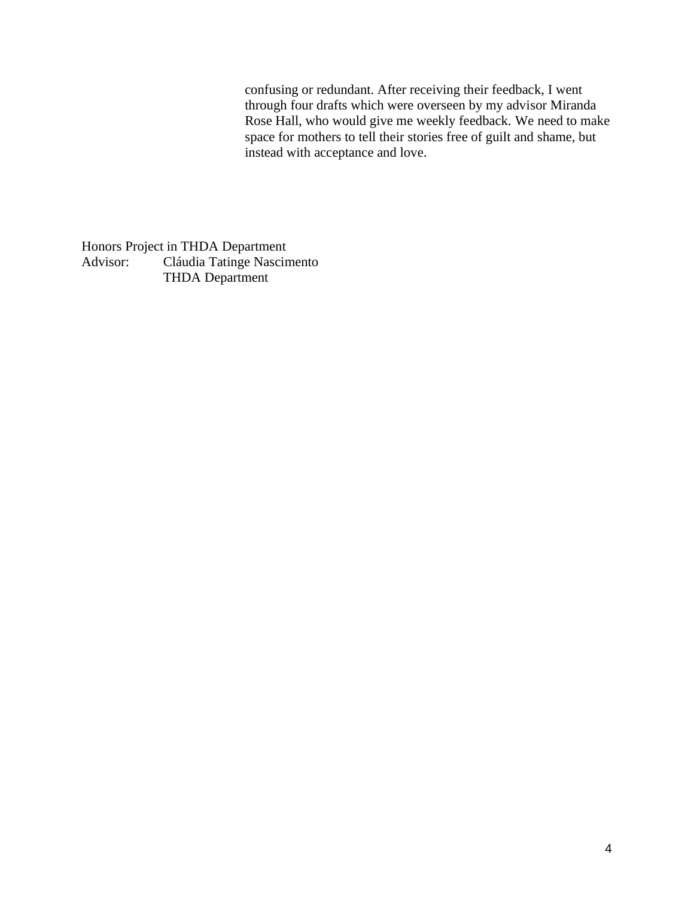confusing or redundant. After receiving their feedback, I went through four drafts which were overseen by my advisor Miranda Rose Hall, who would give me weekly feedback. We need to make space for mothers to tell their stories free of guilt and shame, but instead with acceptance and love.

Honors Project in THDA Department Advisor: Cláudia Tatinge Nascimento THDA Department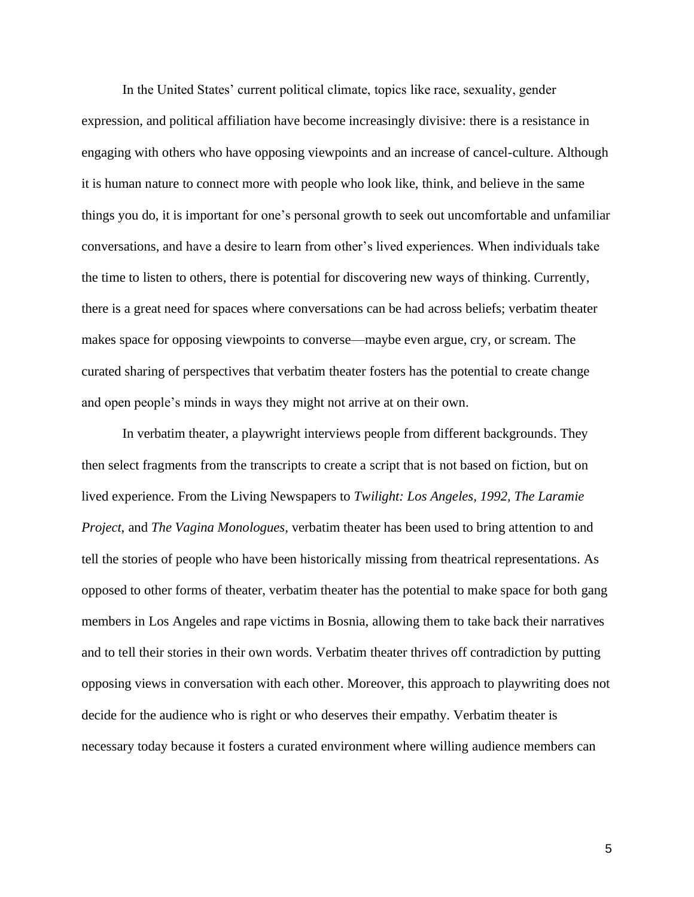In the United States' current political climate, topics like race, sexuality, gender expression, and political affiliation have become increasingly divisive: there is a resistance in engaging with others who have opposing viewpoints and an increase of cancel-culture. Although it is human nature to connect more with people who look like, think, and believe in the same things you do, it is important for one's personal growth to seek out uncomfortable and unfamiliar conversations, and have a desire to learn from other's lived experiences. When individuals take the time to listen to others, there is potential for discovering new ways of thinking. Currently, there is a great need for spaces where conversations can be had across beliefs; verbatim theater makes space for opposing viewpoints to converse—maybe even argue, cry, or scream. The curated sharing of perspectives that verbatim theater fosters has the potential to create change and open people's minds in ways they might not arrive at on their own.

In verbatim theater, a playwright interviews people from different backgrounds. They then select fragments from the transcripts to create a script that is not based on fiction, but on lived experience. From the Living Newspapers to *Twilight: Los Angeles, 1992, The Laramie Project*, and *The Vagina Monologues,* verbatim theater has been used to bring attention to and tell the stories of people who have been historically missing from theatrical representations. As opposed to other forms of theater, verbatim theater has the potential to make space for both gang members in Los Angeles and rape victims in Bosnia, allowing them to take back their narratives and to tell their stories in their own words. Verbatim theater thrives off contradiction by putting opposing views in conversation with each other. Moreover, this approach to playwriting does not decide for the audience who is right or who deserves their empathy. Verbatim theater is necessary today because it fosters a curated environment where willing audience members can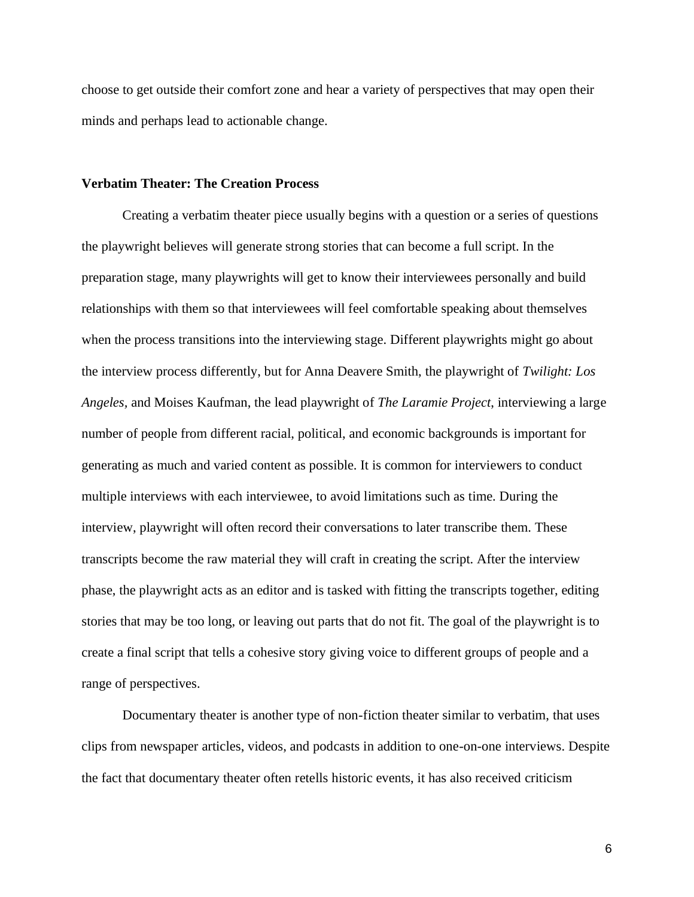choose to get outside their comfort zone and hear a variety of perspectives that may open their minds and perhaps lead to actionable change.

#### **Verbatim Theater: The Creation Process**

Creating a verbatim theater piece usually begins with a question or a series of questions the playwright believes will generate strong stories that can become a full script. In the preparation stage, many playwrights will get to know their interviewees personally and build relationships with them so that interviewees will feel comfortable speaking about themselves when the process transitions into the interviewing stage. Different playwrights might go about the interview process differently, but for Anna Deavere Smith, the playwright of *Twilight: Los Angeles,* and Moises Kaufman, the lead playwright of *The Laramie Project*, interviewing a large number of people from different racial, political, and economic backgrounds is important for generating as much and varied content as possible. It is common for interviewers to conduct multiple interviews with each interviewee, to avoid limitations such as time. During the interview, playwright will often record their conversations to later transcribe them. These transcripts become the raw material they will craft in creating the script. After the interview phase, the playwright acts as an editor and is tasked with fitting the transcripts together, editing stories that may be too long, or leaving out parts that do not fit. The goal of the playwright is to create a final script that tells a cohesive story giving voice to different groups of people and a range of perspectives.

Documentary theater is another type of non-fiction theater similar to verbatim, that uses clips from newspaper articles, videos, and podcasts in addition to one-on-one interviews. Despite the fact that documentary theater often retells historic events, it has also received criticism

6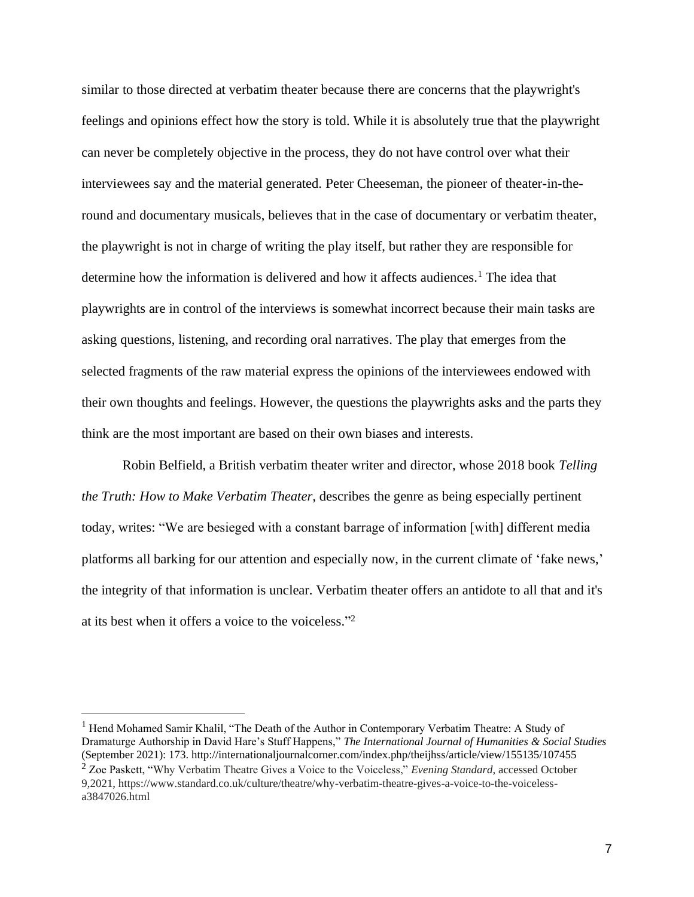similar to those directed at verbatim theater because there are concerns that the playwright's feelings and opinions effect how the story is told. While it is absolutely true that the playwright can never be completely objective in the process, they do not have control over what their interviewees say and the material generated. Peter Cheeseman, the pioneer of theater-in-theround and documentary musicals, believes that in the case of documentary or verbatim theater, the playwright is not in charge of writing the play itself, but rather they are responsible for determine how the information is delivered and how it affects audiences.<sup>1</sup> The idea that playwrights are in control of the interviews is somewhat incorrect because their main tasks are asking questions, listening, and recording oral narratives. The play that emerges from the selected fragments of the raw material express the opinions of the interviewees endowed with their own thoughts and feelings. However, the questions the playwrights asks and the parts they think are the most important are based on their own biases and interests.

Robin Belfield, a British verbatim theater writer and director, whose 2018 book *Telling the Truth: How to Make Verbatim Theater,* describes the genre as being especially pertinent today, writes: "We are besieged with a constant barrage of information [with] different media platforms all barking for our attention and especially now, in the current climate of 'fake news,' the integrity of that information is unclear. Verbatim theater offers an antidote to all that and it's at its best when it offers a voice to the voiceless." 2

<sup>&</sup>lt;sup>1</sup> Hend Mohamed Samir Khalil, "The Death of the Author in Contemporary Verbatim Theatre: A Study of Dramaturge Authorship in David Hare's Stuff Happens," *The International Journal of Humanities & Social Studies* (September 2021): 173. http://internationaljournalcorner.com/index.php/theijhss/article/view/155135/107455

<sup>2</sup> Zoe Paskett, "Why Verbatim Theatre Gives a Voice to the Voiceless," *Evening Standard*, accessed October 9,2021, https://www.standard.co.uk/culture/theatre/why-verbatim-theatre-gives-a-voice-to-the-voicelessa3847026.html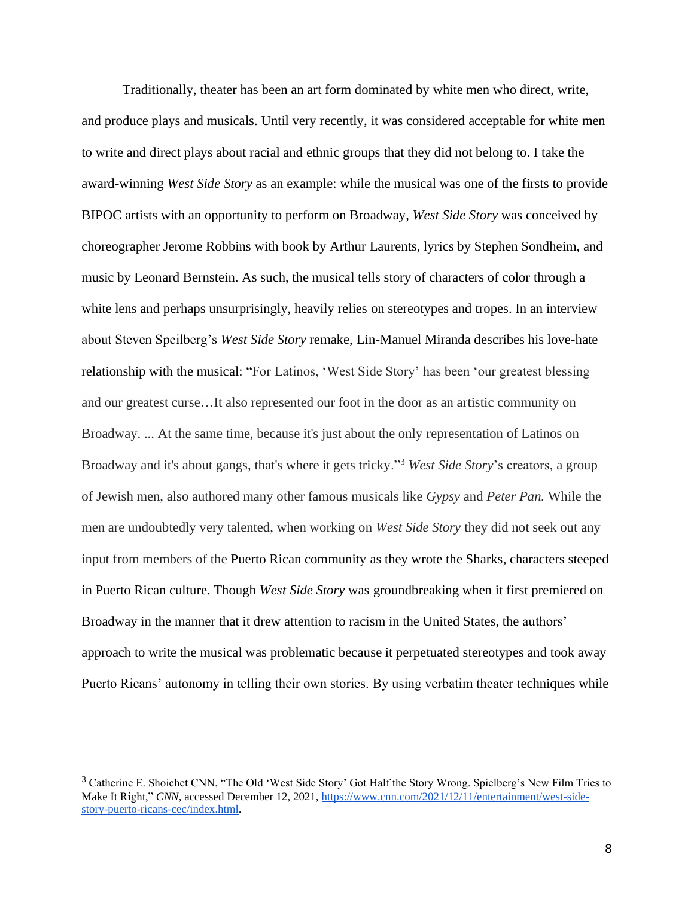Traditionally, theater has been an art form dominated by white men who direct, write, and produce plays and musicals. Until very recently, it was considered acceptable for white men to write and direct plays about racial and ethnic groups that they did not belong to. I take the award-winning *West Side Story* as an example: while the musical was one of the firsts to provide BIPOC artists with an opportunity to perform on Broadway, *West Side Story* was conceived by choreographer Jerome Robbins with book by Arthur Laurents, lyrics by Stephen Sondheim, and music by Leonard Bernstein. As such, the musical tells story of characters of color through a white lens and perhaps unsurprisingly, heavily relies on stereotypes and tropes. In an interview about Steven Speilberg's *West Side Story* remake, Lin-Manuel Miranda describes his love-hate relationship with the musical: "For Latinos, 'West Side Story' has been 'our greatest blessing and our greatest curse…It also represented our foot in the door as an artistic community on Broadway. ... At the same time, because it's just about the only representation of Latinos on Broadway and it's about gangs, that's where it gets tricky."<sup>3</sup> *West Side Story*'s creators, a group of Jewish men, also authored many other famous musicals like *Gypsy* and *Peter Pan.* While the men are undoubtedly very talented, when working on *West Side Story* they did not seek out any input from members of the Puerto Rican community as they wrote the Sharks, characters steeped in Puerto Rican culture. Though *West Side Story* was groundbreaking when it first premiered on Broadway in the manner that it drew attention to racism in the United States, the authors' approach to write the musical was problematic because it perpetuated stereotypes and took away Puerto Ricans' autonomy in telling their own stories. By using verbatim theater techniques while

<sup>&</sup>lt;sup>3</sup> Catherine E. Shoichet CNN, "The Old 'West Side Story' Got Half the Story Wrong. Spielberg's New Film Tries to Make It Right[,](https://www.cnn.com/2021/12/11/entertainment/west-side-story-puerto-ricans-cec/index.html)" *CNN*, accessed December 12, 2021, https://www.cnn.com/2021/12/11/entertainment/west-sidestory-puerto-ricans-cec/index.html.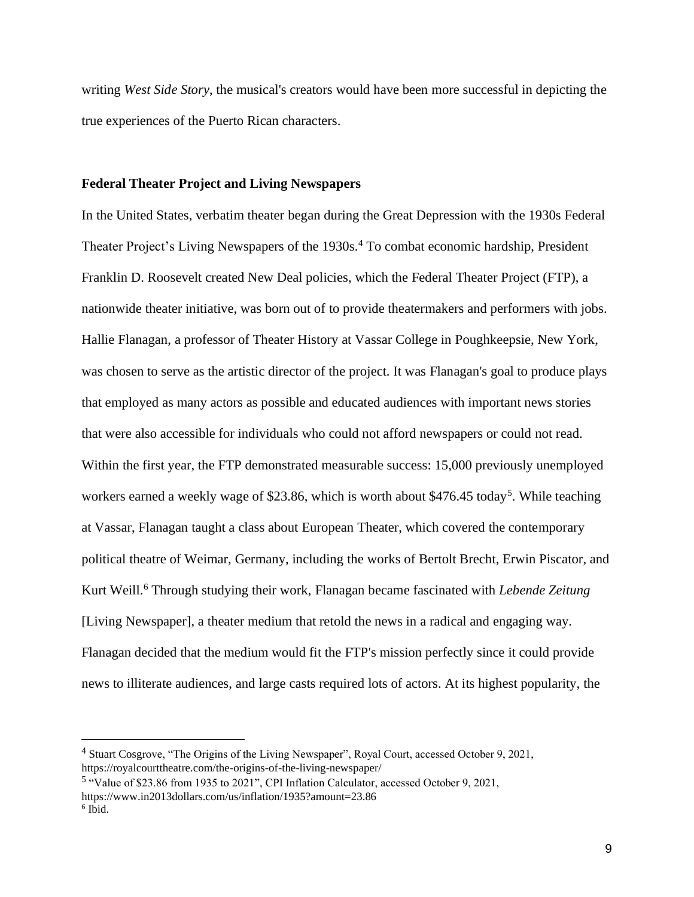writing *West Side Story*, the musical's creators would have been more successful in depicting the true experiences of the Puerto Rican characters.

#### **Federal Theater Project and Living Newspapers**

In the United States, verbatim theater began during the Great Depression with the 1930s Federal Theater Project's Living Newspapers of the 1930s.<sup>4</sup> To combat economic hardship, President Franklin D. Roosevelt created New Deal policies, which the Federal Theater Project (FTP), a nationwide theater initiative, was born out of to provide theatermakers and performers with jobs. Hallie Flanagan, a professor of Theater History at Vassar College in Poughkeepsie, New York, was chosen to serve as the artistic director of the project. It was Flanagan's goal to produce plays that employed as many actors as possible and educated audiences with important news stories that were also accessible for individuals who could not afford newspapers or could not read. Within the first year, the FTP demonstrated measurable success: 15,000 previously unemployed workers earned a weekly wage of \$23.86, which is worth about \$476.45 today<sup>5</sup>. While teaching at Vassar, Flanagan taught a class about European Theater, which covered the contemporary political theatre of Weimar, Germany, including the works of Bertolt Brecht, Erwin Piscator, and Kurt Weill. <sup>6</sup> Through studying their work, Flanagan became fascinated with *Lebende Zeitung* [Living Newspaper], a theater medium that retold the news in a radical and engaging way. Flanagan decided that the medium would fit the FTP's mission perfectly since it could provide news to illiterate audiences, and large casts required lots of actors. At its highest popularity, the

<sup>4</sup> Stuart Cosgrove, "The Origins of the Living Newspaper", Royal Court, accessed October 9, 2021, https://royalcourttheatre.com/the-origins-of-the-living-newspaper/

<sup>&</sup>lt;sup>5</sup> "Value of \$23.86 from 1935 to 2021", CPI Inflation Calculator, accessed October 9, 2021, https://www.in2013dollars.com/us/inflation/1935?amount=23.86

<sup>6</sup> Ibid.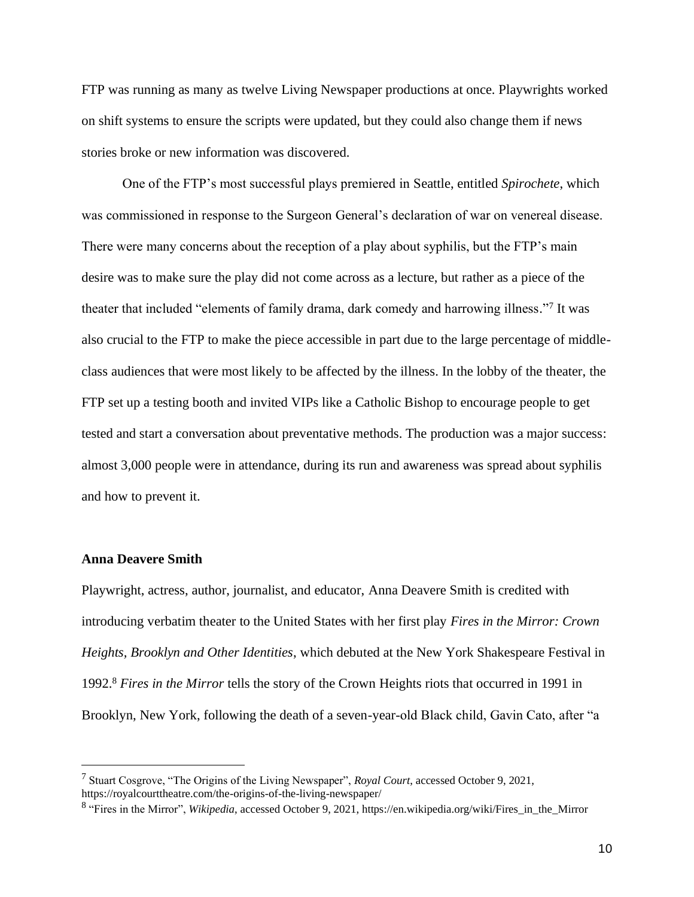FTP was running as many as twelve Living Newspaper productions at once. Playwrights worked on shift systems to ensure the scripts were updated, but they could also change them if news stories broke or new information was discovered.

One of the FTP's most successful plays premiered in Seattle, entitled *Spirochete*, which was commissioned in response to the Surgeon General's declaration of war on venereal disease. There were many concerns about the reception of a play about syphilis, but the FTP's main desire was to make sure the play did not come across as a lecture, but rather as a piece of the theater that included "elements of family drama, dark comedy and harrowing illness."7 It was also crucial to the FTP to make the piece accessible in part due to the large percentage of middleclass audiences that were most likely to be affected by the illness. In the lobby of the theater, the FTP set up a testing booth and invited VIPs like a Catholic Bishop to encourage people to get tested and start a conversation about preventative methods. The production was a major success: almost 3,000 people were in attendance, during its run and awareness was spread about syphilis and how to prevent it.

#### **Anna Deavere Smith**

Playwright, actress, author, journalist, and educator, Anna Deavere Smith is credited with introducing verbatim theater to the United States with her first play *Fires in the Mirror: Crown Heights, Brooklyn and Other Identities*, which debuted at the New York Shakespeare Festival in 1992. <sup>8</sup> *Fires in the Mirror* tells the story of the Crown Heights riots that occurred in 1991 in Brooklyn, New York, following the death of a seven-year-old Black child, Gavin Cato, after "a

<sup>7</sup> Stuart Cosgrove, "The Origins of the Living Newspaper", *Royal Court*, accessed October 9, 2021, https://royalcourttheatre.com/the-origins-of-the-living-newspaper/

<sup>8</sup> "Fires in the Mirror", *Wikipedia*, accessed October 9, 2021, https://en.wikipedia.org/wiki/Fires\_in\_the\_Mirror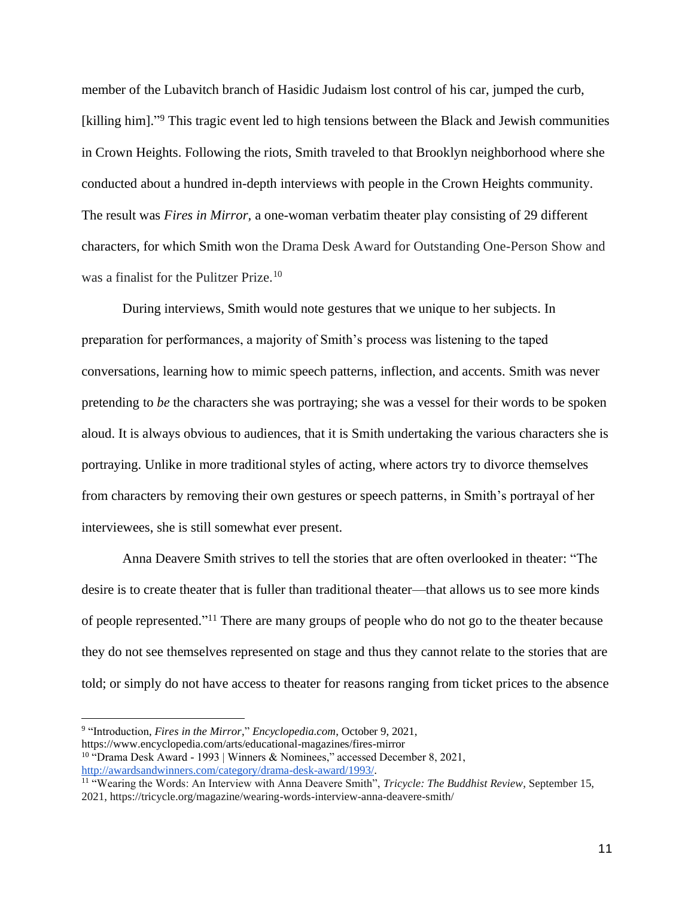member of the Lubavitch branch of Hasidic Judaism lost control of his car, jumped the curb, [killing him]."<sup>9</sup> This tragic event led to high tensions between the Black and Jewish communities in Crown Heights. Following the riots, Smith traveled to that Brooklyn neighborhood where she conducted about a hundred in-depth interviews with people in the Crown Heights community. The result was *Fires in Mirror,* a one-woman verbatim theater play consisting of 29 different characters, for which Smith won the Drama Desk Award for Outstanding One-Person Show and was a finalist for the Pulitzer Prize.<sup>10</sup>

During interviews, Smith would note gestures that we unique to her subjects. In preparation for performances, a majority of Smith's process was listening to the taped conversations, learning how to mimic speech patterns, inflection, and accents. Smith was never pretending to *be* the characters she was portraying; she was a vessel for their words to be spoken aloud. It is always obvious to audiences, that it is Smith undertaking the various characters she is portraying. Unlike in more traditional styles of acting, where actors try to divorce themselves from characters by removing their own gestures or speech patterns, in Smith's portrayal of her interviewees, she is still somewhat ever present.

Anna Deavere Smith strives to tell the stories that are often overlooked in theater: "The desire is to create theater that is fuller than traditional theater—that allows us to see more kinds of people represented."<sup>11</sup> There are many groups of people who do not go to the theater because they do not see themselves represented on stage and thus they cannot relate to the stories that are told; or simply do not have access to theater for reasons ranging from ticket prices to the absence

<sup>9</sup> "Introduction, *Fires in the Mirror*," *Encyclopedia.com*, October 9, 2021,

https://www.encyclopedia.com/arts/educational-magazines/fires-mirror

<sup>&</sup>lt;sup>10</sup> "Drama Desk Award - 1993 | Winners & Nominees[,](http://awardsandwinners.com/category/drama-desk-award/1993/)" accessed December 8, 2021, http://awardsandwinners.com/category/drama-desk-award/1993/.

<sup>&</sup>lt;sup>11</sup> "Wearing the Words: An Interview with Anna Deavere Smith", *Tricycle: The Buddhist Review*, September 15, 2021, https://tricycle.org/magazine/wearing-words-interview-anna-deavere-smith/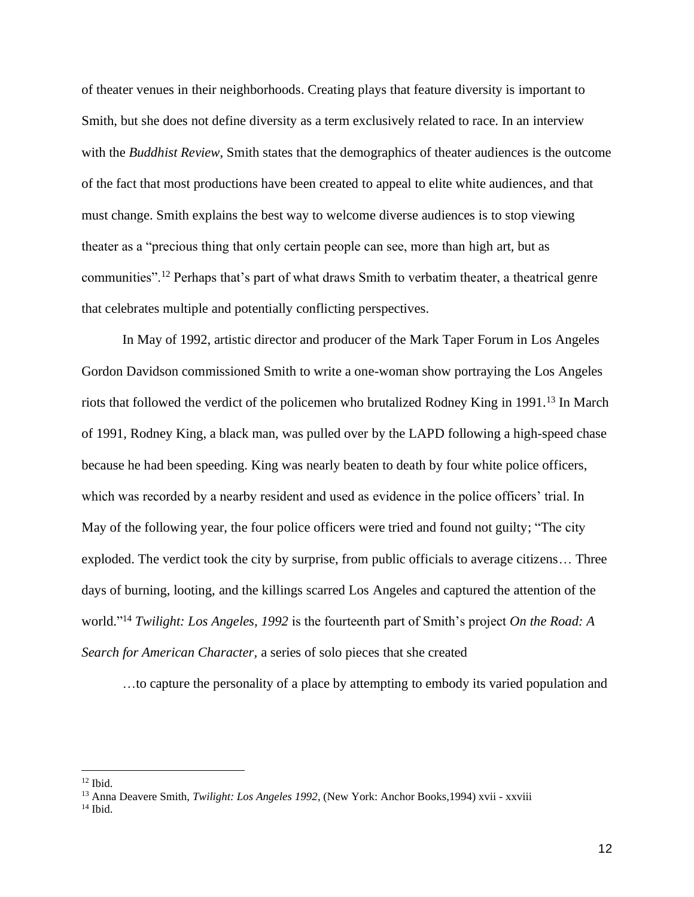of theater venues in their neighborhoods. Creating plays that feature diversity is important to Smith, but she does not define diversity as a term exclusively related to race. In an interview with the *Buddhist Review*, Smith states that the demographics of theater audiences is the outcome of the fact that most productions have been created to appeal to elite white audiences, and that must change. Smith explains the best way to welcome diverse audiences is to stop viewing theater as a "precious thing that only certain people can see, more than high art, but as communities".<sup>12</sup> Perhaps that's part of what draws Smith to verbatim theater, a theatrical genre that celebrates multiple and potentially conflicting perspectives.

In May of 1992, artistic director and producer of the Mark Taper Forum in Los Angeles Gordon Davidson commissioned Smith to write a one-woman show portraying the Los Angeles riots that followed the verdict of the policemen who brutalized Rodney King in 1991. <sup>13</sup> In March of 1991, Rodney King, a black man, was pulled over by the LAPD following a high-speed chase because he had been speeding. King was nearly beaten to death by four white police officers, which was recorded by a nearby resident and used as evidence in the police officers' trial. In May of the following year, the four police officers were tried and found not guilty; "The city exploded. The verdict took the city by surprise, from public officials to average citizens… Three days of burning, looting, and the killings scarred Los Angeles and captured the attention of the world." <sup>14</sup> *Twilight: Los Angeles, 1992* is the fourteenth part of Smith's project *On the Road: A Search for American Character,* a series of solo pieces that she created

…to capture the personality of a place by attempting to embody its varied population and

 $12$  Ibid.

<sup>13</sup> Anna Deavere Smith, *Twilight: Los Angeles 1992*, (New York: Anchor Books,1994) xvii - xxviii

 $14$  Ibid.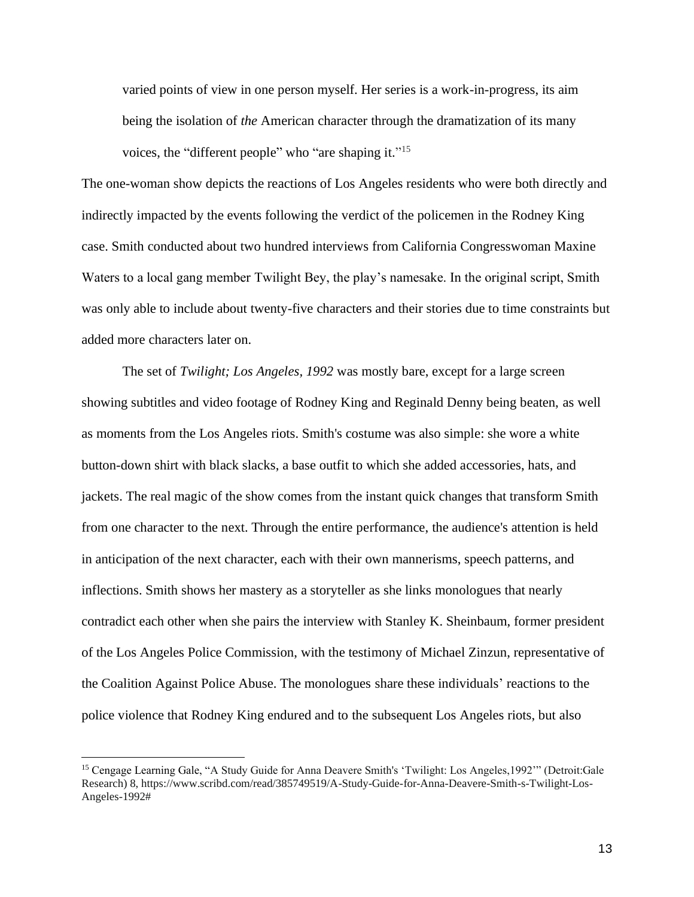varied points of view in one person myself. Her series is a work-in-progress, its aim being the isolation of *the* American character through the dramatization of its many voices, the "different people" who "are shaping it."<sup>15</sup>

The one-woman show depicts the reactions of Los Angeles residents who were both directly and indirectly impacted by the events following the verdict of the policemen in the Rodney King case. Smith conducted about two hundred interviews from California Congresswoman Maxine Waters to a local gang member Twilight Bey, the play's namesake. In the original script, Smith was only able to include about twenty-five characters and their stories due to time constraints but added more characters later on.

The set of *Twilight; Los Angeles, 1992* was mostly bare, except for a large screen showing subtitles and video footage of Rodney King and Reginald Denny being beaten, as well as moments from the Los Angeles riots. Smith's costume was also simple: she wore a white button-down shirt with black slacks, a base outfit to which she added accessories, hats, and jackets. The real magic of the show comes from the instant quick changes that transform Smith from one character to the next. Through the entire performance, the audience's attention is held in anticipation of the next character, each with their own mannerisms, speech patterns, and inflections. Smith shows her mastery as a storyteller as she links monologues that nearly contradict each other when she pairs the interview with Stanley K. Sheinbaum, former president of the Los Angeles Police Commission, with the testimony of Michael Zinzun, representative of the Coalition Against Police Abuse. The monologues share these individuals' reactions to the police violence that Rodney King endured and to the subsequent Los Angeles riots, but also

<sup>15</sup> Cengage Learning Gale, "A Study Guide for Anna Deavere Smith's 'Twilight: Los Angeles,1992'" (Detroit:Gale Research) 8, https://www.scribd.com/read/385749519/A-Study-Guide-for-Anna-Deavere-Smith-s-Twilight-Los-Angeles-1992#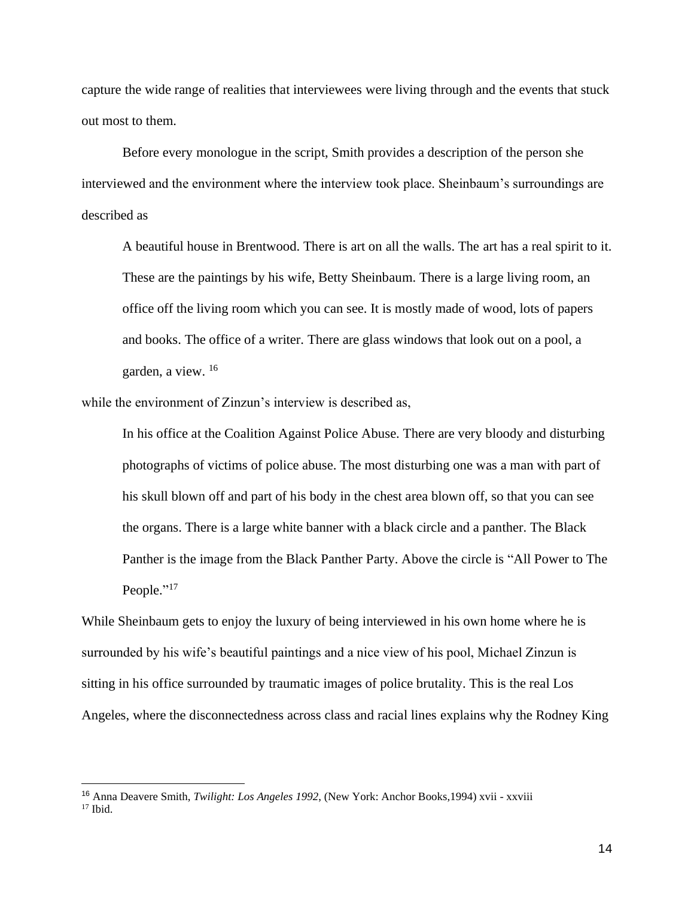capture the wide range of realities that interviewees were living through and the events that stuck out most to them.

Before every monologue in the script, Smith provides a description of the person she interviewed and the environment where the interview took place. Sheinbaum's surroundings are described as

A beautiful house in Brentwood. There is art on all the walls. The art has a real spirit to it. These are the paintings by his wife, Betty Sheinbaum. There is a large living room, an office off the living room which you can see. It is mostly made of wood, lots of papers and books. The office of a writer. There are glass windows that look out on a pool, a garden, a view. 16

while the environment of Zinzun's interview is described as,

In his office at the Coalition Against Police Abuse. There are very bloody and disturbing photographs of victims of police abuse. The most disturbing one was a man with part of his skull blown off and part of his body in the chest area blown off, so that you can see the organs. There is a large white banner with a black circle and a panther. The Black Panther is the image from the Black Panther Party. Above the circle is "All Power to The People."<sup>17</sup>

While Sheinbaum gets to enjoy the luxury of being interviewed in his own home where he is surrounded by his wife's beautiful paintings and a nice view of his pool, Michael Zinzun is sitting in his office surrounded by traumatic images of police brutality. This is the real Los Angeles, where the disconnectedness across class and racial lines explains why the Rodney King

<sup>16</sup> Anna Deavere Smith, *Twilight: Los Angeles 1992*, (New York: Anchor Books,1994) xvii - xxviii  $17$  Ibid.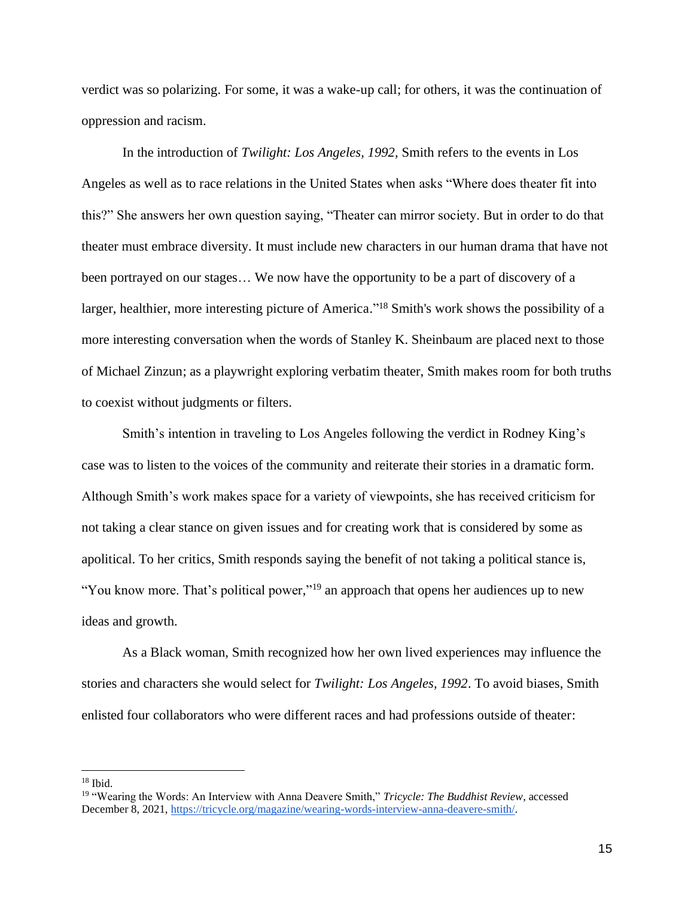verdict was so polarizing. For some, it was a wake-up call; for others, it was the continuation of oppression and racism.

In the introduction of *Twilight: Los Angeles, 1992,* Smith refers to the events in Los Angeles as well as to race relations in the United States when asks "Where does theater fit into this?" She answers her own question saying, "Theater can mirror society. But in order to do that theater must embrace diversity. It must include new characters in our human drama that have not been portrayed on our stages… We now have the opportunity to be a part of discovery of a larger, healthier, more interesting picture of America."<sup>18</sup> Smith's work shows the possibility of a more interesting conversation when the words of Stanley K. Sheinbaum are placed next to those of Michael Zinzun; as a playwright exploring verbatim theater, Smith makes room for both truths to coexist without judgments or filters.

Smith's intention in traveling to Los Angeles following the verdict in Rodney King's case was to listen to the voices of the community and reiterate their stories in a dramatic form. Although Smith's work makes space for a variety of viewpoints, she has received criticism for not taking a clear stance on given issues and for creating work that is considered by some as apolitical. To her critics, Smith responds saying the benefit of not taking a political stance is, "You know more. That's political power,"<sup>19</sup> an approach that opens her audiences up to new ideas and growth.

As a Black woman, Smith recognized how her own lived experiences may influence the stories and characters she would select for *Twilight: Los Angeles, 1992*. To avoid biases, Smith enlisted four collaborators who were different races and had professions outside of theater:

<sup>18</sup> Ibid.

<sup>19</sup> "Wearing the Words: An Interview with Anna Deavere Smith," *Tricycle: The Buddhist Review*, accessed December 8, 2021[,](https://tricycle.org/magazine/wearing-words-interview-anna-deavere-smith/) https://tricycle.org/magazine/wearing-words-interview-anna-deavere-smith/.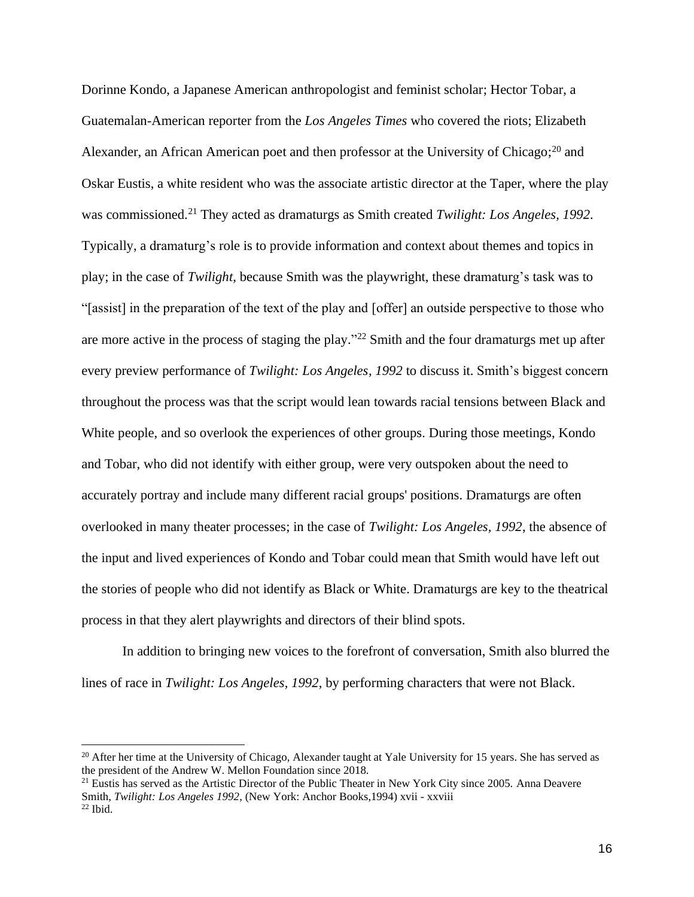Dorinne Kondo, a Japanese American anthropologist and feminist scholar; Hector Tobar, a Guatemalan-American reporter from the *Los Angeles Times* who covered the riots; Elizabeth Alexander, an African American poet and then professor at the University of Chicago; $^{20}$  and Oskar Eustis, a white resident who was the associate artistic director at the Taper, where the play was commissioned.<sup>21</sup> They acted as dramaturgs as Smith created *Twilight: Los Angeles, 1992*. Typically, a dramaturg's role is to provide information and context about themes and topics in play; in the case of *Twilight*, because Smith was the playwright, these dramaturg's task was to "[assist] in the preparation of the text of the play and [offer] an outside perspective to those who are more active in the process of staging the play." $^{22}$  Smith and the four dramaturgs met up after every preview performance of *Twilight: Los Angeles, 1992* to discuss it. Smith's biggest concern throughout the process was that the script would lean towards racial tensions between Black and White people, and so overlook the experiences of other groups. During those meetings, Kondo and Tobar, who did not identify with either group, were very outspoken about the need to accurately portray and include many different racial groups' positions. Dramaturgs are often overlooked in many theater processes; in the case of *Twilight: Los Angeles, 1992*, the absence of the input and lived experiences of Kondo and Tobar could mean that Smith would have left out the stories of people who did not identify as Black or White. Dramaturgs are key to the theatrical process in that they alert playwrights and directors of their blind spots.

In addition to bringing new voices to the forefront of conversation, Smith also blurred the lines of race in *Twilight: Los Angeles, 1992*, by performing characters that were not Black.

<sup>&</sup>lt;sup>20</sup> After her time at the University of Chicago, Alexander taught at Yale University for 15 years. She has served as the president of the Andrew W. Mellon Foundation since 2018.

<sup>&</sup>lt;sup>21</sup> Eustis has served as the Artistic Director of the Public Theater in New York City since 2005. Anna Deavere Smith, *Twilight: Los Angeles 1992*, (New York: Anchor Books,1994) xvii - xxviii  $22$  Ibid.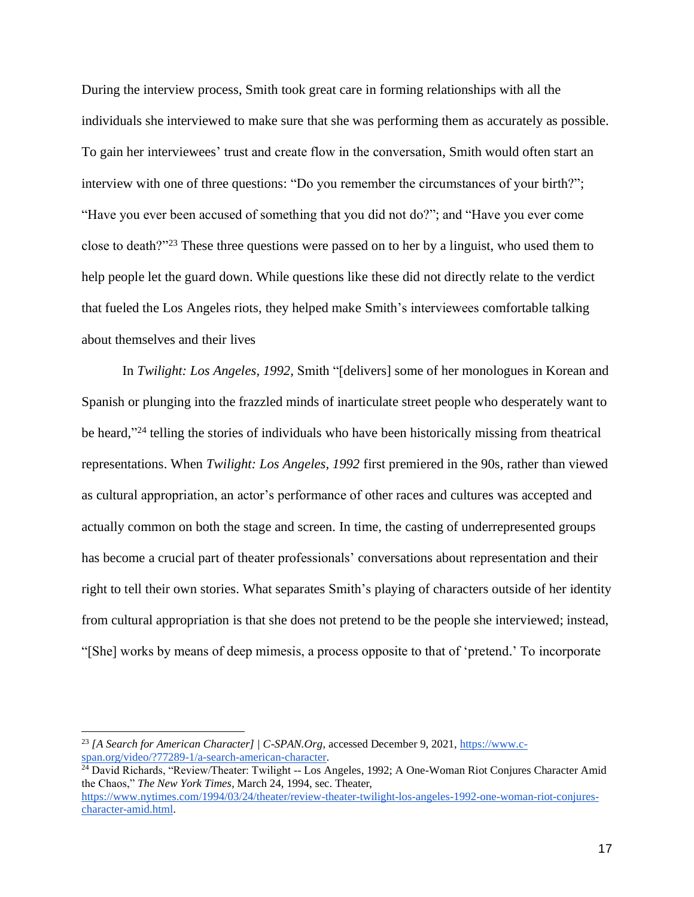During the interview process, Smith took great care in forming relationships with all the individuals she interviewed to make sure that she was performing them as accurately as possible. To gain her interviewees' trust and create flow in the conversation, Smith would often start an interview with one of three questions: "Do you remember the circumstances of your birth?"; "Have you ever been accused of something that you did not do?"; and "Have you ever come close to death?"<sup>23</sup> These three questions were passed on to her by a linguist, who used them to help people let the guard down. While questions like these did not directly relate to the verdict that fueled the Los Angeles riots, they helped make Smith's interviewees comfortable talking about themselves and their lives

In *Twilight: Los Angeles, 1992,* Smith "[delivers] some of her monologues in Korean and Spanish or plunging into the frazzled minds of inarticulate street people who desperately want to be heard,"<sup>24</sup> telling the stories of individuals who have been historically missing from theatrical representations. When *Twilight: Los Angeles, 1992* first premiered in the 90s, rather than viewed as cultural appropriation, an actor's performance of other races and cultures was accepted and actually common on both the stage and screen. In time, the casting of underrepresented groups has become a crucial part of theater professionals' conversations about representation and their right to tell their own stories. What separates Smith's playing of characters outside of her identity from cultural appropriation is that she does not pretend to be the people she interviewed; instead, "[She] works by means of deep mimesis, a process opposite to that of 'pretend.' To incorporate

<sup>23</sup> *[A Search for American Character] | C-SPAN.Org*, accessed December 9, 2021[,](https://www.c-span.org/video/?77289-1/a-search-american-character) https://www.cspan.org/video/?77289-1/a-search-american-character.

<sup>&</sup>lt;sup>24</sup> David Richards, "Review/Theater: Twilight -- Los Angeles, 1992; A One-Woman Riot Conjures Character Amid the Chaos," *The New York Times*, March 24, 1994, sec. Theate[r,](https://www.nytimes.com/1994/03/24/theater/review-theater-twilight-los-angeles-1992-one-woman-riot-conjures-character-amid.html) https://www.nytimes.com/1994/03/24/theater/review-theater-twilight-los-angeles-1992-one-woman-riot-conjurescharacter-amid.html.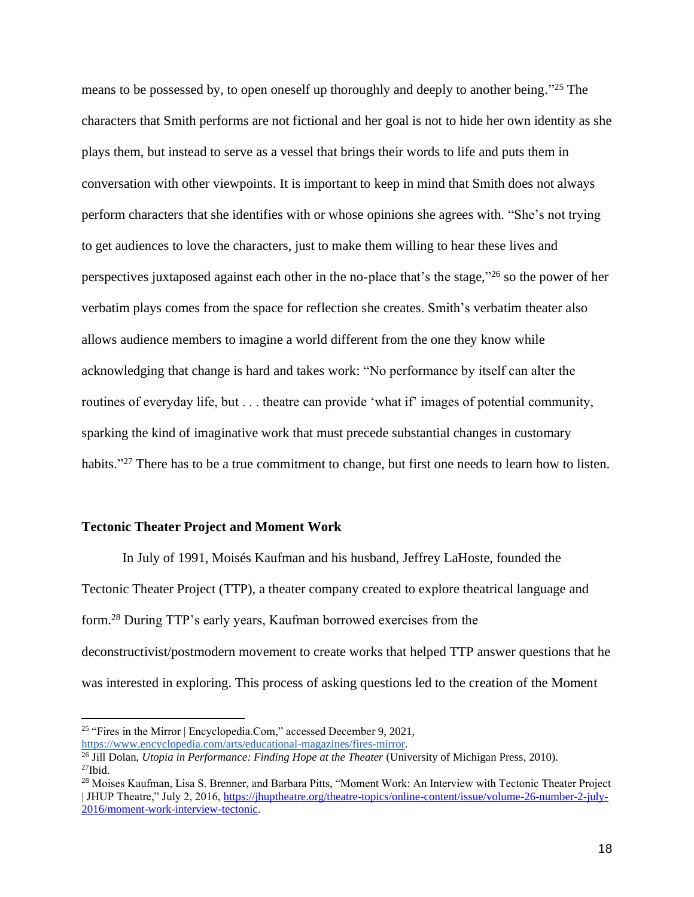means to be possessed by, to open oneself up thoroughly and deeply to another being."<sup>25</sup> The characters that Smith performs are not fictional and her goal is not to hide her own identity as she plays them, but instead to serve as a vessel that brings their words to life and puts them in conversation with other viewpoints. It is important to keep in mind that Smith does not always perform characters that she identifies with or whose opinions she agrees with. "She's not trying to get audiences to love the characters, just to make them willing to hear these lives and perspectives juxtaposed against each other in the no-place that's the stage,"<sup>26</sup> so the power of her verbatim plays comes from the space for reflection she creates. Smith's verbatim theater also allows audience members to imagine a world different from the one they know while acknowledging that change is hard and takes work: "No performance by itself can alter the routines of everyday life, but . . . theatre can provide 'what if' images of potential community, sparking the kind of imaginative work that must precede substantial changes in customary habits."<sup>27</sup> There has to be a true commitment to change, but first one needs to learn how to listen.

#### **Tectonic Theater Project and Moment Work**

In July of 1991, Moisés Kaufman and his husband, Jeffrey LaHoste, founded the Tectonic Theater Project (TTP), a theater company created to explore theatrical language and form. <sup>28</sup> During TTP's early years, Kaufman borrowed exercises from the deconstructivist/postmodern movement to create works that helped TTP answer questions that he was interested in exploring. This process of asking questions led to the creation of the Moment

https://www.encyclopedia.com/arts/educational-magazines/fires-mirror.

<sup>&</sup>lt;sup>25</sup> "Fires in the Mirror | Encyclopedia.Com[,](https://www.encyclopedia.com/arts/educational-magazines/fires-mirror)" accessed December 9, 2021,

<sup>26</sup> Jill Dolan, *Utopia in Performance: Finding Hope at the Theater* (University of Michigan Press, 2010).  $^{27}$ Ibid.

<sup>&</sup>lt;sup>28</sup> Moises Kaufman, Lisa S. Brenner, and Barbara Pitts, "Moment Work: An Interview with Tectonic Theater Project | JHUP Theatre," July 2, 2016, [https://jhuptheatre.org/theatre-topics/online-content/issue/volume-26-number-2-july-](https://jhuptheatre.org/theatre-topics/online-content/issue/volume-26-number-2-july-2016/moment-work-interview-tectonic)[2016/moment-work-interview-tectonic.](https://jhuptheatre.org/theatre-topics/online-content/issue/volume-26-number-2-july-2016/moment-work-interview-tectonic)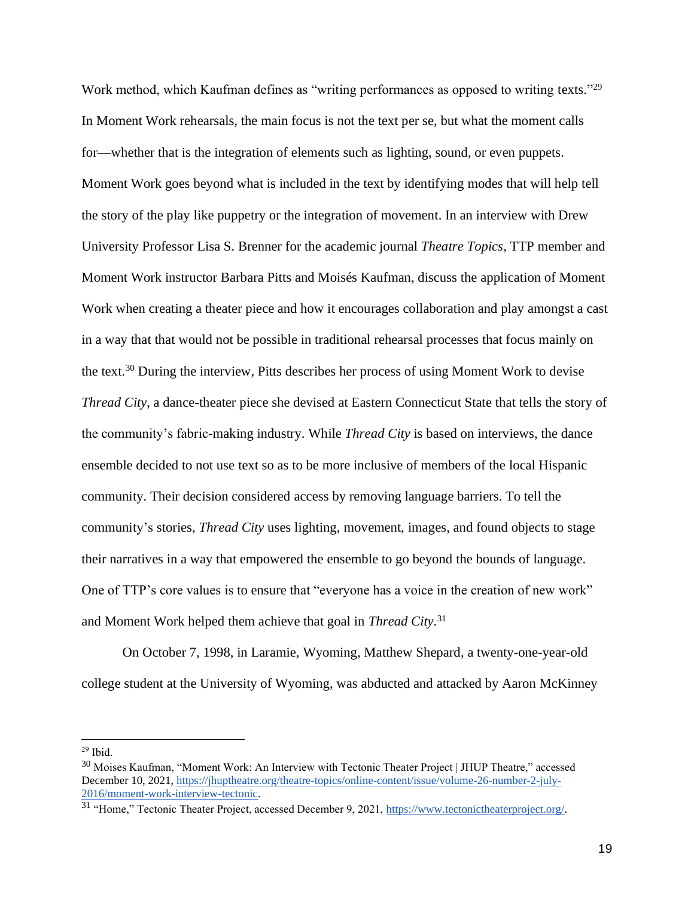Work method, which Kaufman defines as "writing performances as opposed to writing texts."<sup>29</sup> In Moment Work rehearsals, the main focus is not the text per se, but what the moment calls for—whether that is the integration of elements such as lighting, sound, or even puppets. Moment Work goes beyond what is included in the text by identifying modes that will help tell the story of the play like puppetry or the integration of movement. In an interview with Drew University Professor Lisa S. Brenner for the academic journal *Theatre Topics*, TTP member and Moment Work instructor Barbara Pitts and Moisés Kaufman, discuss the application of Moment Work when creating a theater piece and how it encourages collaboration and play amongst a cast in a way that that would not be possible in traditional rehearsal processes that focus mainly on the text.<sup>30</sup> During the interview, Pitts describes her process of using Moment Work to devise *Thread City*, a dance-theater piece she devised at Eastern Connecticut State that tells the story of the community's fabric-making industry. While *Thread City* is based on interviews, the dance ensemble decided to not use text so as to be more inclusive of members of the local Hispanic community. Their decision considered access by removing language barriers. To tell the community's stories, *Thread City* uses lighting, movement, images, and found objects to stage their narratives in a way that empowered the ensemble to go beyond the bounds of language. One of TTP's core values is to ensure that "everyone has a voice in the creation of new work" and Moment Work helped them achieve that goal in *Thread City*. 31

On October 7, 1998, in Laramie, Wyoming, Matthew Shepard, a twenty-one-year-old college student at the University of Wyoming, was abducted and attacked by Aaron McKinney

 $29$  Ibid.

<sup>&</sup>lt;sup>30</sup> Moises Kaufman, "Moment Work: An Interview with Tectonic Theater Project | JHUP Theatre," accessed December 10, 2021[,](https://jhuptheatre.org/theatre-topics/online-content/issue/volume-26-number-2-july-2016/moment-work-interview-tectonic) https://jhuptheatre.org/theatre-topics/online-content/issue/volume-26-number-2-july-2016/moment-work-interview-tectonic.

<sup>&</sup>lt;sup>31</sup> "Home," Tectonic T[h](https://www.tectonictheaterproject.org/)eater Project, accessed December 9, 2021, https://www.tectonictheaterproject.org/.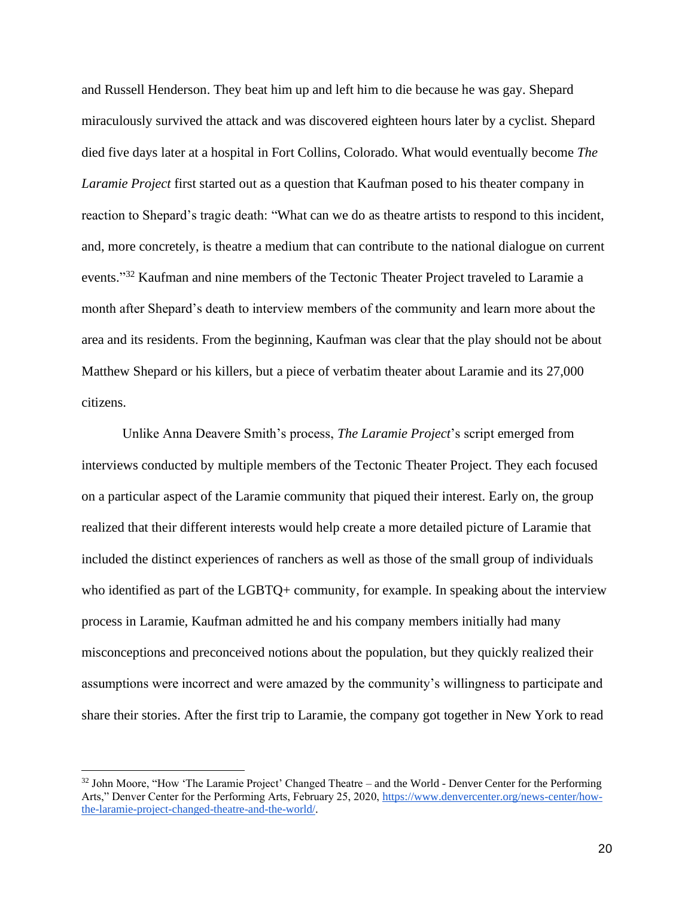and Russell Henderson. They beat him up and left him to die because he was gay. Shepard miraculously survived the attack and was discovered eighteen hours later by a cyclist. Shepard died five days later at a hospital in Fort Collins, Colorado. What would eventually become *The Laramie Project* first started out as a question that Kaufman posed to his theater company in reaction to Shepard's tragic death: "What can we do as theatre artists to respond to this incident, and, more concretely, is theatre a medium that can contribute to the national dialogue on current events."<sup>32</sup> Kaufman and nine members of the Tectonic Theater Project traveled to Laramie a month after Shepard's death to interview members of the community and learn more about the area and its residents. From the beginning, Kaufman was clear that the play should not be about Matthew Shepard or his killers, but a piece of verbatim theater about Laramie and its 27,000 citizens.

Unlike Anna Deavere Smith's process, *The Laramie Project*'s script emerged from interviews conducted by multiple members of the Tectonic Theater Project. They each focused on a particular aspect of the Laramie community that piqued their interest. Early on, the group realized that their different interests would help create a more detailed picture of Laramie that included the distinct experiences of ranchers as well as those of the small group of individuals who identified as part of the LGBTQ+ community, for example. In speaking about the interview process in Laramie, Kaufman admitted he and his company members initially had many misconceptions and preconceived notions about the population, but they quickly realized their assumptions were incorrect and were amazed by the community's willingness to participate and share their stories. After the first trip to Laramie, the company got together in New York to read

<sup>&</sup>lt;sup>32</sup> John Moore, "How 'The Laramie Project' Changed Theatre – and the World - Denver Center for the Performing Arts," Denver Center for the Performing Arts, February 25, 2020, [h](https://www.denvercenter.org/news-center/how-the-laramie-project-changed-theatre-and-the-world/)ttps://www.denvercenter.org/news-center/howthe-laramie-project-changed-theatre-and-the-world/.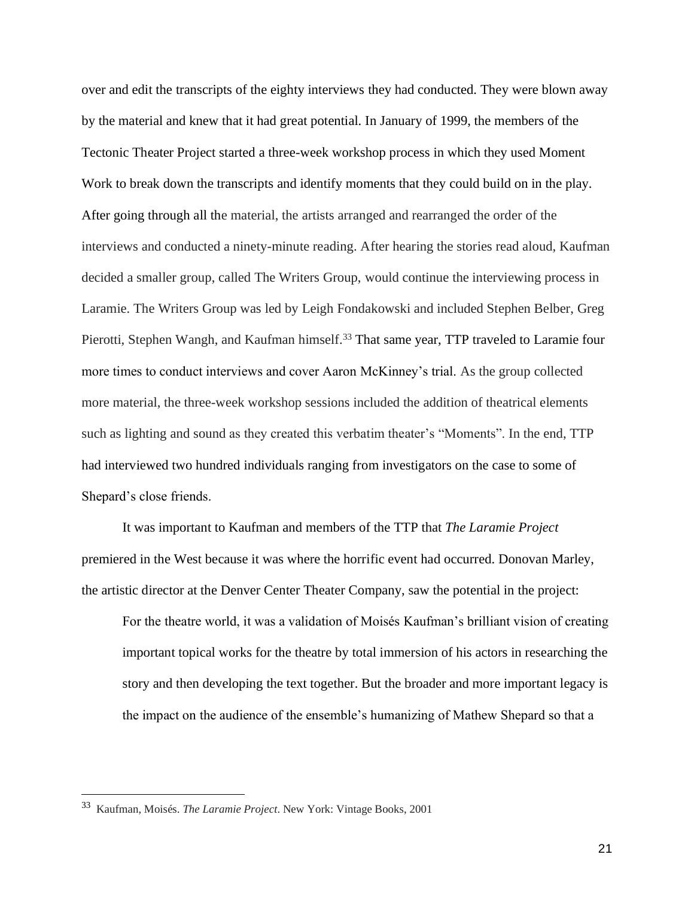over and edit the transcripts of the eighty interviews they had conducted. They were blown away by the material and knew that it had great potential. In January of 1999, the members of the Tectonic Theater Project started a three-week workshop process in which they used Moment Work to break down the transcripts and identify moments that they could build on in the play. After going through all the material, the artists arranged and rearranged the order of the interviews and conducted a ninety-minute reading. After hearing the stories read aloud, Kaufman decided a smaller group, called The Writers Group, would continue the interviewing process in Laramie. The Writers Group was led by Leigh Fondakowski and included Stephen Belber, Greg Pierotti, Stephen Wangh, and Kaufman himself.<sup>33</sup> That same year, TTP traveled to Laramie four more times to conduct interviews and cover Aaron McKinney's trial. As the group collected more material, the three-week workshop sessions included the addition of theatrical elements such as lighting and sound as they created this verbatim theater's "Moments". In the end, TTP had interviewed two hundred individuals ranging from investigators on the case to some of Shepard's close friends.

It was important to Kaufman and members of the TTP that *The Laramie Project*  premiered in the West because it was where the horrific event had occurred. Donovan Marley, the artistic director at the Denver Center Theater Company, saw the potential in the project:

For the theatre world, it was a validation of Moisés Kaufman's brilliant vision of creating important topical works for the theatre by total immersion of his actors in researching the story and then developing the text together. But the broader and more important legacy is the impact on the audience of the ensemble's humanizing of Mathew Shepard so that a

<sup>33</sup> Kaufman, Moisés. *The Laramie Project*. New York: Vintage Books, 2001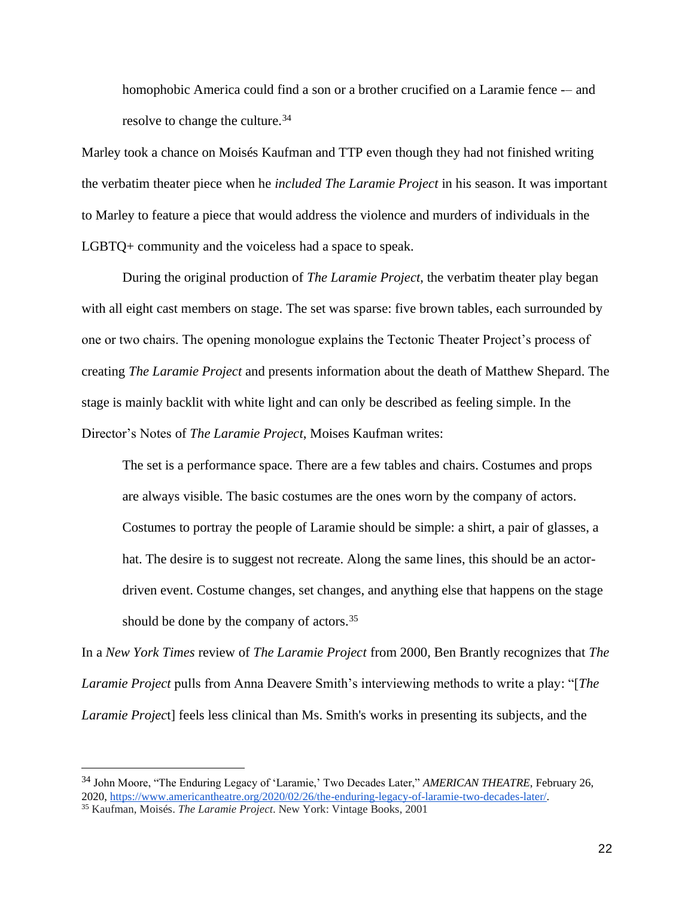homophobic America could find a son or a brother crucified on a Laramie fence — and resolve to change the culture.<sup>34</sup>

Marley took a chance on Moisés Kaufman and TTP even though they had not finished writing the verbatim theater piece when he *included The Laramie Project* in his season. It was important to Marley to feature a piece that would address the violence and murders of individuals in the LGBTQ+ community and the voiceless had a space to speak.

During the original production of *The Laramie Project*, the verbatim theater play began with all eight cast members on stage. The set was sparse: five brown tables, each surrounded by one or two chairs. The opening monologue explains the Tectonic Theater Project's process of creating *The Laramie Project* and presents information about the death of Matthew Shepard. The stage is mainly backlit with white light and can only be described as feeling simple. In the Director's Notes of *The Laramie Project*, Moises Kaufman writes:

The set is a performance space. There are a few tables and chairs. Costumes and props are always visible. The basic costumes are the ones worn by the company of actors. Costumes to portray the people of Laramie should be simple: a shirt, a pair of glasses, a hat. The desire is to suggest not recreate. Along the same lines, this should be an actordriven event. Costume changes, set changes, and anything else that happens on the stage should be done by the company of actors.  $35$ 

In a *New York Times* review of *The Laramie Project* from 2000*,* Ben Brantly recognizes that *The Laramie Project* pulls from Anna Deavere Smith's interviewing methods to write a play: "[*The Laramie Projec*t] feels less clinical than Ms. Smith's works in presenting its subjects, and the

<sup>34</sup> John Moore, "The Enduring Legacy of 'Laramie,' Two Decades Later," *AMERICAN THEATRE*, February 26, 202[0,](https://www.americantheatre.org/2020/02/26/the-enduring-legacy-of-laramie-two-decades-later/) [https://www.americantheatre.org/2020/02/26/the-enduring-legacy-of-laramie-two-decades-later/.](https://www.americantheatre.org/2020/02/26/the-enduring-legacy-of-laramie-two-decades-later/)

<sup>35</sup> Kaufman, Moisés. *The Laramie Project*. New York: Vintage Books, 2001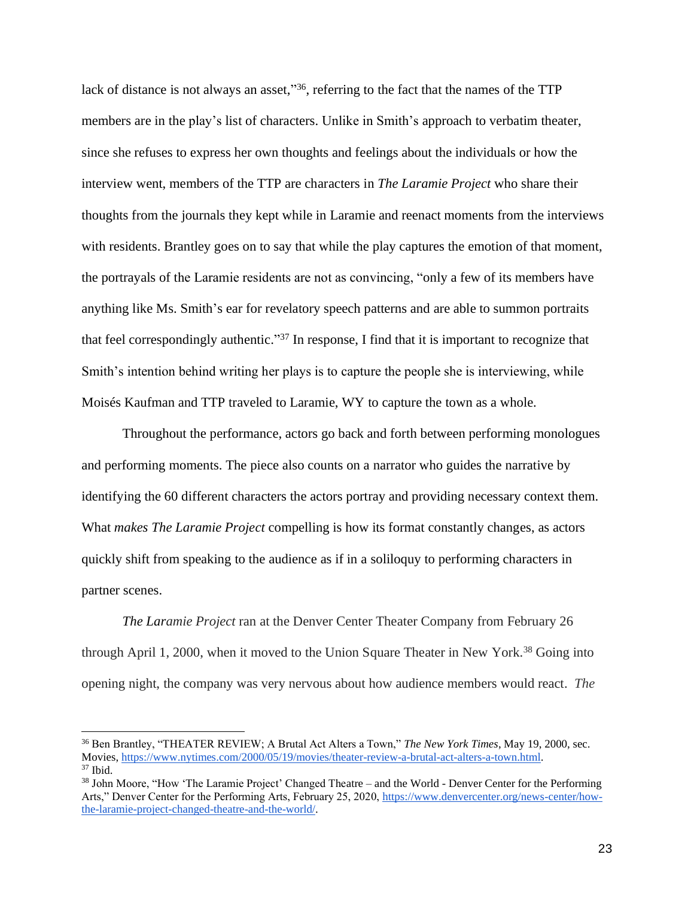lack of distance is not always an asset,"<sup>36</sup>, referring to the fact that the names of the TTP members are in the play's list of characters. Unlike in Smith's approach to verbatim theater, since she refuses to express her own thoughts and feelings about the individuals or how the interview went, members of the TTP are characters in *The Laramie Project* who share their thoughts from the journals they kept while in Laramie and reenact moments from the interviews with residents. Brantley goes on to say that while the play captures the emotion of that moment, the portrayals of the Laramie residents are not as convincing, "only a few of its members have anything like Ms. Smith's ear for revelatory speech patterns and are able to summon portraits that feel correspondingly authentic."<sup>37</sup> In response, I find that it is important to recognize that Smith's intention behind writing her plays is to capture the people she is interviewing, while Moisés Kaufman and TTP traveled to Laramie, WY to capture the town as a whole.

Throughout the performance, actors go back and forth between performing monologues and performing moments. The piece also counts on a narrator who guides the narrative by identifying the 60 different characters the actors portray and providing necessary context them. What *makes The Laramie Project* compelling is how its format constantly changes, as actors quickly shift from speaking to the audience as if in a soliloquy to performing characters in partner scenes.

*The Laramie Project* ran at the Denver Center Theater Company from February 26 through April 1, 2000, when it moved to the Union Square Theater in New York.<sup>38</sup> Going into opening night, the company was very nervous about how audience members would react. *The* 

<sup>36</sup> Ben Brantley, "THEATER REVIEW; A Brutal Act Alters a Town," *The New York Times*, May 19, 2000, sec. Movie[s,](https://www.nytimes.com/2000/05/19/movies/theater-review-a-brutal-act-alters-a-town.html) [https://www.nytimes.com/2000/05/19/movies/theater-review-a-brutal-act-alters-a-town.html.](https://www.nytimes.com/2000/05/19/movies/theater-review-a-brutal-act-alters-a-town.html)  $37$  Ibid.

<sup>38</sup> John Moore, "How 'The Laramie Project' Changed Theatre – and the World - Denver Center for the Performing Arts," Denver Center for the Performing Arts, February 25, 2020, [https://www.denvercenter.org/news-center/how](https://www.denvercenter.org/news-center/how-the-laramie-project-changed-theatre-and-the-world/)[the-laramie-project-changed-theatre-and-the-world/.](https://www.denvercenter.org/news-center/how-the-laramie-project-changed-theatre-and-the-world/)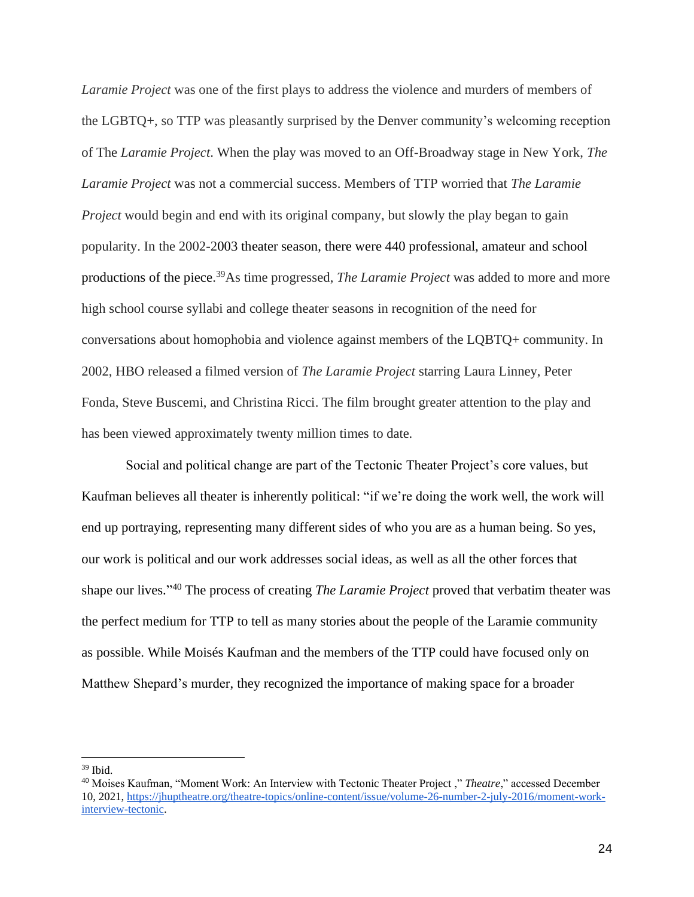*Laramie Project* was one of the first plays to address the violence and murders of members of the LGBTQ+, so TTP was pleasantly surprised by the Denver community's welcoming reception of The *Laramie Project*. When the play was moved to an Off-Broadway stage in New York, *The Laramie Project* was not a commercial success. Members of TTP worried that *The Laramie Project* would begin and end with its original company, but slowly the play began to gain popularity. In the 2002-2003 theater season, there were 440 professional, amateur and school productions of the piece. <sup>39</sup>As time progressed, *The Laramie Project* was added to more and more high school course syllabi and college theater seasons in recognition of the need for conversations about homophobia and violence against members of the LQBTQ+ community. In 2002, HBO released a filmed version of *The Laramie Project* starring Laura Linney, Peter Fonda, Steve Buscemi, and Christina Ricci. The film brought greater attention to the play and has been viewed approximately twenty million times to date.

Social and political change are part of the Tectonic Theater Project's core values, but Kaufman believes all theater is inherently political: "if we're doing the work well, the work will end up portraying, representing many different sides of who you are as a human being. So yes, our work is political and our work addresses social ideas, as well as all the other forces that shape our lives." <sup>40</sup> The process of creating *The Laramie Project* proved that verbatim theater was the perfect medium for TTP to tell as many stories about the people of the Laramie community as possible. While Moisés Kaufman and the members of the TTP could have focused only on Matthew Shepard's murder, they recognized the importance of making space for a broader

 $39$  Ibid.

<sup>40</sup> Moises Kaufman, "Moment Work: An Interview with Tectonic Theater Project ," *Theatre*," accessed December 10, 202[1,](https://jhuptheatre.org/theatre-topics/online-content/issue/volume-26-number-2-july-2016/moment-work-interview-tectonic) https://jhuptheatre.org/theatre-topics/online-content/issue/volume-26-number-2-july-2016/moment-workinterview-tectonic.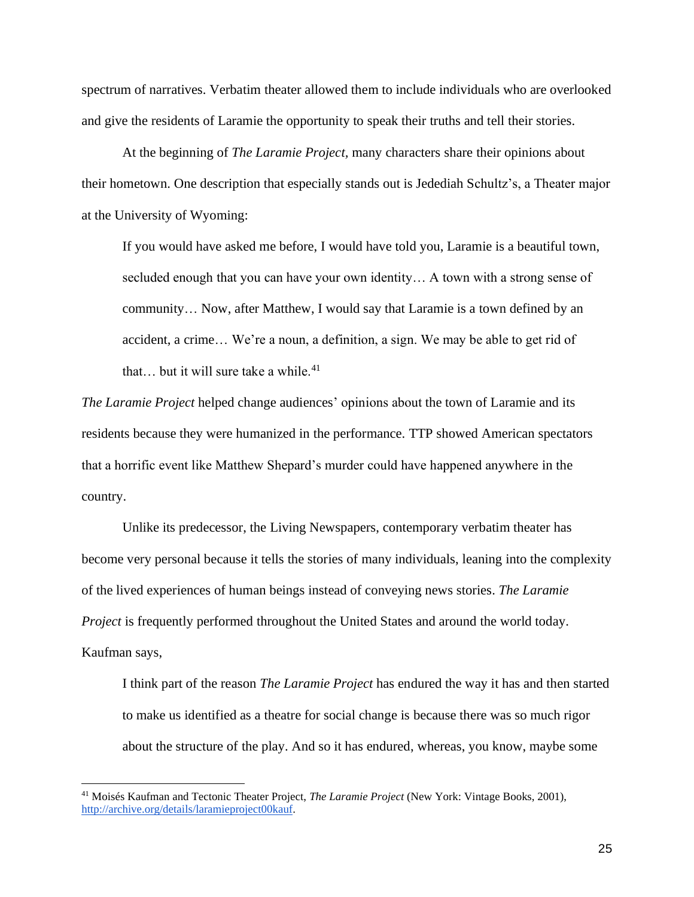spectrum of narratives. Verbatim theater allowed them to include individuals who are overlooked and give the residents of Laramie the opportunity to speak their truths and tell their stories.

At the beginning of *The Laramie Project,* many characters share their opinions about their hometown. One description that especially stands out is Jedediah Schultz's, a Theater major at the University of Wyoming:

If you would have asked me before, I would have told you, Laramie is a beautiful town, secluded enough that you can have your own identity… A town with a strong sense of community… Now, after Matthew, I would say that Laramie is a town defined by an accident, a crime… We're a noun, a definition, a sign. We may be able to get rid of that... but it will sure take a while. $41$ 

*The Laramie Project* helped change audiences' opinions about the town of Laramie and its residents because they were humanized in the performance. TTP showed American spectators that a horrific event like Matthew Shepard's murder could have happened anywhere in the country.

Unlike its predecessor, the Living Newspapers, contemporary verbatim theater has become very personal because it tells the stories of many individuals, leaning into the complexity of the lived experiences of human beings instead of conveying news stories. *The Laramie Project* is frequently performed throughout the United States and around the world today. Kaufman says,

I think part of the reason *The Laramie Project* has endured the way it has and then started to make us identified as a theatre for social change is because there was so much rigor about the structure of the play. And so it has endured, whereas, you know, maybe some

<sup>41</sup> Moisés Kaufman and Tectonic Theater Project, *The Laramie Project* (New York: Vintage Books, 2001)[,](http://archive.org/details/laramieproject00kauf) http://archive.org/details/laramieproject00kauf.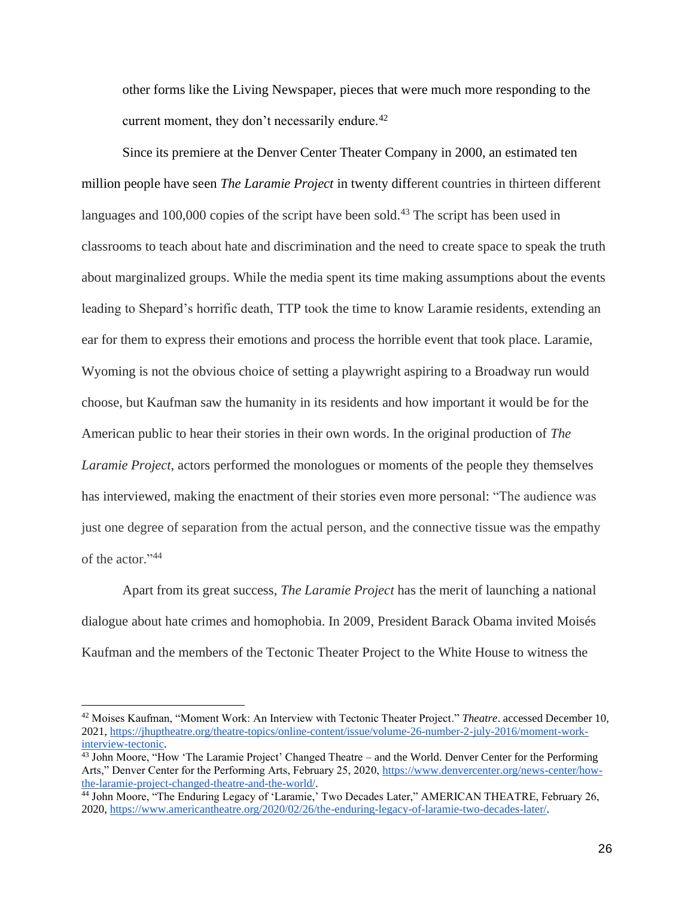other forms like the Living Newspaper, pieces that were much more responding to the current moment, they don't necessarily endure.<sup>42</sup>

Since its premiere at the Denver Center Theater Company in 2000, an estimated ten million people have seen *The Laramie Project* in twenty different countries in thirteen different languages and  $100,000$  copies of the script have been sold.<sup>43</sup> The script has been used in classrooms to teach about hate and discrimination and the need to create space to speak the truth about marginalized groups. While the media spent its time making assumptions about the events leading to Shepard's horrific death, TTP took the time to know Laramie residents, extending an ear for them to express their emotions and process the horrible event that took place. Laramie, Wyoming is not the obvious choice of setting a playwright aspiring to a Broadway run would choose, but Kaufman saw the humanity in its residents and how important it would be for the American public to hear their stories in their own words. In the original production of *The Laramie Project*, actors performed the monologues or moments of the people they themselves has interviewed, making the enactment of their stories even more personal: "The audience was just one degree of separation from the actual person, and the connective tissue was the empathy of the actor." 44

Apart from its great success, *The Laramie Project* has the merit of launching a national dialogue about hate crimes and homophobia. In 2009, President Barack Obama invited Moisés Kaufman and the members of the Tectonic Theater Project to the White House to witness the

<sup>42</sup> Moises Kaufman, "Moment Work: An Interview with Tectonic Theater Project." *Theatre*. accessed December 10, 202[1,](https://jhuptheatre.org/theatre-topics/online-content/issue/volume-26-number-2-july-2016/moment-work-interview-tectonic) https://jhuptheatre.org/theatre-topics/online-content/issue/volume-26-number-2-july-2016/moment-workinterview-tectonic.

<sup>&</sup>lt;sup>43</sup> John Moore, "How 'The Laramie Project' Changed Theatre – and the World. Denver Center for the Performing Arts," Denver Center for the Performing Arts, February 25, 2020, [h](https://www.denvercenter.org/news-center/how-the-laramie-project-changed-theatre-and-the-world/)ttps://www.denvercenter.org/news-center/howthe-laramie-project-changed-theatre-and-the-world/.

<sup>&</sup>lt;sup>44</sup> John Moore, "The Enduring Legacy of 'Laramie,' Two Decades Later," AMERICAN THEATRE, February 26, 202[0,](https://www.americantheatre.org/2020/02/26/the-enduring-legacy-of-laramie-two-decades-later/) [https://www.americantheatre.org/2020/02/26/the-enduring-legacy-of-laramie-two-decades-later/.](https://www.americantheatre.org/2020/02/26/the-enduring-legacy-of-laramie-two-decades-later/)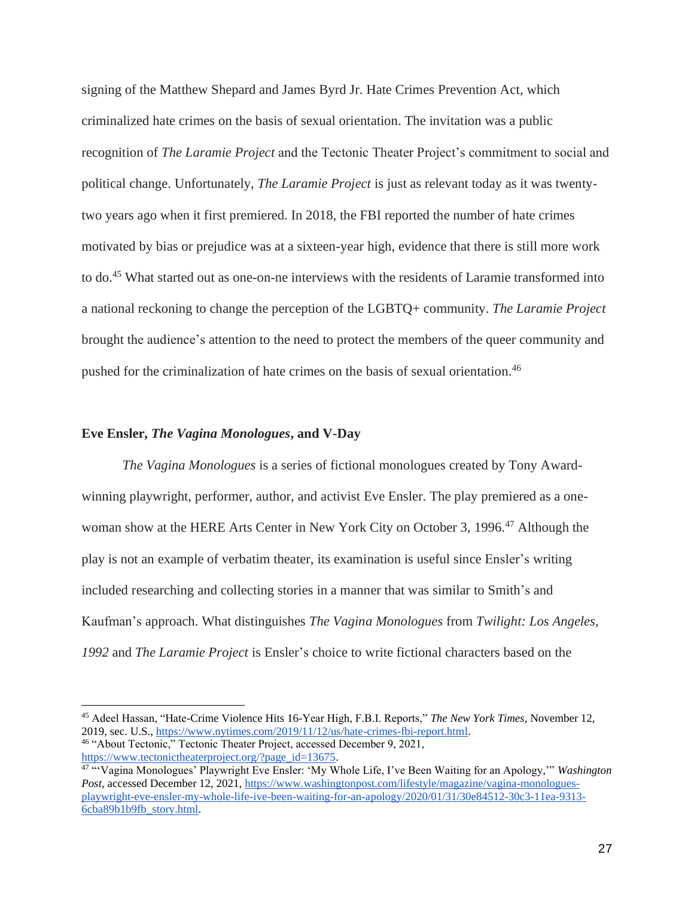signing of the Matthew Shepard and James Byrd Jr. Hate Crimes Prevention Act, which criminalized hate crimes on the basis of sexual orientation. The invitation was a public recognition of *The Laramie Project* and the Tectonic Theater Project's commitment to social and political change. Unfortunately, *The Laramie Project* is just as relevant today as it was twentytwo years ago when it first premiered. In 2018, the FBI reported the number of hate crimes motivated by bias or prejudice was at a sixteen-year high, evidence that there is still more work to do. <sup>45</sup> What started out as one-on-ne interviews with the residents of Laramie transformed into a national reckoning to change the perception of the LGBTQ+ community. *The Laramie Project* brought the audience's attention to the need to protect the members of the queer community and pushed for the criminalization of hate crimes on the basis of sexual orientation. 46

#### **Eve Ensler,** *The Vagina Monologues***, and V-Day**

*The Vagina Monologues* is a series of fictional monologues created by Tony Awardwinning playwright, performer, author, and activist Eve Ensler. The play premiered as a onewoman show at the HERE Arts Center in New York City on October 3, 1996. <sup>47</sup> Although the play is not an example of verbatim theater, its examination is useful since Ensler's writing included researching and collecting stories in a manner that was similar to Smith's and Kaufman's approach. What distinguishes *The Vagina Monologues* from *Twilight: Los Angeles, 1992* and *The Laramie Project* is Ensler's choice to write fictional characters based on the

<sup>45</sup> Adeel Hassan, "Hate-Crime Violence Hits 16-Year High, F.B.I. Reports," *The New York Times*, November 12, 2019, sec. U.S.[,](https://www.nytimes.com/2019/11/12/us/hate-crimes-fbi-report.html) [https://www.nytimes.com/2019/11/12/us/hate-crimes-fbi-report.html.](https://www.nytimes.com/2019/11/12/us/hate-crimes-fbi-report.html) <sup>46</sup> "About Tectonic," Tectonic Theater Project, accessed December 9, 202[1,](https://www.tectonictheaterproject.org/?page_id=13675) https://www.tectonictheaterproject.org/?page\_id=13675.

<sup>47</sup> "'Vagina Monologues' Playwright Eve Ensler: 'My Whole Life, I've Been Waiting for an Apology,'" *Washington Post*, accessed December 12, 2021[,](https://www.washingtonpost.com/lifestyle/magazine/vagina-monologues-playwright-eve-ensler-my-whole-life-ive-been-waiting-for-an-apology/2020/01/31/30e84512-30c3-11ea-9313-6cba89b1b9fb_story.html) https://www.washingtonpost.com/lifestyle/magazine/vagina-monologuesplaywright-eve-ensler-my-whole-life-ive-been-waiting-for-an-apology/2020/01/31/30e84512-30c3-11ea-9313- 6cba89b1b9fb\_story.html.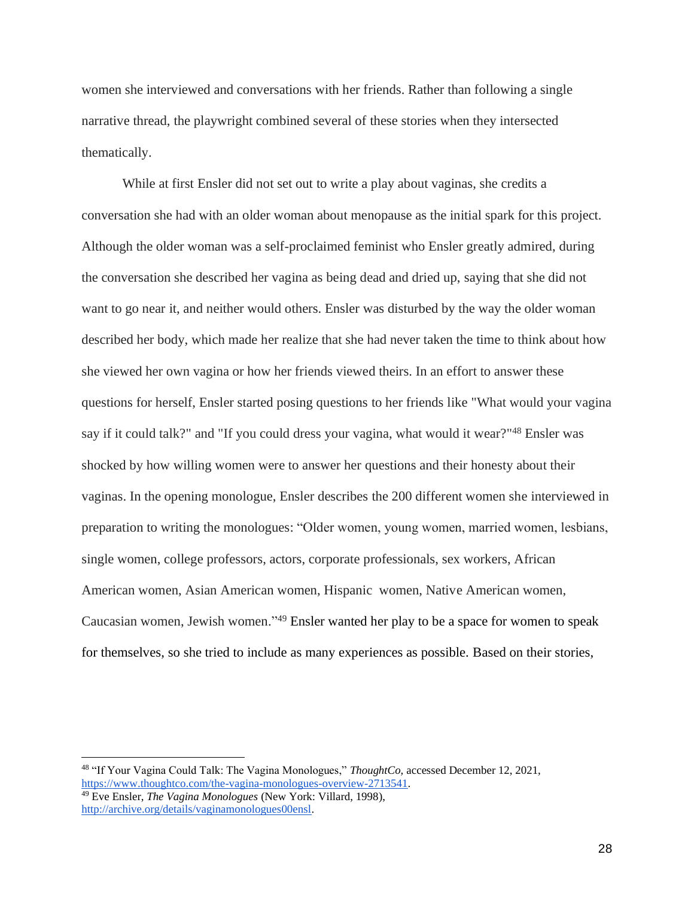women she interviewed and conversations with her friends. Rather than following a single narrative thread, the playwright combined several of these stories when they intersected thematically.

While at first Ensler did not set out to write a play about vaginas, she credits a conversation she had with an older woman about menopause as the initial spark for this project. Although the older woman was a self-proclaimed feminist who Ensler greatly admired, during the conversation she described her vagina as being dead and dried up, saying that she did not want to go near it, and neither would others. Ensler was disturbed by the way the older woman described her body, which made her realize that she had never taken the time to think about how she viewed her own vagina or how her friends viewed theirs. In an effort to answer these questions for herself, Ensler started posing questions to her friends like "What would your vagina say if it could talk?" and "If you could dress your vagina, what would it wear?"<sup>48</sup> Ensler was shocked by how willing women were to answer her questions and their honesty about their vaginas. In the opening monologue, Ensler describes the 200 different women she interviewed in preparation to writing the monologues: "Older women, young women, married women, lesbians, single women, college professors, actors, corporate professionals, sex workers, African American women, Asian American women, Hispanic women, Native American women, Caucasian women, Jewish women." <sup>49</sup> Ensler wanted her play to be a space for women to speak for themselves, so she tried to include as many experiences as possible. Based on their stories,

<sup>48</sup> "If Your Vagina Could Talk: The Vagina Monologues," *ThoughtCo,* accessed December 12, 2021[,](https://www.thoughtco.com/the-vagina-monologues-overview-2713541) https://www.thoughtco.com/the-vagina-monologues-overview-2713541.

<sup>49</sup> Eve Ensler, *The Vagina Monologues* (New York: Villard, 1998)[,](http://archive.org/details/vaginamonologues00ensl) http://archive.org/details/vaginamonologues00ensl.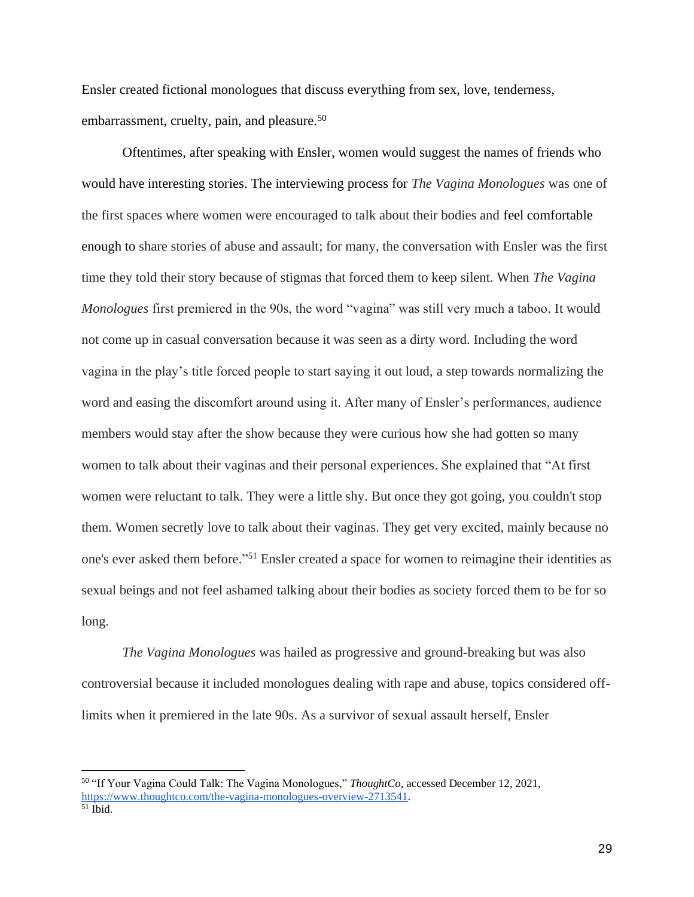Ensler created fictional monologues that discuss everything from sex, love, tenderness, embarrassment, cruelty, pain, and pleasure.<sup>50</sup>

Oftentimes, after speaking with Ensler, women would suggest the names of friends who would have interesting stories. The interviewing process for *The Vagina Monologues* was one of the first spaces where women were encouraged to talk about their bodies and feel comfortable enough to share stories of abuse and assault; for many, the conversation with Ensler was the first time they told their story because of stigmas that forced them to keep silent. When *The Vagina Monologues* first premiered in the 90s, the word "vagina" was still very much a taboo. It would not come up in casual conversation because it was seen as a dirty word. Including the word vagina in the play's title forced people to start saying it out loud, a step towards normalizing the word and easing the discomfort around using it. After many of Ensler's performances, audience members would stay after the show because they were curious how she had gotten so many women to talk about their vaginas and their personal experiences. She explained that "At first women were reluctant to talk. They were a little shy. But once they got going, you couldn't stop them. Women secretly love to talk about their vaginas. They get very excited, mainly because no one's ever asked them before." <sup>51</sup> Ensler created a space for women to reimagine their identities as sexual beings and not feel ashamed talking about their bodies as society forced them to be for so long.

*The Vagina Monologues* was hailed as progressive and ground-breaking but was also controversial because it included monologues dealing with rape and abuse, topics considered offlimits when it premiered in the late 90s. As a survivor of sexual assault herself, Ensler

<sup>50</sup> "If Your Vagina Could Talk: The Vagina Monologues," *ThoughtCo*, accessed December 12, 2021[,](https://www.thoughtco.com/the-vagina-monologues-overview-2713541) https://www.thoughtco.com/the-vagina-monologues-overview-2713541.  $51$  Ibid.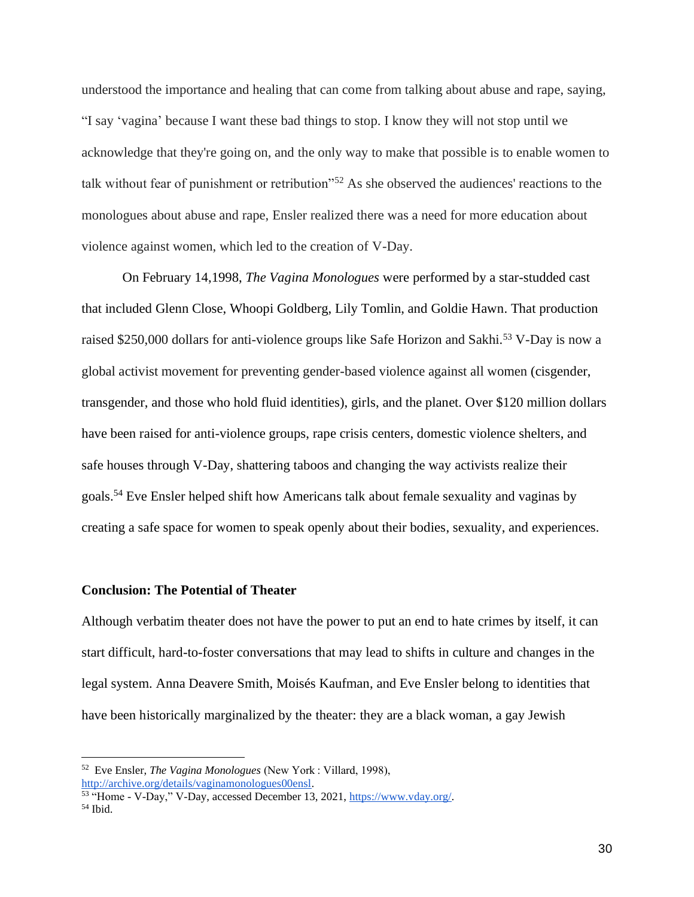understood the importance and healing that can come from talking about abuse and rape, saying, "I say 'vagina' because I want these bad things to stop. I know they will not stop until we acknowledge that they're going on, and the only way to make that possible is to enable women to talk without fear of punishment or retribution"<sup>52</sup> As she observed the audiences' reactions to the monologues about abuse and rape, Ensler realized there was a need for more education about violence against women, which led to the creation of V-Day.

On February 14,1998, *The Vagina Monologues* were performed by a star-studded cast that included Glenn Close, Whoopi Goldberg, Lily Tomlin, and Goldie Hawn. That production raised \$250,000 dollars for anti-violence groups like Safe Horizon and Sakhi.<sup>53</sup> V-Day is now a global activist movement for preventing gender-based violence against all women (cisgender, transgender, and those who hold fluid identities), girls, and the planet. Over \$120 million dollars have been raised for anti-violence groups, rape crisis centers, domestic violence shelters, and safe houses through V-Day, shattering taboos and changing the way activists realize their goals.<sup>54</sup> Eve Ensler helped shift how Americans talk about female sexuality and vaginas by creating a safe space for women to speak openly about their bodies, sexuality, and experiences.

#### **Conclusion: The Potential of Theater**

Although verbatim theater does not have the power to put an end to hate crimes by itself, it can start difficult, hard-to-foster conversations that may lead to shifts in culture and changes in the legal system. Anna Deavere Smith, Moisés Kaufman, and Eve Ensler belong to identities that have been historically marginalized by the theater: they are a black woman, a gay Jewish

<sup>52</sup> Eve Ensler, *The Vagina Monologues* (New York : Villard, 1998[\),](http://archive.org/details/vaginamonologues00ensl) http://archive.org/details/vaginamonologues00ensl.

<sup>&</sup>lt;sup>53</sup> "Home - V-Day," V-Day, accessed December 13, 202[1,](https://www.vday.org/) https://www.vday.org/.  $54$  Ibid.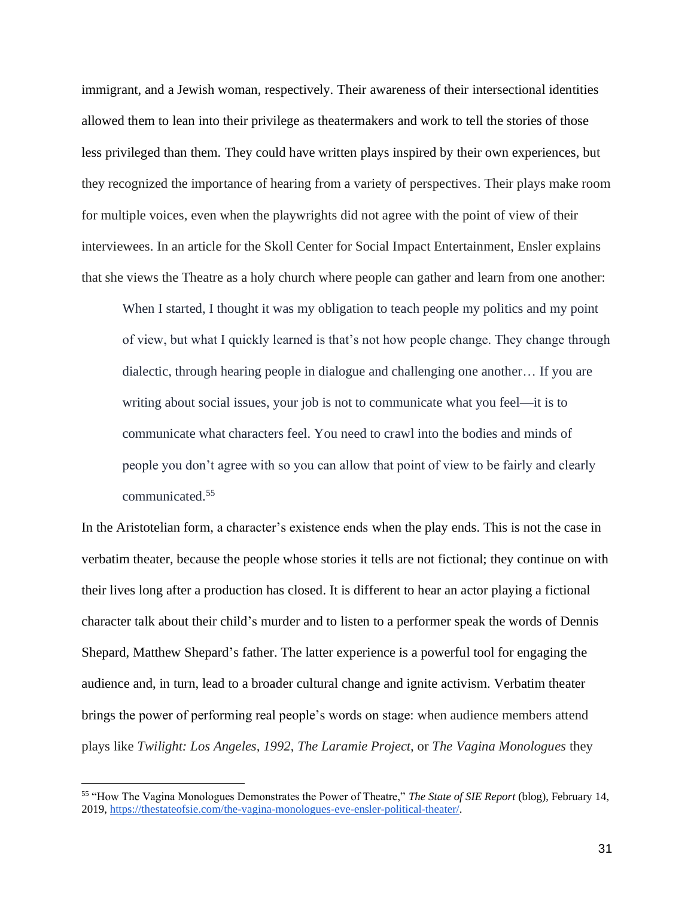immigrant, and a Jewish woman, respectively. Their awareness of their intersectional identities allowed them to lean into their privilege as theatermakers and work to tell the stories of those less privileged than them. They could have written plays inspired by their own experiences, but they recognized the importance of hearing from a variety of perspectives. Their plays make room for multiple voices, even when the playwrights did not agree with the point of view of their interviewees. In an article for the Skoll Center for Social Impact Entertainment, Ensler explains that she views the Theatre as a holy church where people can gather and learn from one another:

When I started, I thought it was my obligation to teach people my politics and my point of view, but what I quickly learned is that's not how people change. They change through dialectic, through hearing people in dialogue and challenging one another… If you are writing about social issues, your job is not to communicate what you feel—it is to communicate what characters feel. You need to crawl into the bodies and minds of people you don't agree with so you can allow that point of view to be fairly and clearly communicated.<sup>55</sup>

In the Aristotelian form, a character's existence ends when the play ends. This is not the case in verbatim theater, because the people whose stories it tells are not fictional; they continue on with their lives long after a production has closed. It is different to hear an actor playing a fictional character talk about their child's murder and to listen to a performer speak the words of Dennis Shepard, Matthew Shepard's father. The latter experience is a powerful tool for engaging the audience and, in turn, lead to a broader cultural change and ignite activism. Verbatim theater brings the power of performing real people's words on stage: when audience members attend plays like *Twilight: Los Angeles, 1992*, *The Laramie Project,* or *The Vagina Monologues* they

<sup>55</sup> "How The Vagina Monologues Demonstrates the Power of Theatre," *The State of SIE Report* (blog), February 14, 201[9,](https://thestateofsie.com/the-vagina-monologues-eve-ensler-political-theater/) https://thestateofsie.com/the-vagina-monologues-eve-ensler-political-theater/.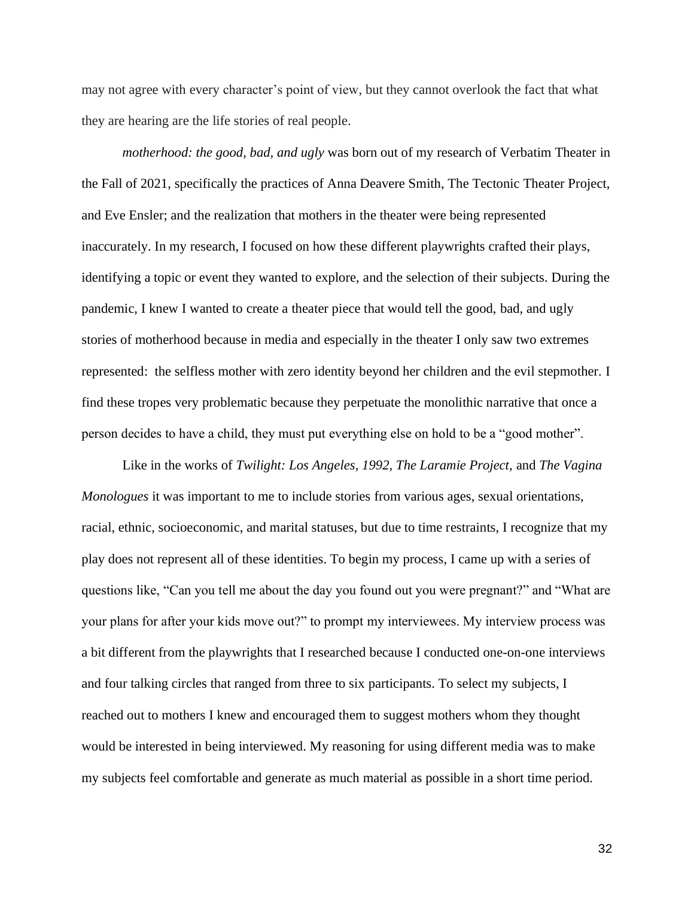may not agree with every character's point of view, but they cannot overlook the fact that what they are hearing are the life stories of real people.

*motherhood: the good, bad, and ugly* was born out of my research of Verbatim Theater in the Fall of 2021, specifically the practices of Anna Deavere Smith, The Tectonic Theater Project, and Eve Ensler; and the realization that mothers in the theater were being represented inaccurately. In my research, I focused on how these different playwrights crafted their plays, identifying a topic or event they wanted to explore, and the selection of their subjects. During the pandemic, I knew I wanted to create a theater piece that would tell the good, bad, and ugly stories of motherhood because in media and especially in the theater I only saw two extremes represented: the selfless mother with zero identity beyond her children and the evil stepmother. I find these tropes very problematic because they perpetuate the monolithic narrative that once a person decides to have a child, they must put everything else on hold to be a "good mother".

Like in the works of *Twilight: Los Angeles, 1992, The Laramie Project*, and *The Vagina Monologues* it was important to me to include stories from various ages, sexual orientations, racial, ethnic, socioeconomic, and marital statuses, but due to time restraints, I recognize that my play does not represent all of these identities. To begin my process, I came up with a series of questions like, "Can you tell me about the day you found out you were pregnant?" and "What are your plans for after your kids move out?" to prompt my interviewees. My interview process was a bit different from the playwrights that I researched because I conducted one-on-one interviews and four talking circles that ranged from three to six participants. To select my subjects, I reached out to mothers I knew and encouraged them to suggest mothers whom they thought would be interested in being interviewed. My reasoning for using different media was to make my subjects feel comfortable and generate as much material as possible in a short time period.

32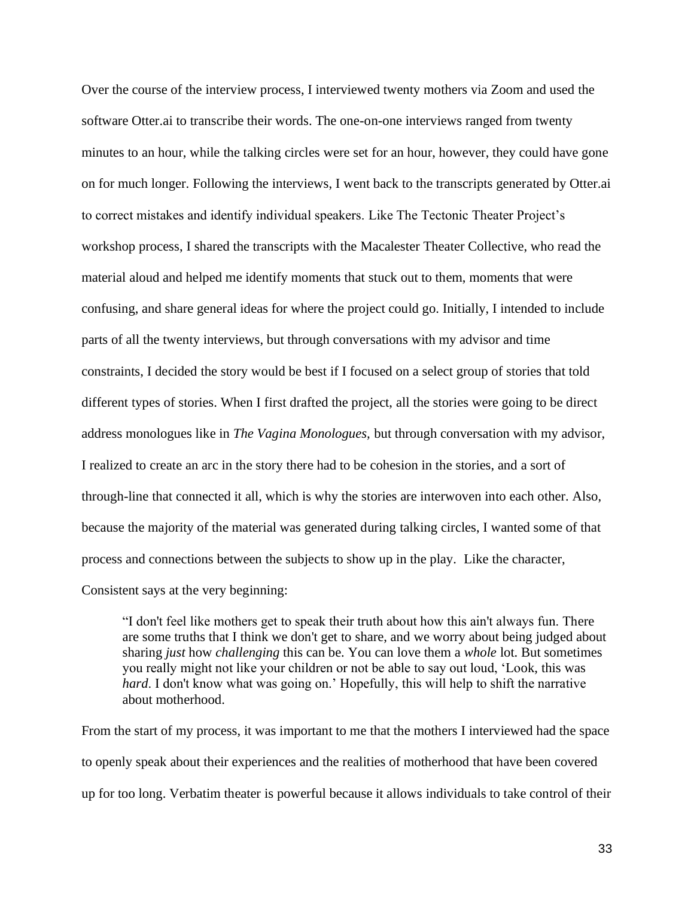Over the course of the interview process, I interviewed twenty mothers via Zoom and used the software Otter.ai to transcribe their words. The one-on-one interviews ranged from twenty minutes to an hour, while the talking circles were set for an hour, however, they could have gone on for much longer. Following the interviews, I went back to the transcripts generated by Otter.ai to correct mistakes and identify individual speakers. Like The Tectonic Theater Project's workshop process, I shared the transcripts with the Macalester Theater Collective, who read the material aloud and helped me identify moments that stuck out to them, moments that were confusing, and share general ideas for where the project could go. Initially, I intended to include parts of all the twenty interviews, but through conversations with my advisor and time constraints, I decided the story would be best if I focused on a select group of stories that told different types of stories. When I first drafted the project, all the stories were going to be direct address monologues like in *The Vagina Monologues,* but through conversation with my advisor, I realized to create an arc in the story there had to be cohesion in the stories, and a sort of through-line that connected it all, which is why the stories are interwoven into each other. Also, because the majority of the material was generated during talking circles, I wanted some of that process and connections between the subjects to show up in the play. Like the character, Consistent says at the very beginning:

"I don't feel like mothers get to speak their truth about how this ain't always fun. There are some truths that I think we don't get to share, and we worry about being judged about sharing *just* how *challenging* this can be. You can love them a *whole* lot. But sometimes you really might not like your children or not be able to say out loud, 'Look, this was *hard*. I don't know what was going on.' Hopefully, this will help to shift the narrative about motherhood.

From the start of my process, it was important to me that the mothers I interviewed had the space to openly speak about their experiences and the realities of motherhood that have been covered up for too long. Verbatim theater is powerful because it allows individuals to take control of their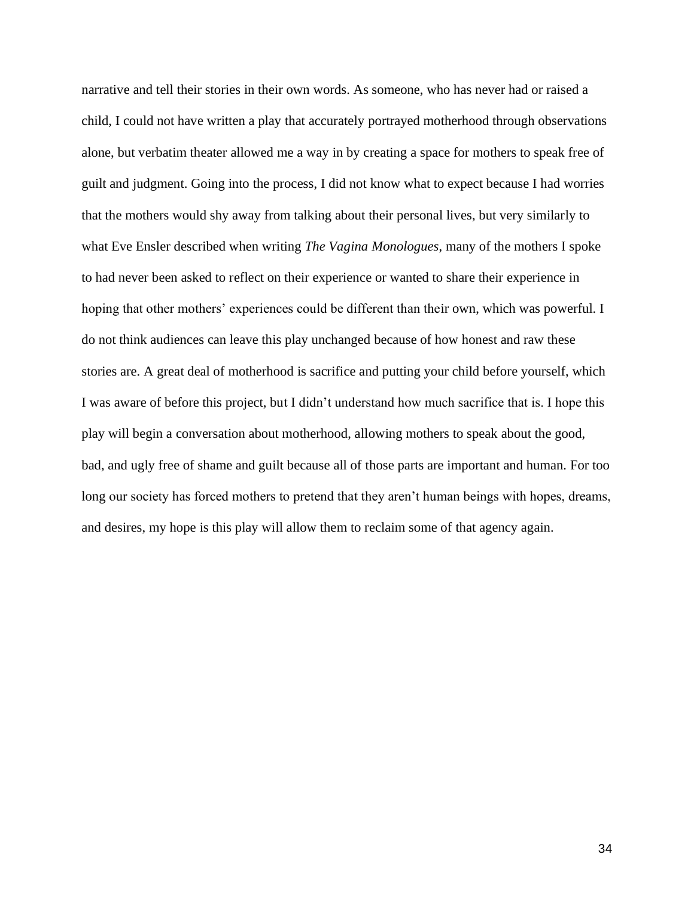narrative and tell their stories in their own words. As someone, who has never had or raised a child, I could not have written a play that accurately portrayed motherhood through observations alone, but verbatim theater allowed me a way in by creating a space for mothers to speak free of guilt and judgment. Going into the process, I did not know what to expect because I had worries that the mothers would shy away from talking about their personal lives, but very similarly to what Eve Ensler described when writing *The Vagina Monologues*, many of the mothers I spoke to had never been asked to reflect on their experience or wanted to share their experience in hoping that other mothers' experiences could be different than their own, which was powerful. I do not think audiences can leave this play unchanged because of how honest and raw these stories are. A great deal of motherhood is sacrifice and putting your child before yourself, which I was aware of before this project, but I didn't understand how much sacrifice that is. I hope this play will begin a conversation about motherhood, allowing mothers to speak about the good, bad, and ugly free of shame and guilt because all of those parts are important and human. For too long our society has forced mothers to pretend that they aren't human beings with hopes, dreams, and desires, my hope is this play will allow them to reclaim some of that agency again.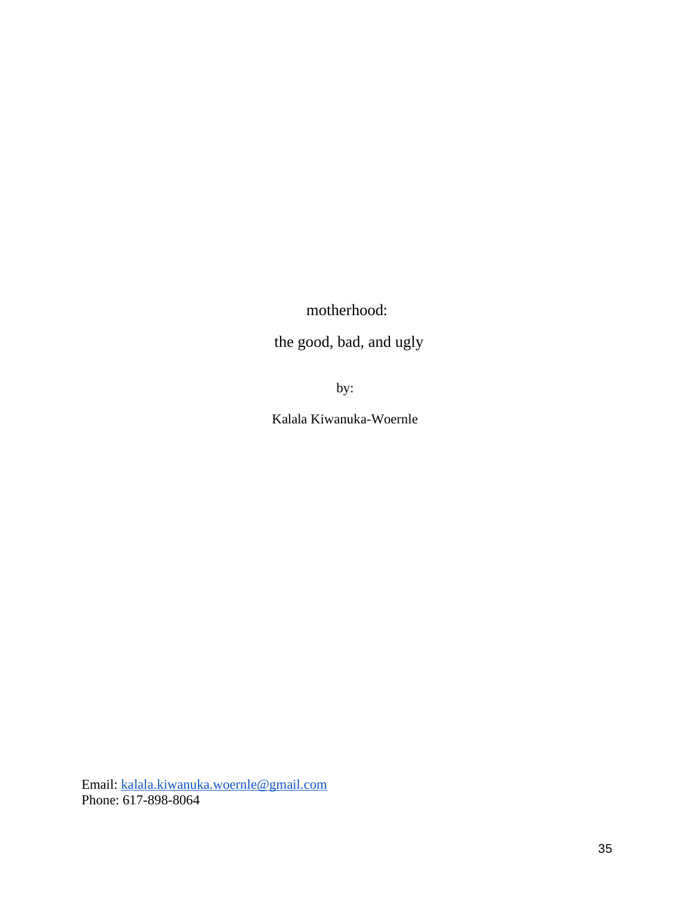motherhood:

the good, bad, and ugly

by:

Kalala Kiwanuka-Woernle

Email: [kalala.kiwanuka.woernle@gmail.com](mailto:kalala.kiwanuka.woernle@gmail.com) Phone: 617-898-8064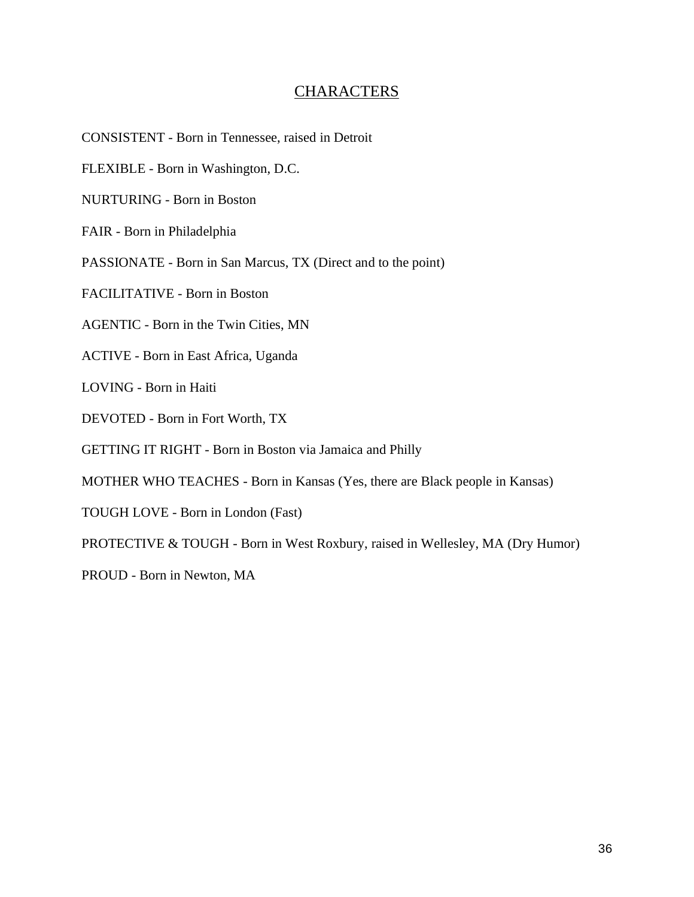## **CHARACTERS**

CONSISTENT - Born in Tennessee, raised in Detroit

FLEXIBLE - Born in Washington, D.C.

NURTURING - Born in Boston

FAIR - Born in Philadelphia

PASSIONATE - Born in San Marcus, TX (Direct and to the point)

FACILITATIVE - Born in Boston

AGENTIC - Born in the Twin Cities, MN

ACTIVE - Born in East Africa, Uganda

LOVING - Born in Haiti

DEVOTED - Born in Fort Worth, TX

GETTING IT RIGHT - Born in Boston via Jamaica and Philly

MOTHER WHO TEACHES - Born in Kansas (Yes, there are Black people in Kansas)

TOUGH LOVE - Born in London (Fast)

PROTECTIVE & TOUGH - Born in West Roxbury, raised in Wellesley, MA (Dry Humor)

PROUD - Born in Newton, MA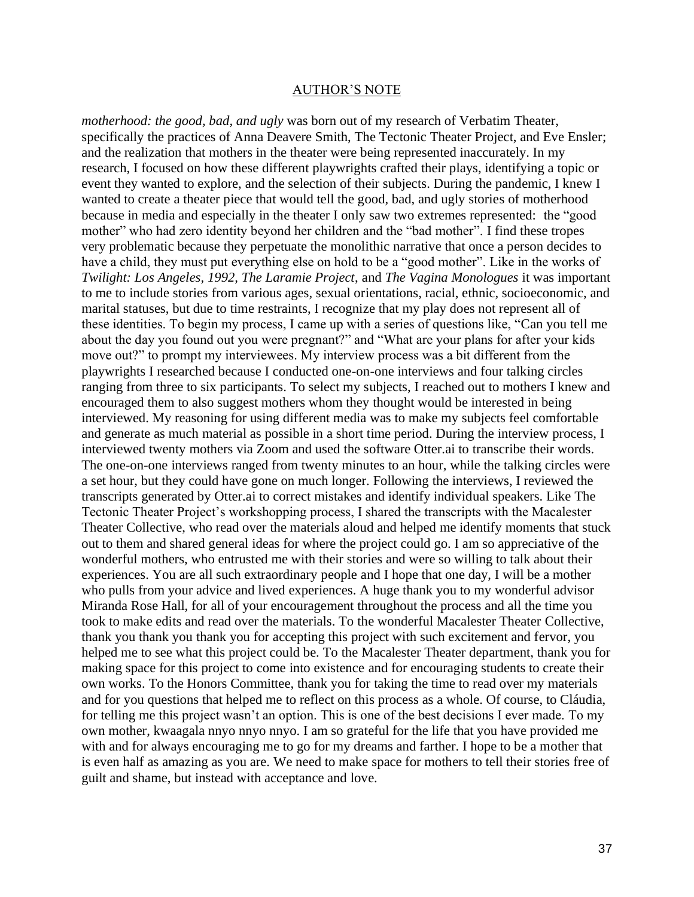#### AUTHOR'S NOTE

*motherhood: the good, bad, and ugly* was born out of my research of Verbatim Theater, specifically the practices of Anna Deavere Smith, The Tectonic Theater Project, and Eve Ensler; and the realization that mothers in the theater were being represented inaccurately. In my research, I focused on how these different playwrights crafted their plays, identifying a topic or event they wanted to explore, and the selection of their subjects. During the pandemic, I knew I wanted to create a theater piece that would tell the good, bad, and ugly stories of motherhood because in media and especially in the theater I only saw two extremes represented: the "good mother" who had zero identity beyond her children and the "bad mother". I find these tropes very problematic because they perpetuate the monolithic narrative that once a person decides to have a child, they must put everything else on hold to be a "good mother". Like in the works of *Twilight: Los Angeles, 1992, The Laramie Project*, and *The Vagina Monologues* it was important to me to include stories from various ages, sexual orientations, racial, ethnic, socioeconomic, and marital statuses, but due to time restraints, I recognize that my play does not represent all of these identities. To begin my process, I came up with a series of questions like, "Can you tell me about the day you found out you were pregnant?" and "What are your plans for after your kids move out?" to prompt my interviewees. My interview process was a bit different from the playwrights I researched because I conducted one-on-one interviews and four talking circles ranging from three to six participants. To select my subjects, I reached out to mothers I knew and encouraged them to also suggest mothers whom they thought would be interested in being interviewed. My reasoning for using different media was to make my subjects feel comfortable and generate as much material as possible in a short time period. During the interview process, I interviewed twenty mothers via Zoom and used the software Otter.ai to transcribe their words. The one-on-one interviews ranged from twenty minutes to an hour, while the talking circles were a set hour, but they could have gone on much longer. Following the interviews, I reviewed the transcripts generated by Otter.ai to correct mistakes and identify individual speakers. Like The Tectonic Theater Project's workshopping process, I shared the transcripts with the Macalester Theater Collective, who read over the materials aloud and helped me identify moments that stuck out to them and shared general ideas for where the project could go. I am so appreciative of the wonderful mothers, who entrusted me with their stories and were so willing to talk about their experiences. You are all such extraordinary people and I hope that one day, I will be a mother who pulls from your advice and lived experiences. A huge thank you to my wonderful advisor Miranda Rose Hall, for all of your encouragement throughout the process and all the time you took to make edits and read over the materials. To the wonderful Macalester Theater Collective, thank you thank you thank you for accepting this project with such excitement and fervor, you helped me to see what this project could be. To the Macalester Theater department, thank you for making space for this project to come into existence and for encouraging students to create their own works. To the Honors Committee, thank you for taking the time to read over my materials and for you questions that helped me to reflect on this process as a whole. Of course, to Cláudia, for telling me this project wasn't an option. This is one of the best decisions I ever made. To my own mother, kwaagala nnyo nnyo nnyo. I am so grateful for the life that you have provided me with and for always encouraging me to go for my dreams and farther. I hope to be a mother that is even half as amazing as you are. We need to make space for mothers to tell their stories free of guilt and shame, but instead with acceptance and love.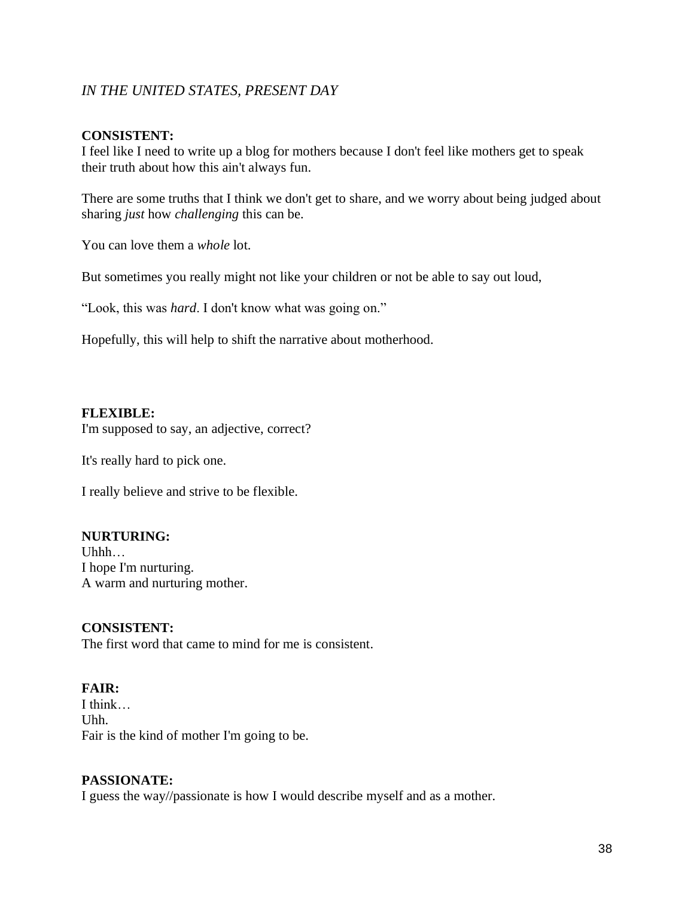## *IN THE UNITED STATES, PRESENT DAY*

#### **CONSISTENT:**

I feel like I need to write up a blog for mothers because I don't feel like mothers get to speak their truth about how this ain't always fun.

There are some truths that I think we don't get to share, and we worry about being judged about sharing *just* how *challenging* this can be.

You can love them a *whole* lot.

But sometimes you really might not like your children or not be able to say out loud,

"Look, this was *hard*. I don't know what was going on."

Hopefully, this will help to shift the narrative about motherhood.

#### **FLEXIBLE:**

I'm supposed to say, an adjective, correct?

It's really hard to pick one.

I really believe and strive to be flexible.

#### **NURTURING:**

Uhhh… I hope I'm nurturing. A warm and nurturing mother.

#### **CONSISTENT:**

The first word that came to mind for me is consistent.

#### **FAIR:**

I think… Uhh. Fair is the kind of mother I'm going to be.

#### **PASSIONATE:**

I guess the way//passionate is how I would describe myself and as a mother.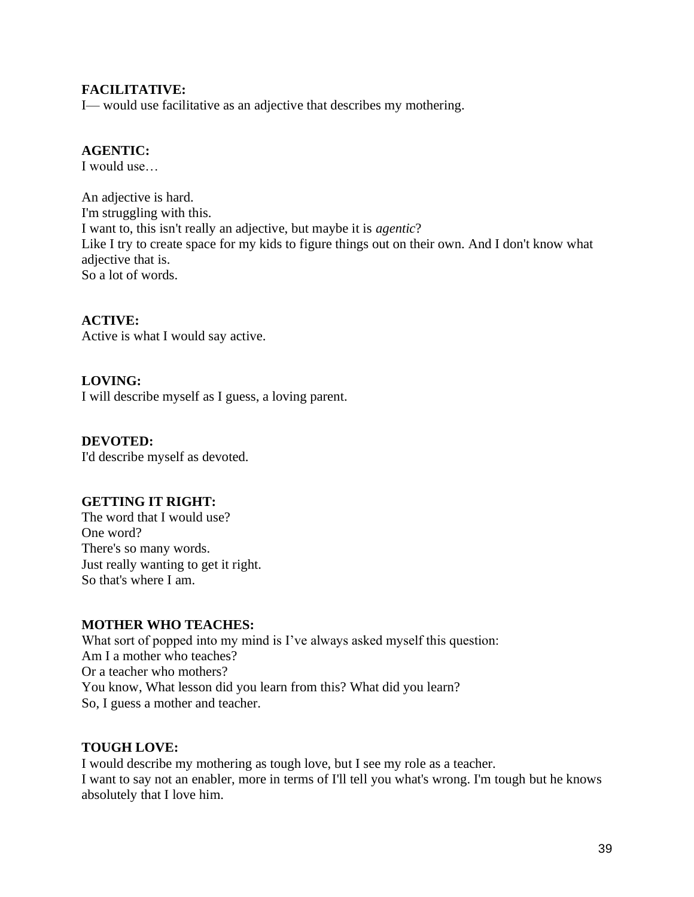## **FACILITATIVE:**

I— would use facilitative as an adjective that describes my mothering.

## **AGENTIC:**

I would use…

An adjective is hard. I'm struggling with this. I want to, this isn't really an adjective, but maybe it is *agentic*? Like I try to create space for my kids to figure things out on their own. And I don't know what adjective that is. So a lot of words.

**ACTIVE:** Active is what I would say active.

**LOVING:** I will describe myself as I guess, a loving parent.

**DEVOTED:** I'd describe myself as devoted.

## **GETTING IT RIGHT:**

The word that I would use? One word? There's so many words. Just really wanting to get it right. So that's where I am.

#### **MOTHER WHO TEACHES:**

What sort of popped into my mind is I've always asked myself this question: Am I a mother who teaches? Or a teacher who mothers? You know, What lesson did you learn from this? What did you learn? So, I guess a mother and teacher.

## **TOUGH LOVE:**

I would describe my mothering as tough love, but I see my role as a teacher. I want to say not an enabler, more in terms of I'll tell you what's wrong. I'm tough but he knows absolutely that I love him.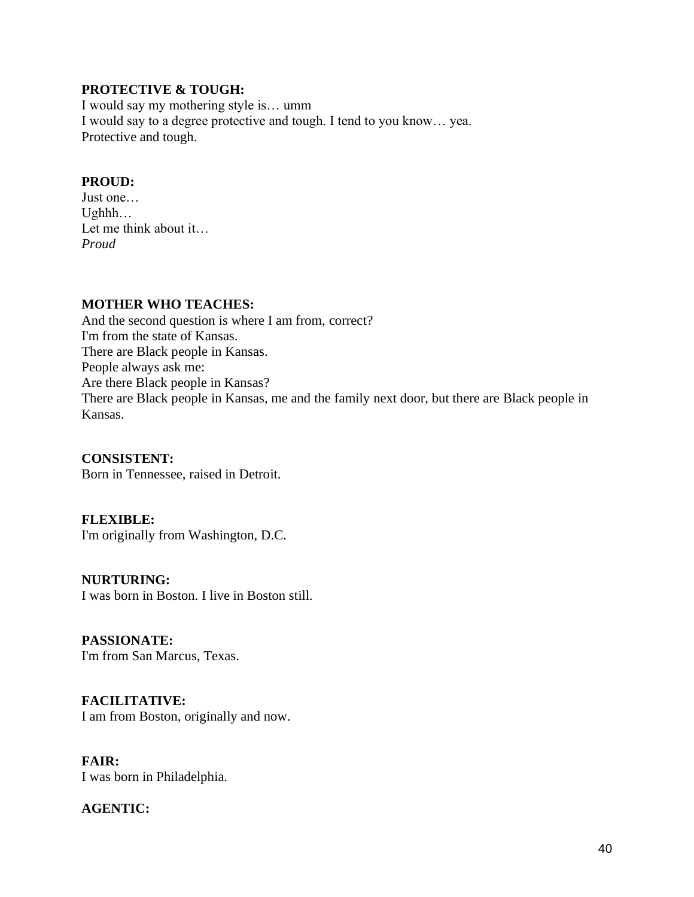#### **PROTECTIVE & TOUGH:**

I would say my mothering style is… umm I would say to a degree protective and tough. I tend to you know… yea. Protective and tough.

## **PROUD:**

Just one… Ughhh… Let me think about it… *Proud*

#### **MOTHER WHO TEACHES:**

And the second question is where I am from, correct? I'm from the state of Kansas. There are Black people in Kansas. People always ask me: Are there Black people in Kansas? There are Black people in Kansas, me and the family next door, but there are Black people in Kansas.

**CONSISTENT:** Born in Tennessee, raised in Detroit.

**FLEXIBLE:** I'm originally from Washington, D.C.

**NURTURING:** I was born in Boston. I live in Boston still.

**PASSIONATE:** I'm from San Marcus, Texas.

**FACILITATIVE:** I am from Boston, originally and now.

**FAIR:** I was born in Philadelphia.

**AGENTIC:**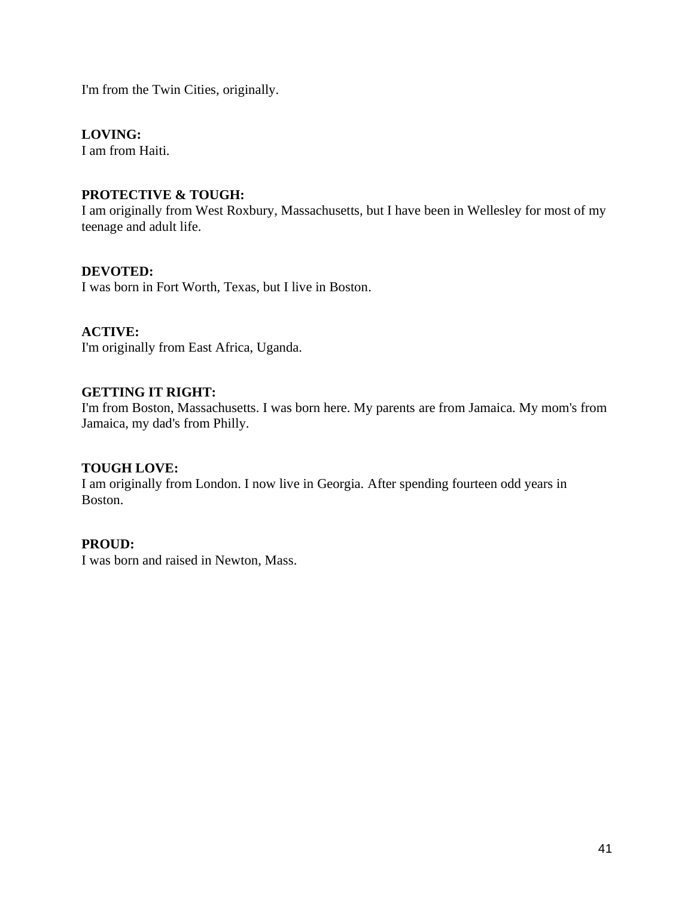I'm from the Twin Cities, originally.

#### **LOVING:**

I am from Haiti.

#### **PROTECTIVE & TOUGH:**

I am originally from West Roxbury, Massachusetts, but I have been in Wellesley for most of my teenage and adult life.

#### **DEVOTED:**

I was born in Fort Worth, Texas, but I live in Boston.

## **ACTIVE:**

I'm originally from East Africa, Uganda.

#### **GETTING IT RIGHT:**

I'm from Boston, Massachusetts. I was born here. My parents are from Jamaica. My mom's from Jamaica, my dad's from Philly.

#### **TOUGH LOVE:**

I am originally from London. I now live in Georgia. After spending fourteen odd years in Boston.

#### **PROUD:**

I was born and raised in Newton, Mass.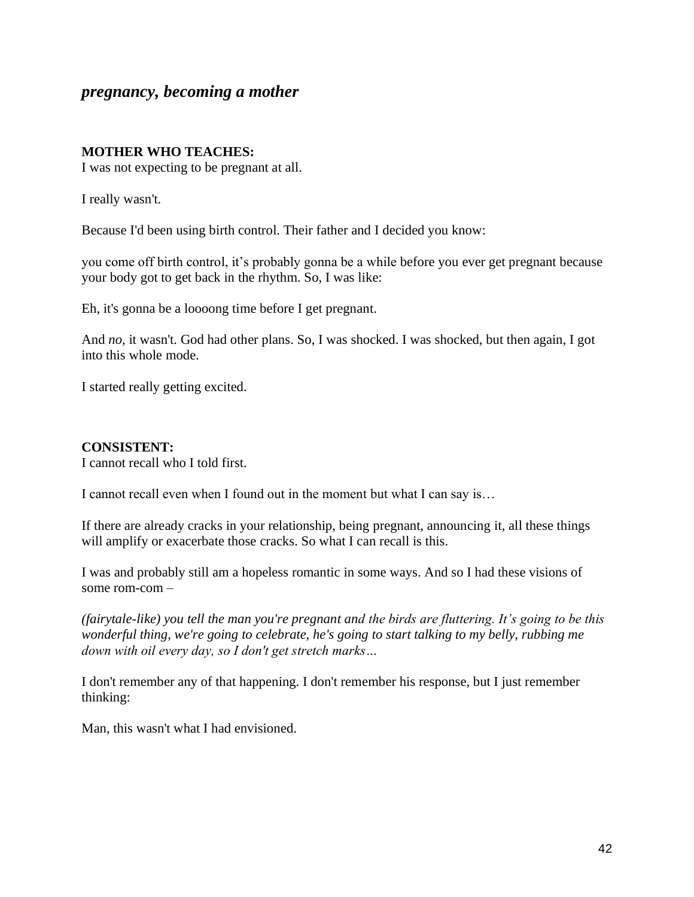## *pregnancy, becoming a mother*

#### **MOTHER WHO TEACHES:**

I was not expecting to be pregnant at all.

I really wasn't.

Because I'd been using birth control. Their father and I decided you know:

you come off birth control, it's probably gonna be a while before you ever get pregnant because your body got to get back in the rhythm. So, I was like:

Eh, it's gonna be a loooong time before I get pregnant.

And *no,* it wasn't. God had other plans. So, I was shocked. I was shocked, but then again, I got into this whole mode.

I started really getting excited.

#### **CONSISTENT:**

I cannot recall who I told first.

I cannot recall even when I found out in the moment but what I can say is…

If there are already cracks in your relationship, being pregnant, announcing it, all these things will amplify or exacerbate those cracks. So what I can recall is this.

I was and probably still am a hopeless romantic in some ways. And so I had these visions of some rom-com *–*

*(fairytale-like) you tell the man you're pregnant and the birds are fluttering. It's going to be this wonderful thing, we're going to celebrate, he's going to start talking to my belly, rubbing me down with oil every day, so I don't get stretch marks…*

I don't remember any of that happening. I don't remember his response, but I just remember thinking:

Man, this wasn't what I had envisioned.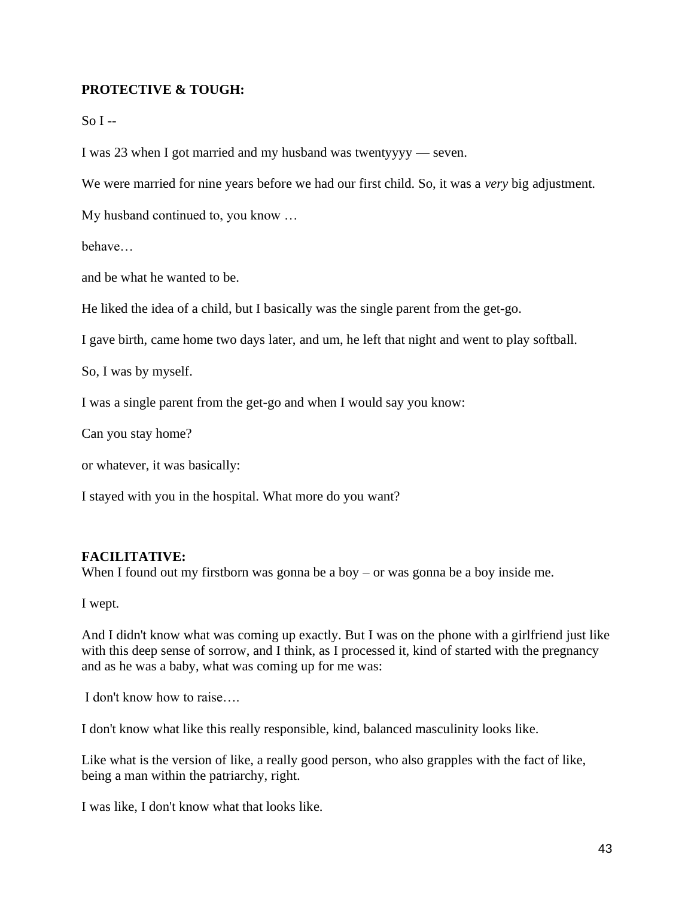#### **PROTECTIVE & TOUGH:**

#### $S<sub>0</sub> I -$

I was 23 when I got married and my husband was twentyyyy — seven.

We were married for nine years before we had our first child. So, it was a *very* big adjustment.

My husband continued to, you know …

behave…

and be what he wanted to be.

He liked the idea of a child, but I basically was the single parent from the get-go.

I gave birth, came home two days later, and um, he left that night and went to play softball.

So, I was by myself.

I was a single parent from the get-go and when I would say you know:

Can you stay home?

or whatever, it was basically:

I stayed with you in the hospital. What more do you want?

#### **FACILITATIVE:**

When I found out my firstborn was gonna be a boy – or was gonna be a boy inside me.

I wept.

And I didn't know what was coming up exactly. But I was on the phone with a girlfriend just like with this deep sense of sorrow, and I think, as I processed it, kind of started with the pregnancy and as he was a baby, what was coming up for me was:

I don't know how to raise….

I don't know what like this really responsible, kind, balanced masculinity looks like.

Like what is the version of like, a really good person, who also grapples with the fact of like, being a man within the patriarchy, right.

I was like, I don't know what that looks like.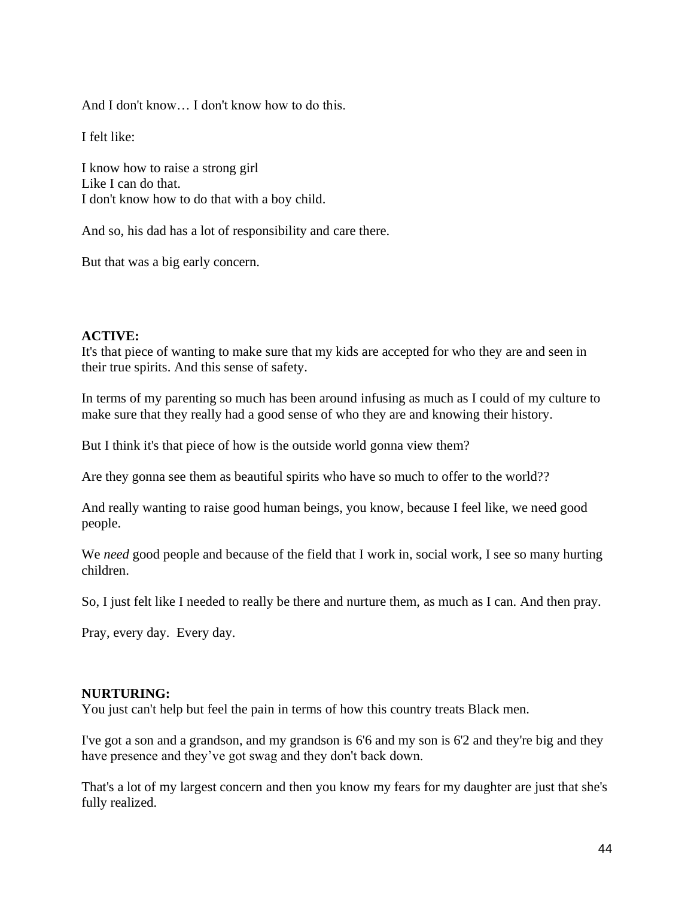And I don't know… I don't know how to do this.

I felt like:

I know how to raise a strong girl Like I can do that. I don't know how to do that with a boy child.

And so, his dad has a lot of responsibility and care there.

But that was a big early concern.

## **ACTIVE:**

It's that piece of wanting to make sure that my kids are accepted for who they are and seen in their true spirits. And this sense of safety.

In terms of my parenting so much has been around infusing as much as I could of my culture to make sure that they really had a good sense of who they are and knowing their history.

But I think it's that piece of how is the outside world gonna view them?

Are they gonna see them as beautiful spirits who have so much to offer to the world??

And really wanting to raise good human beings, you know, because I feel like, we need good people.

We *need* good people and because of the field that I work in, social work, I see so many hurting children.

So, I just felt like I needed to really be there and nurture them, as much as I can. And then pray.

Pray, every day. Every day.

#### **NURTURING:**

You just can't help but feel the pain in terms of how this country treats Black men.

I've got a son and a grandson, and my grandson is 6'6 and my son is 6'2 and they're big and they have presence and they've got swag and they don't back down.

That's a lot of my largest concern and then you know my fears for my daughter are just that she's fully realized.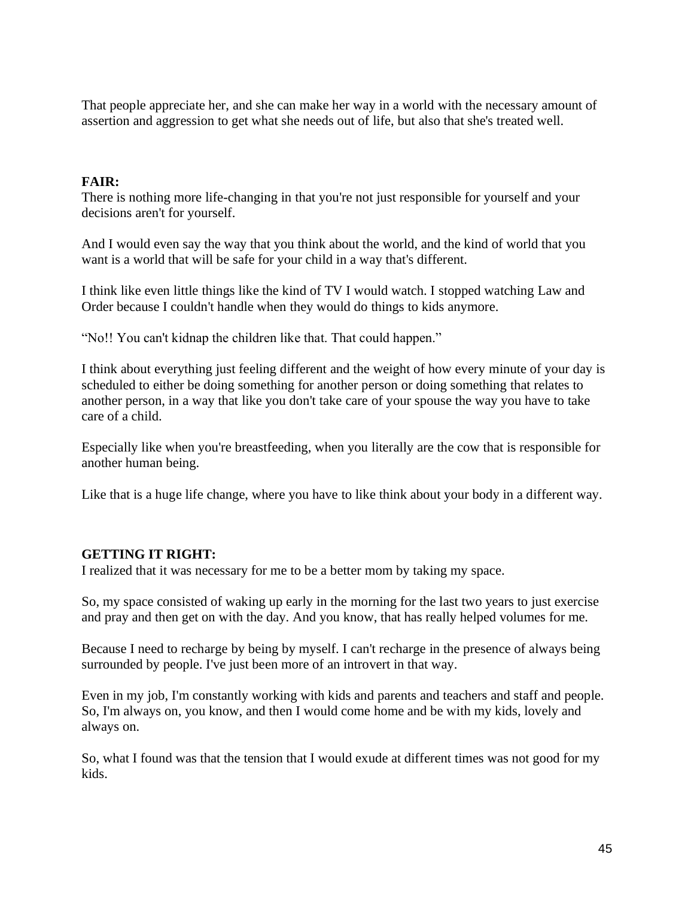That people appreciate her, and she can make her way in a world with the necessary amount of assertion and aggression to get what she needs out of life, but also that she's treated well.

## **FAIR:**

There is nothing more life-changing in that you're not just responsible for yourself and your decisions aren't for yourself.

And I would even say the way that you think about the world, and the kind of world that you want is a world that will be safe for your child in a way that's different.

I think like even little things like the kind of TV I would watch. I stopped watching Law and Order because I couldn't handle when they would do things to kids anymore.

"No!! You can't kidnap the children like that. That could happen."

I think about everything just feeling different and the weight of how every minute of your day is scheduled to either be doing something for another person or doing something that relates to another person, in a way that like you don't take care of your spouse the way you have to take care of a child.

Especially like when you're breastfeeding, when you literally are the cow that is responsible for another human being.

Like that is a huge life change, where you have to like think about your body in a different way.

#### **GETTING IT RIGHT:**

I realized that it was necessary for me to be a better mom by taking my space.

So, my space consisted of waking up early in the morning for the last two years to just exercise and pray and then get on with the day. And you know, that has really helped volumes for me.

Because I need to recharge by being by myself. I can't recharge in the presence of always being surrounded by people. I've just been more of an introvert in that way.

Even in my job, I'm constantly working with kids and parents and teachers and staff and people. So, I'm always on, you know, and then I would come home and be with my kids, lovely and always on.

So, what I found was that the tension that I would exude at different times was not good for my kids.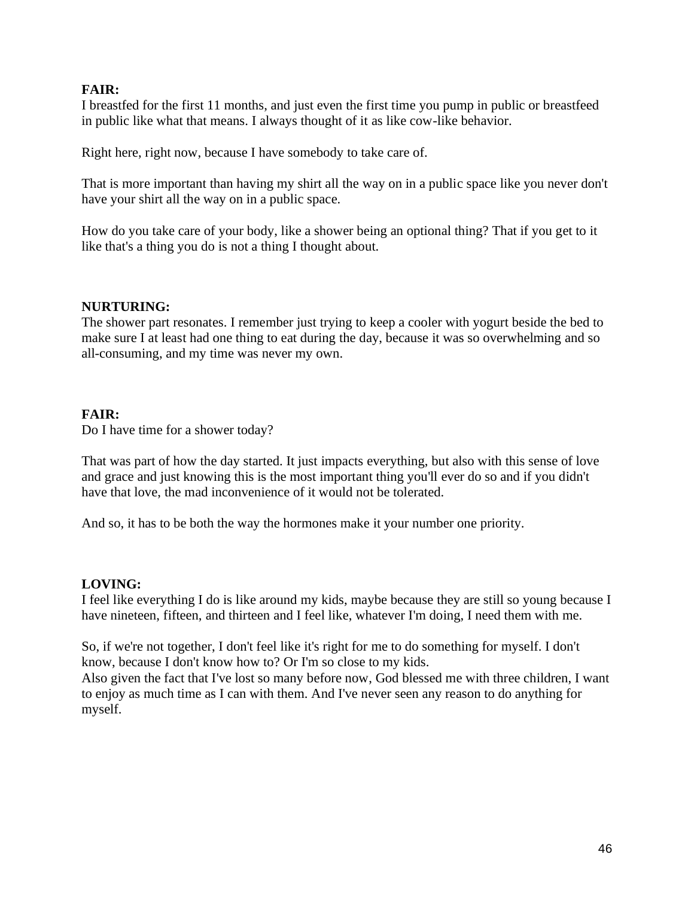#### **FAIR:**

I breastfed for the first 11 months, and just even the first time you pump in public or breastfeed in public like what that means. I always thought of it as like cow-like behavior.

Right here, right now, because I have somebody to take care of.

That is more important than having my shirt all the way on in a public space like you never don't have your shirt all the way on in a public space.

How do you take care of your body, like a shower being an optional thing? That if you get to it like that's a thing you do is not a thing I thought about.

#### **NURTURING:**

The shower part resonates. I remember just trying to keep a cooler with yogurt beside the bed to make sure I at least had one thing to eat during the day, because it was so overwhelming and so all-consuming, and my time was never my own.

## **FAIR:**

Do I have time for a shower today?

That was part of how the day started. It just impacts everything, but also with this sense of love and grace and just knowing this is the most important thing you'll ever do so and if you didn't have that love, the mad inconvenience of it would not be tolerated.

And so, it has to be both the way the hormones make it your number one priority.

#### **LOVING:**

I feel like everything I do is like around my kids, maybe because they are still so young because I have nineteen, fifteen, and thirteen and I feel like, whatever I'm doing, I need them with me.

So, if we're not together, I don't feel like it's right for me to do something for myself. I don't know, because I don't know how to? Or I'm so close to my kids.

Also given the fact that I've lost so many before now, God blessed me with three children, I want to enjoy as much time as I can with them. And I've never seen any reason to do anything for myself.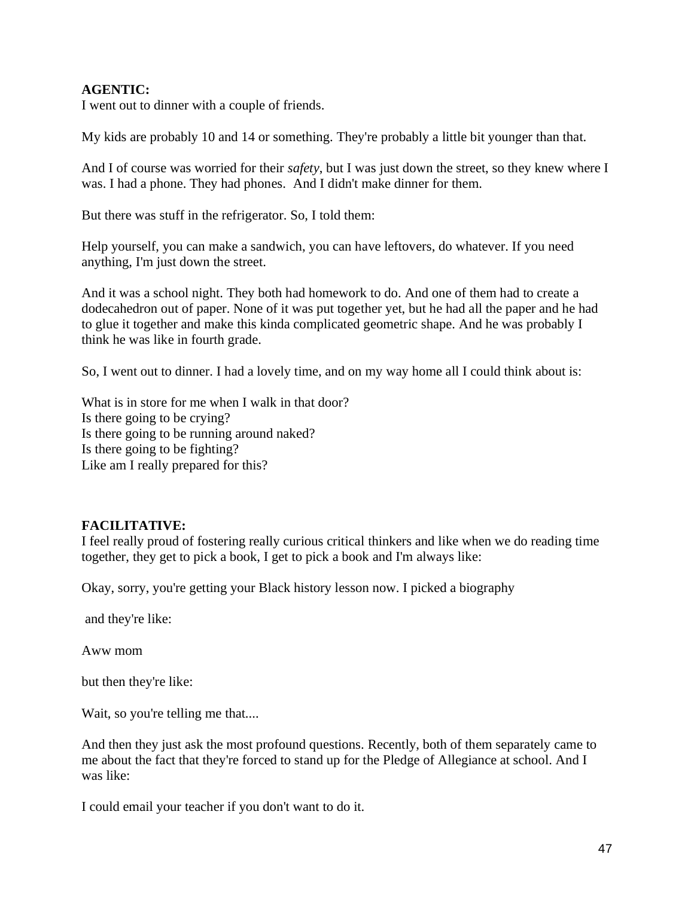## **AGENTIC:**

I went out to dinner with a couple of friends.

My kids are probably 10 and 14 or something. They're probably a little bit younger than that.

And I of course was worried for their *safety*, but I was just down the street, so they knew where I was. I had a phone. They had phones. And I didn't make dinner for them.

But there was stuff in the refrigerator. So, I told them:

Help yourself, you can make a sandwich, you can have leftovers, do whatever. If you need anything, I'm just down the street.

And it was a school night. They both had homework to do. And one of them had to create a dodecahedron out of paper. None of it was put together yet, but he had all the paper and he had to glue it together and make this kinda complicated geometric shape. And he was probably I think he was like in fourth grade.

So, I went out to dinner. I had a lovely time, and on my way home all I could think about is:

What is in store for me when I walk in that door? Is there going to be crying? Is there going to be running around naked? Is there going to be fighting? Like am I really prepared for this?

## **FACILITATIVE:**

I feel really proud of fostering really curious critical thinkers and like when we do reading time together, they get to pick a book, I get to pick a book and I'm always like:

Okay, sorry, you're getting your Black history lesson now. I picked a biography

and they're like:

Aww mom

but then they're like:

Wait, so you're telling me that....

And then they just ask the most profound questions. Recently, both of them separately came to me about the fact that they're forced to stand up for the Pledge of Allegiance at school. And I was like:

I could email your teacher if you don't want to do it.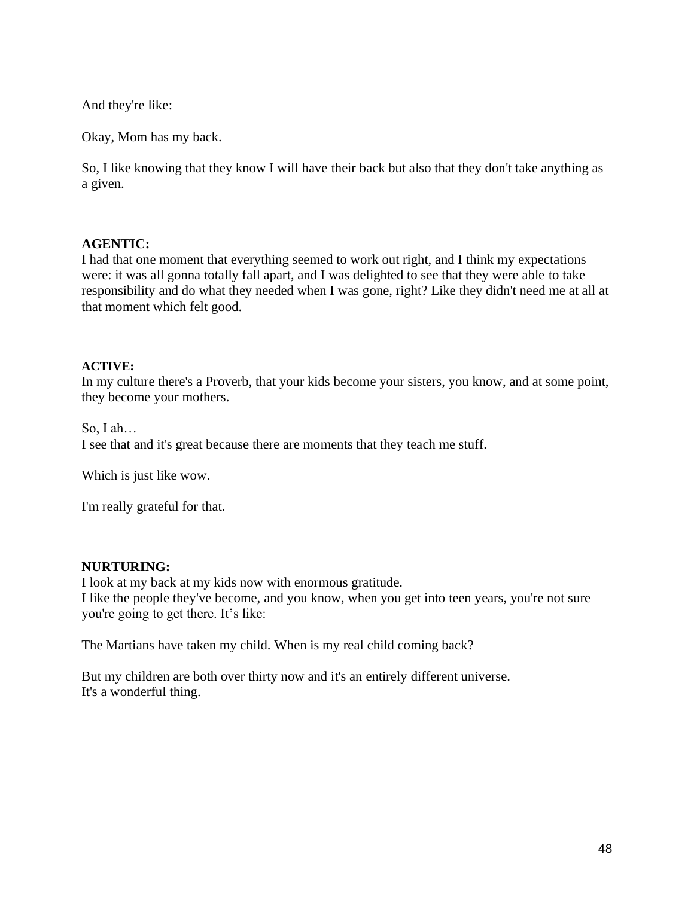And they're like:

Okay, Mom has my back.

So, I like knowing that they know I will have their back but also that they don't take anything as a given.

#### **AGENTIC:**

I had that one moment that everything seemed to work out right, and I think my expectations were: it was all gonna totally fall apart, and I was delighted to see that they were able to take responsibility and do what they needed when I was gone, right? Like they didn't need me at all at that moment which felt good.

#### **ACTIVE:**

In my culture there's a Proverb, that your kids become your sisters, you know, and at some point, they become your mothers.

So, I ah… I see that and it's great because there are moments that they teach me stuff.

Which is just like wow.

I'm really grateful for that.

#### **NURTURING:**

I look at my back at my kids now with enormous gratitude. I like the people they've become, and you know, when you get into teen years, you're not sure you're going to get there. It's like:

The Martians have taken my child. When is my real child coming back?

But my children are both over thirty now and it's an entirely different universe. It's a wonderful thing.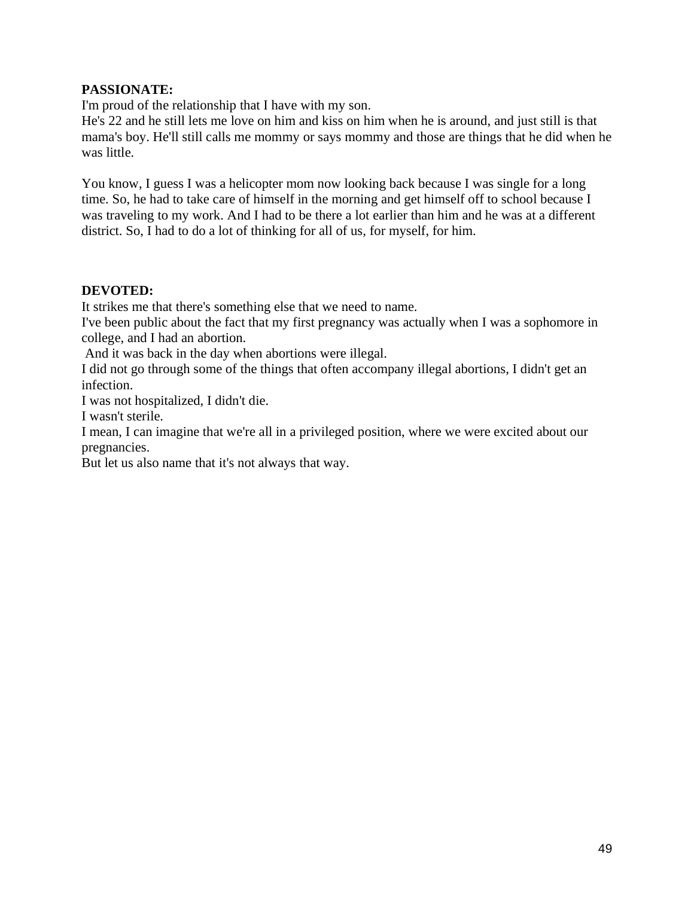### **PASSIONATE:**

I'm proud of the relationship that I have with my son.

He's 22 and he still lets me love on him and kiss on him when he is around, and just still is that mama's boy. He'll still calls me mommy or says mommy and those are things that he did when he was little.

You know, I guess I was a helicopter mom now looking back because I was single for a long time. So, he had to take care of himself in the morning and get himself off to school because I was traveling to my work. And I had to be there a lot earlier than him and he was at a different district. So, I had to do a lot of thinking for all of us, for myself, for him.

#### **DEVOTED:**

It strikes me that there's something else that we need to name.

I've been public about the fact that my first pregnancy was actually when I was a sophomore in college, and I had an abortion.

And it was back in the day when abortions were illegal.

I did not go through some of the things that often accompany illegal abortions, I didn't get an infection.

I was not hospitalized, I didn't die.

I wasn't sterile.

I mean, I can imagine that we're all in a privileged position, where we were excited about our pregnancies.

But let us also name that it's not always that way.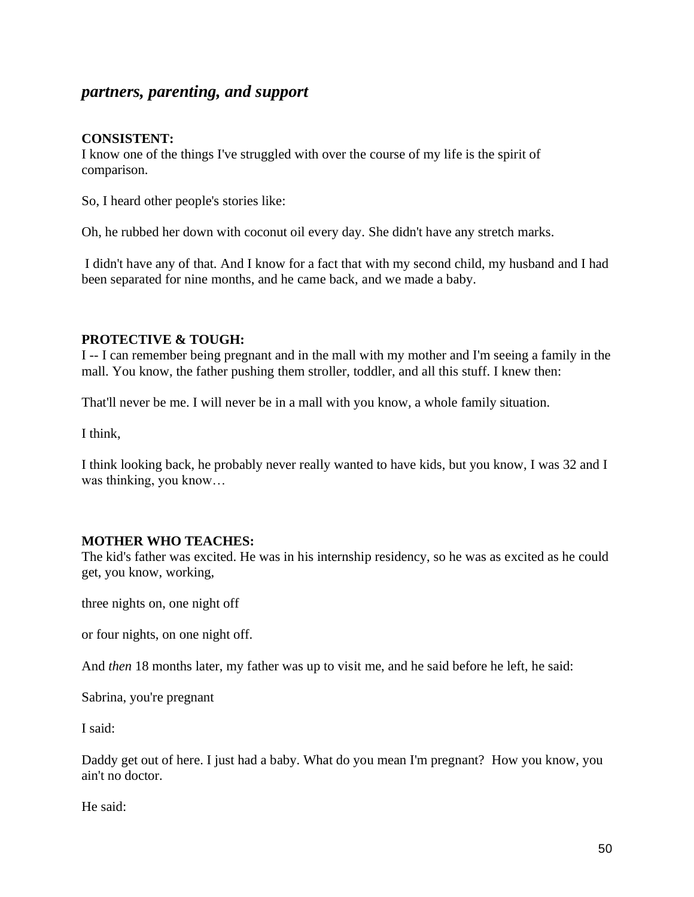## *partners, parenting, and support*

#### **CONSISTENT:**

I know one of the things I've struggled with over the course of my life is the spirit of comparison.

So, I heard other people's stories like:

Oh, he rubbed her down with coconut oil every day. She didn't have any stretch marks.

I didn't have any of that. And I know for a fact that with my second child, my husband and I had been separated for nine months, and he came back, and we made a baby.

#### **PROTECTIVE & TOUGH:**

I -- I can remember being pregnant and in the mall with my mother and I'm seeing a family in the mall. You know, the father pushing them stroller, toddler, and all this stuff. I knew then:

That'll never be me. I will never be in a mall with you know, a whole family situation.

I think,

I think looking back, he probably never really wanted to have kids, but you know, I was 32 and I was thinking, you know…

#### **MOTHER WHO TEACHES:**

The kid's father was excited. He was in his internship residency, so he was as excited as he could get, you know, working,

three nights on, one night off

or four nights, on one night off.

And *then* 18 months later, my father was up to visit me, and he said before he left, he said:

Sabrina, you're pregnant

I said:

Daddy get out of here. I just had a baby. What do you mean I'm pregnant? How you know, you ain't no doctor.

He said: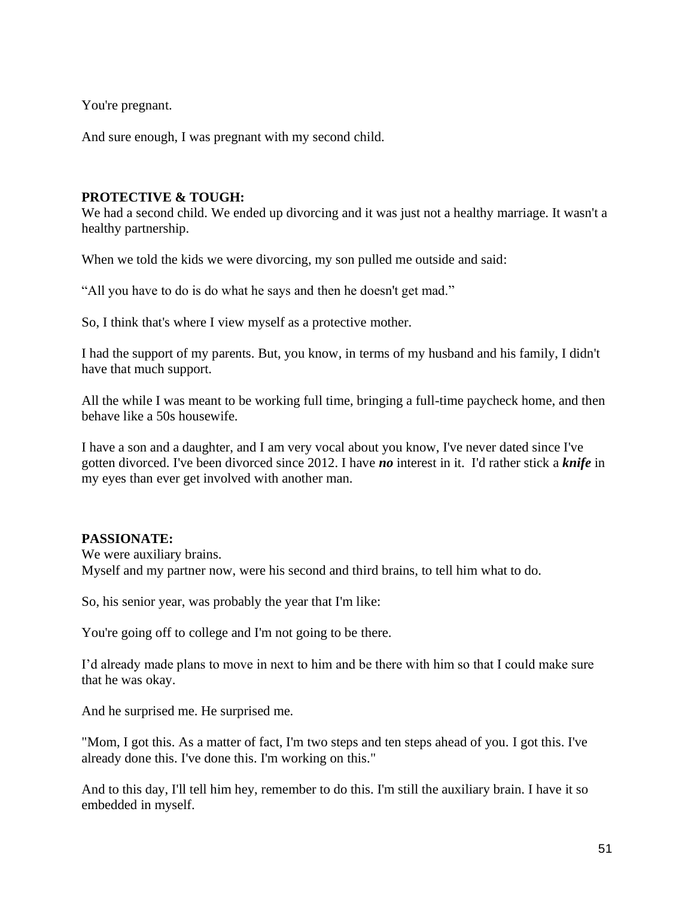You're pregnant.

And sure enough, I was pregnant with my second child.

#### **PROTECTIVE & TOUGH:**

We had a second child. We ended up divorcing and it was just not a healthy marriage. It wasn't a healthy partnership.

When we told the kids we were divorcing, my son pulled me outside and said:

"All you have to do is do what he says and then he doesn't get mad."

So, I think that's where I view myself as a protective mother.

I had the support of my parents. But, you know, in terms of my husband and his family, I didn't have that much support.

All the while I was meant to be working full time, bringing a full-time paycheck home, and then behave like a 50s housewife.

I have a son and a daughter, and I am very vocal about you know, I've never dated since I've gotten divorced. I've been divorced since 2012. I have *no* interest in it. I'd rather stick a *knife* in my eyes than ever get involved with another man.

## **PASSIONATE:**

We were auxiliary brains. Myself and my partner now, were his second and third brains, to tell him what to do.

So, his senior year, was probably the year that I'm like:

You're going off to college and I'm not going to be there.

I'd already made plans to move in next to him and be there with him so that I could make sure that he was okay.

And he surprised me. He surprised me.

"Mom, I got this. As a matter of fact, I'm two steps and ten steps ahead of you. I got this. I've already done this. I've done this. I'm working on this."

And to this day, I'll tell him hey, remember to do this. I'm still the auxiliary brain. I have it so embedded in myself.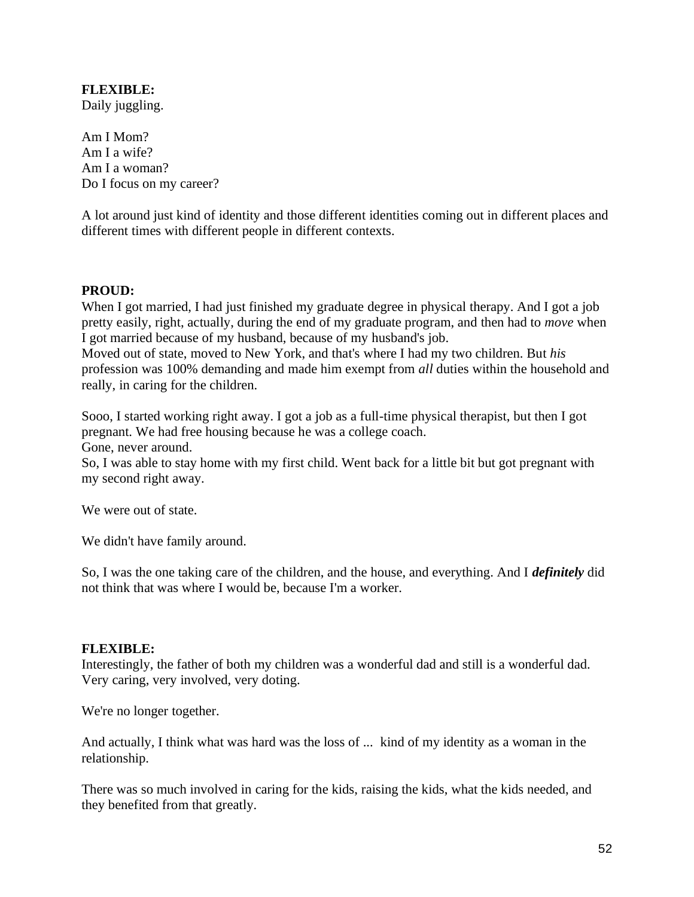## **FLEXIBLE:**

Daily juggling.

Am I Mom? Am I a wife? Am I a woman? Do I focus on my career?

A lot around just kind of identity and those different identities coming out in different places and different times with different people in different contexts.

#### **PROUD:**

When I got married, I had just finished my graduate degree in physical therapy. And I got a job pretty easily, right, actually, during the end of my graduate program, and then had to *move* when I got married because of my husband, because of my husband's job.

Moved out of state, moved to New York, and that's where I had my two children. But *his* profession was 100% demanding and made him exempt from *all* duties within the household and really, in caring for the children.

Sooo, I started working right away. I got a job as a full-time physical therapist, but then I got pregnant. We had free housing because he was a college coach.

Gone, never around.

So, I was able to stay home with my first child. Went back for a little bit but got pregnant with my second right away.

We were out of state.

We didn't have family around.

So, I was the one taking care of the children, and the house, and everything. And I *definitely* did not think that was where I would be, because I'm a worker.

#### **FLEXIBLE:**

Interestingly, the father of both my children was a wonderful dad and still is a wonderful dad. Very caring, very involved, very doting.

We're no longer together.

And actually, I think what was hard was the loss of ... kind of my identity as a woman in the relationship.

There was so much involved in caring for the kids, raising the kids, what the kids needed, and they benefited from that greatly.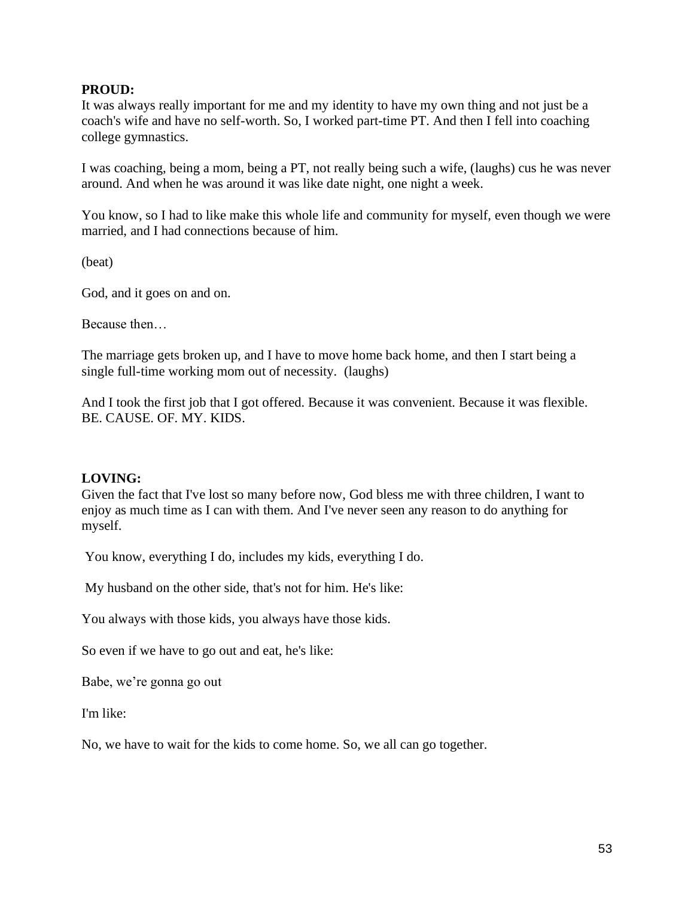#### **PROUD:**

It was always really important for me and my identity to have my own thing and not just be a coach's wife and have no self-worth. So, I worked part-time PT. And then I fell into coaching college gymnastics.

I was coaching, being a mom, being a PT, not really being such a wife, (laughs) cus he was never around. And when he was around it was like date night, one night a week.

You know, so I had to like make this whole life and community for myself, even though we were married, and I had connections because of him.

(beat)

God, and it goes on and on.

Because then…

The marriage gets broken up, and I have to move home back home, and then I start being a single full-time working mom out of necessity. (laughs)

And I took the first job that I got offered. Because it was convenient. Because it was flexible. BE. CAUSE. OF. MY. KIDS.

#### **LOVING:**

Given the fact that I've lost so many before now, God bless me with three children, I want to enjoy as much time as I can with them. And I've never seen any reason to do anything for myself.

You know, everything I do, includes my kids, everything I do.

My husband on the other side, that's not for him. He's like:

You always with those kids, you always have those kids.

So even if we have to go out and eat, he's like:

Babe, we're gonna go out

I'm like:

No, we have to wait for the kids to come home. So, we all can go together.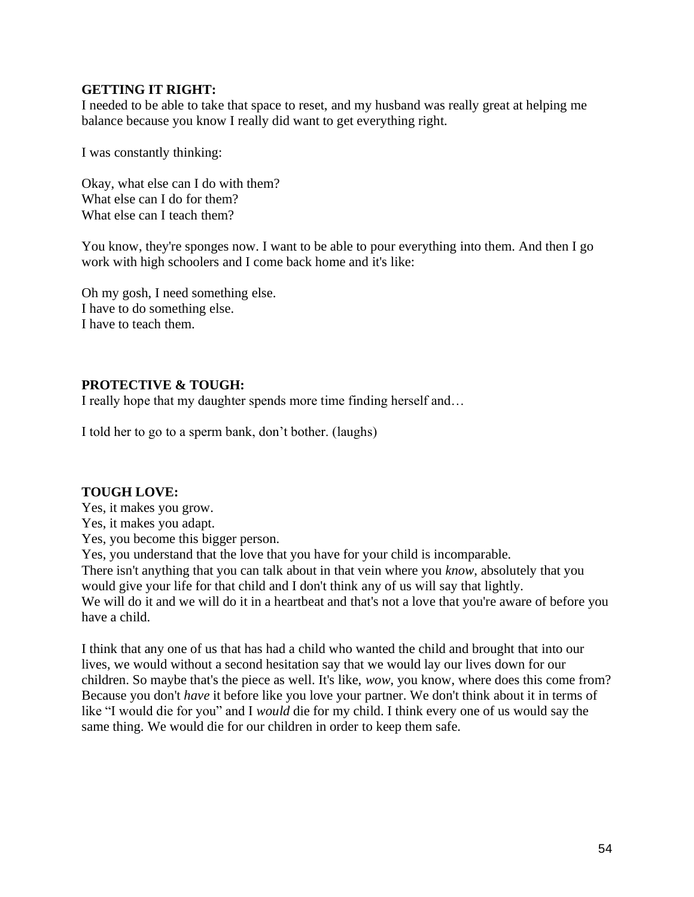#### **GETTING IT RIGHT:**

I needed to be able to take that space to reset, and my husband was really great at helping me balance because you know I really did want to get everything right.

I was constantly thinking:

Okay, what else can I do with them? What else can I do for them? What else can I teach them?

You know, they're sponges now. I want to be able to pour everything into them. And then I go work with high schoolers and I come back home and it's like:

Oh my gosh, I need something else. I have to do something else. I have to teach them.

## **PROTECTIVE & TOUGH:**

I really hope that my daughter spends more time finding herself and…

I told her to go to a sperm bank, don't bother. (laughs)

## **TOUGH LOVE:**

Yes, it makes you grow. Yes, it makes you adapt. Yes, you become this bigger person. Yes, you understand that the love that you have for your child is incomparable. There isn't anything that you can talk about in that vein where you *know*, absolutely that you would give your life for that child and I don't think any of us will say that lightly. We will do it and we will do it in a heartbeat and that's not a love that you're aware of before you have a child.

I think that any one of us that has had a child who wanted the child and brought that into our lives, we would without a second hesitation say that we would lay our lives down for our children. So maybe that's the piece as well. It's like, *wow*, you know, where does this come from? Because you don't *have* it before like you love your partner. We don't think about it in terms of like "I would die for you" and I *would* die for my child. I think every one of us would say the same thing. We would die for our children in order to keep them safe.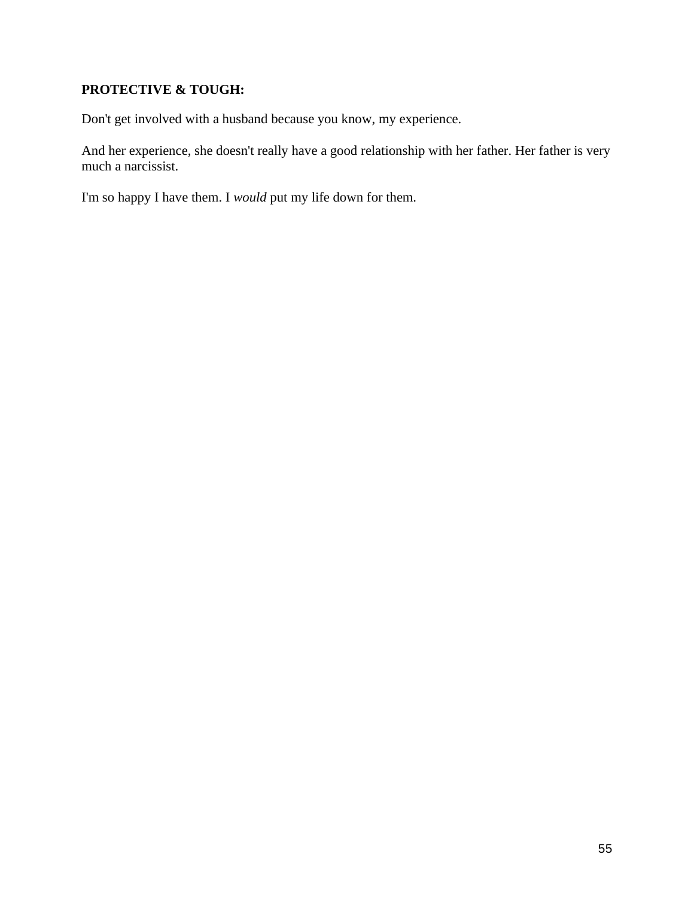## **PROTECTIVE & TOUGH:**

Don't get involved with a husband because you know, my experience.

And her experience, she doesn't really have a good relationship with her father. Her father is very much a narcissist.

I'm so happy I have them. I *would* put my life down for them.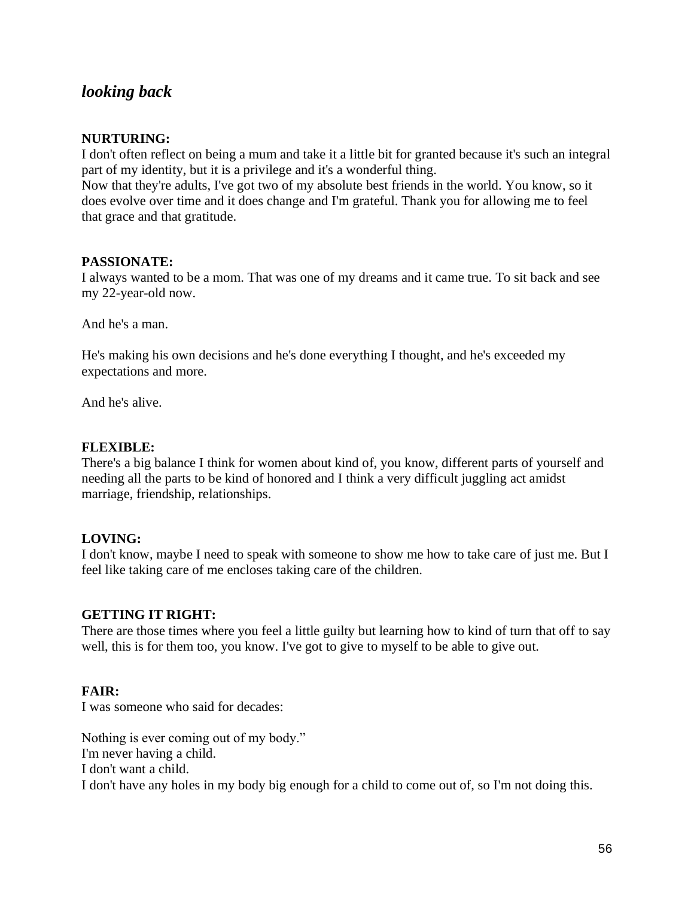## *looking back*

## **NURTURING:**

I don't often reflect on being a mum and take it a little bit for granted because it's such an integral part of my identity, but it is a privilege and it's a wonderful thing.

Now that they're adults, I've got two of my absolute best friends in the world. You know, so it does evolve over time and it does change and I'm grateful. Thank you for allowing me to feel that grace and that gratitude.

## **PASSIONATE:**

I always wanted to be a mom. That was one of my dreams and it came true. To sit back and see my 22-year-old now.

And he's a man.

He's making his own decisions and he's done everything I thought, and he's exceeded my expectations and more.

And he's alive.

#### **FLEXIBLE:**

There's a big balance I think for women about kind of, you know, different parts of yourself and needing all the parts to be kind of honored and I think a very difficult juggling act amidst marriage, friendship, relationships.

## **LOVING:**

I don't know, maybe I need to speak with someone to show me how to take care of just me. But I feel like taking care of me encloses taking care of the children.

## **GETTING IT RIGHT:**

There are those times where you feel a little guilty but learning how to kind of turn that off to say well, this is for them too, you know. I've got to give to myself to be able to give out.

## **FAIR:**

I was someone who said for decades:

Nothing is ever coming out of my body." I'm never having a child. I don't want a child. I don't have any holes in my body big enough for a child to come out of, so I'm not doing this.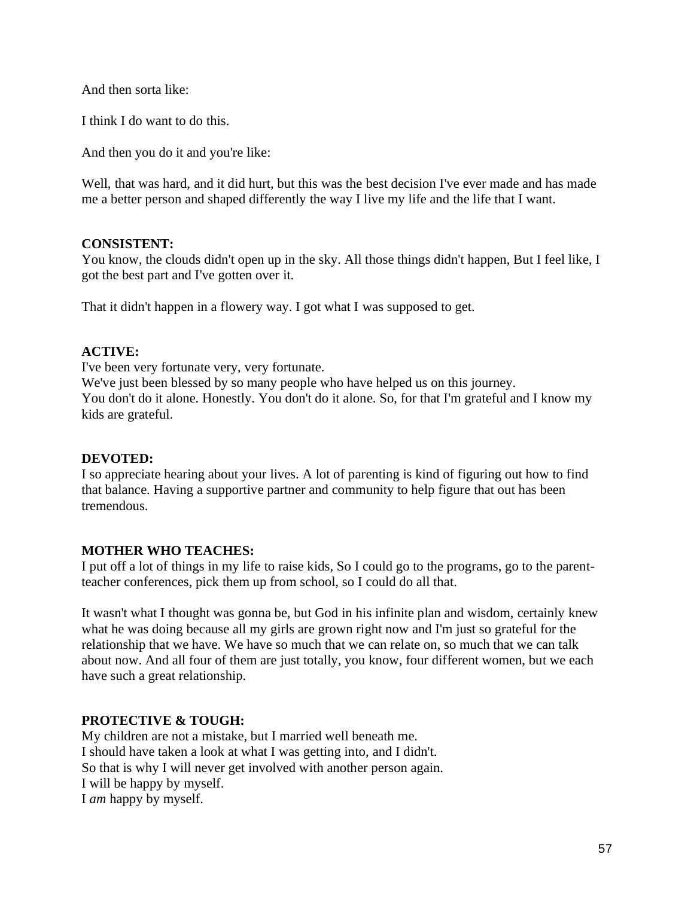And then sorta like:

I think I do want to do this.

And then you do it and you're like:

Well, that was hard, and it did hurt, but this was the best decision I've ever made and has made me a better person and shaped differently the way I live my life and the life that I want.

#### **CONSISTENT:**

You know, the clouds didn't open up in the sky. All those things didn't happen, But I feel like, I got the best part and I've gotten over it.

That it didn't happen in a flowery way. I got what I was supposed to get.

## **ACTIVE:**

I've been very fortunate very, very fortunate.

We've just been blessed by so many people who have helped us on this journey. You don't do it alone. Honestly. You don't do it alone. So, for that I'm grateful and I know my kids are grateful.

#### **DEVOTED:**

I so appreciate hearing about your lives. A lot of parenting is kind of figuring out how to find that balance. Having a supportive partner and community to help figure that out has been tremendous.

## **MOTHER WHO TEACHES:**

I put off a lot of things in my life to raise kids, So I could go to the programs, go to the parentteacher conferences, pick them up from school, so I could do all that.

It wasn't what I thought was gonna be, but God in his infinite plan and wisdom, certainly knew what he was doing because all my girls are grown right now and I'm just so grateful for the relationship that we have. We have so much that we can relate on, so much that we can talk about now. And all four of them are just totally, you know, four different women, but we each have such a great relationship.

## **PROTECTIVE & TOUGH:**

My children are not a mistake, but I married well beneath me. I should have taken a look at what I was getting into, and I didn't. So that is why I will never get involved with another person again. I will be happy by myself. I *am* happy by myself.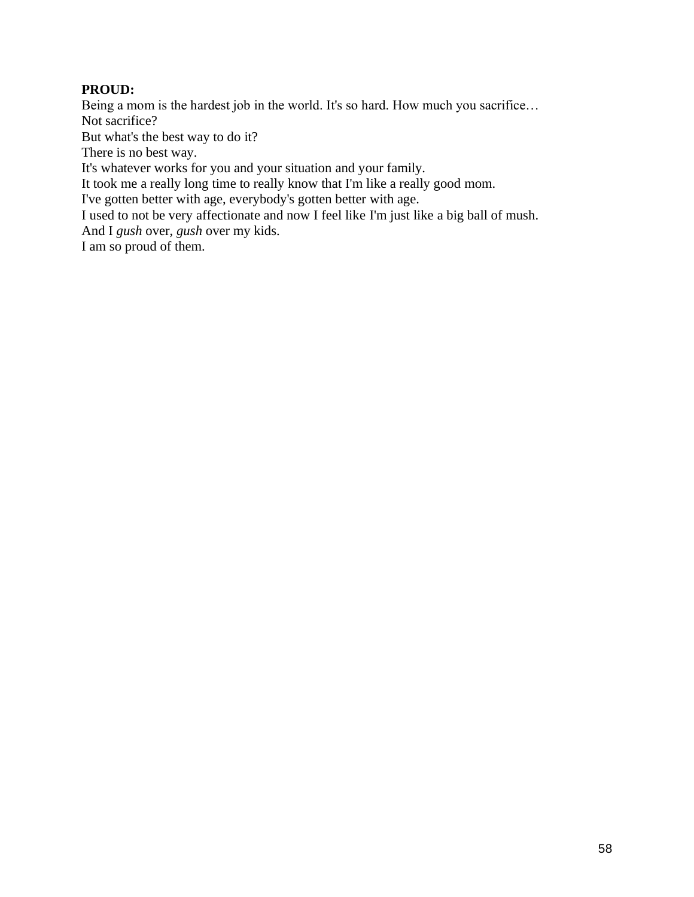## **PROUD:**

Being a mom is the hardest job in the world. It's so hard. How much you sacrifice… Not sacrifice?

But what's the best way to do it?

There is no best way.

It's whatever works for you and your situation and your family.

It took me a really long time to really know that I'm like a really good mom.

I've gotten better with age, everybody's gotten better with age.

I used to not be very affectionate and now I feel like I'm just like a big ball of mush.

And I *gush* over, *gush* over my kids.

I am so proud of them.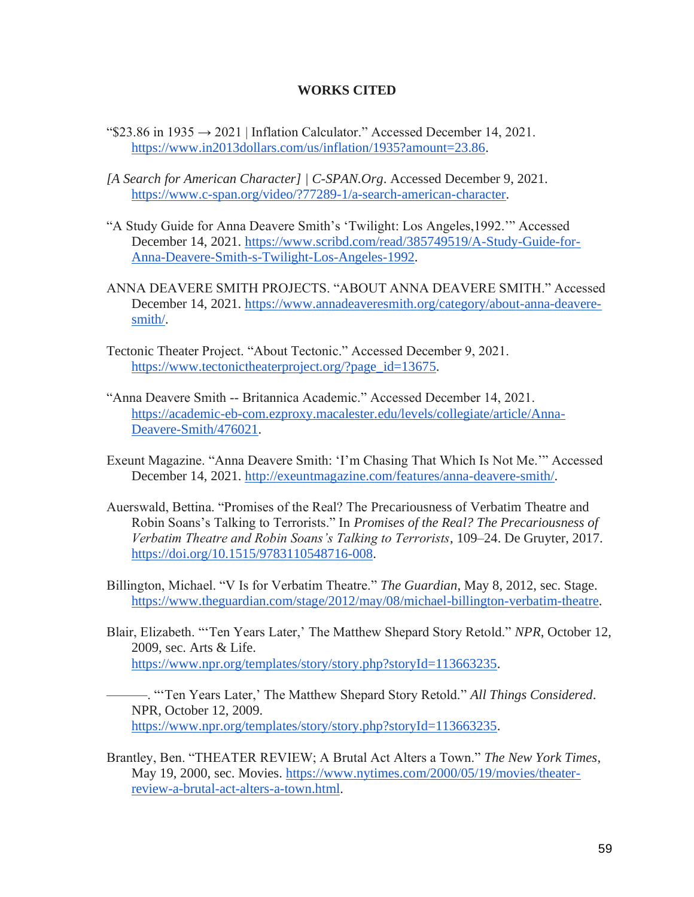#### **WORKS CITED**

- $\text{``$}23.86 \text{ in } 1935 \rightarrow 2021$  $\text{``$}23.86 \text{ in } 1935 \rightarrow 2021$  $\text{``$}23.86 \text{ in } 1935 \rightarrow 2021$  | Inflation Calculator." Accessed December 14, 2021. [https://www.in2013dollars.com/us/inflation/1935?amount=23.86.](https://www.in2013dollars.com/us/inflation/1935?amount=23.86)
- *[A Search for American Character] | C-SPAN.Org*. Accessed December 9, 2021[.](https://www.c-span.org/video/?77289-1/a-search-american-character) [https://www.c-span.org/video/?77289-1/a-search-american-character.](https://www.c-span.org/video/?77289-1/a-search-american-character)
- "A Study Guide for Anna Deavere Smith's 'Twilight: Los Angeles,1992.'" Accessed December 14, 2021. [https://www.scribd.com/read/385749519/A-Study-Guide-for-](https://www.scribd.com/read/385749519/A-Study-Guide-for-Anna-Deavere-Smith-s-Twilight-Los-Angeles-1992)[Anna-Deavere-Smith-s-Twilight-Los-Angeles-1992.](https://www.scribd.com/read/385749519/A-Study-Guide-for-Anna-Deavere-Smith-s-Twilight-Los-Angeles-1992)
- ANNA DEAVERE SMITH PROJECTS. "ABOUT ANNA DEAVERE SMITH." Accessed December 14, 2021. [https://www.annadeaveresmith.org/category/about-anna-deavere](https://www.annadeaveresmith.org/category/about-anna-deavere-smith/)[smith/.](https://www.annadeaveresmith.org/category/about-anna-deavere-smith/)
- Tectonic Theater Project. "About Tectonic." Accessed December 9, 2021[.](https://www.tectonictheaterproject.org/?page_id=13675) [https://www.tectonictheaterproject.org/?page\\_id=13675.](https://www.tectonictheaterproject.org/?page_id=13675)
- "Anna Deavere Smith -- Britannica Academic." Accessed December 14, 2021[.](https://academic-eb-com.ezproxy.macalester.edu/levels/collegiate/article/Anna-Deavere-Smith/476021) [https://academic-eb-com.ezproxy.macalester.edu/levels/collegiate/article/Anna-](https://academic-eb-com.ezproxy.macalester.edu/levels/collegiate/article/Anna-Deavere-Smith/476021)[Deavere-Smith/476021.](https://academic-eb-com.ezproxy.macalester.edu/levels/collegiate/article/Anna-Deavere-Smith/476021)
- Exeunt Magazine. "Anna Deavere Smith: 'I'm Chasing That Which Is Not Me.'" Accessed December 14, 2021. [http://exeuntmagazine.com/features/anna-deavere-smith/.](http://exeuntmagazine.com/features/anna-deavere-smith/)
- Auerswald, Bettina. "Promises of the Real? The Precariousness of Verbatim Theatre and Robin Soans's Talking to Terrorists." In *Promises of the Real? The Precariousness of Verbatim Theatre and Robin Soans's Talking to Terrorists*, 109–24. De Gruyter, 2017[.](https://doi.org/10.1515/9783110548716-008) [https://doi.org/10.1515/9783110548716-008.](https://doi.org/10.1515/9783110548716-008)
- Billington, Michael. "V Is for Verbatim Theatre." *The Guardian*, May 8, 2012, sec. Stage[.](https://www.theguardian.com/stage/2012/may/08/michael-billington-verbatim-theatre) [https://www.theguardian.com/stage/2012/may/08/michael-billington-verbatim-theatre.](https://www.theguardian.com/stage/2012/may/08/michael-billington-verbatim-theatre)
- Blair, Elizabeth. "'Ten Years Later,' The Matthew Shepard Story Retold." *NPR*, October 12, 2009, sec. Arts & Life[.](https://www.npr.org/templates/story/story.php?storyId=113663235) [https://www.npr.org/templates/story/story.php?storyId=113663235.](https://www.npr.org/templates/story/story.php?storyId=113663235)
	- ———. "'Ten Years Later,' The Matthew Shepard Story Retold." *All Things Considered*. NPR, October 12, 2009[.](https://www.npr.org/templates/story/story.php?storyId=113663235) [https://www.npr.org/templates/story/story.php?storyId=113663235.](https://www.npr.org/templates/story/story.php?storyId=113663235)
- Brantley, Ben. "THEATER REVIEW; A Brutal Act Alters a Town." *The New York Times*, May 19, 2000, sec. Movies. [https://www.nytimes.com/2000/05/19/movies/theater](https://www.nytimes.com/2000/05/19/movies/theater-review-a-brutal-act-alters-a-town.html)[review-a-brutal-act-alters-a-town.html.](https://www.nytimes.com/2000/05/19/movies/theater-review-a-brutal-act-alters-a-town.html)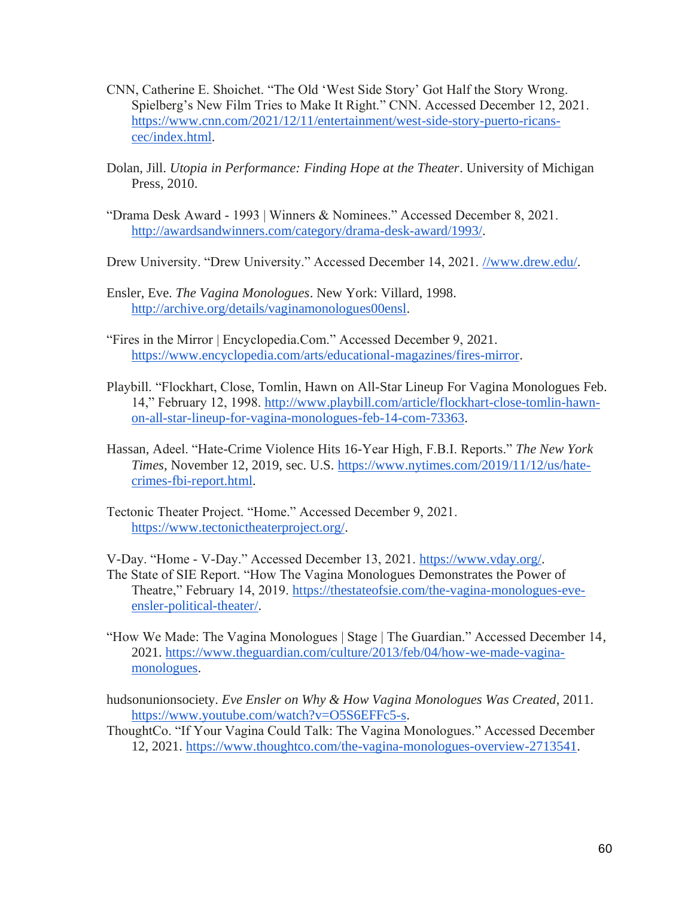- CNN, Catherine E. Shoichet. "The Old 'West Side Story' Got Half the Story Wrong. Spielberg's New Film Tries to Make It Right." CNN. Accessed December 12, 2021[.](https://www.cnn.com/2021/12/11/entertainment/west-side-story-puerto-ricans-cec/index.html) [https://www.cnn.com/2021/12/11/entertainment/west-side-story-puerto-ricans](https://www.cnn.com/2021/12/11/entertainment/west-side-story-puerto-ricans-cec/index.html)[cec/index.html.](https://www.cnn.com/2021/12/11/entertainment/west-side-story-puerto-ricans-cec/index.html)
- Dolan, Jill. *Utopia in Performance: Finding Hope at the Theater*. University of Michigan Press, 2010.
- "Drama Desk Award 1993 | Winners & Nominees." Accessed December 8, 2021[.](http://awardsandwinners.com/category/drama-desk-award/1993/) [http://awardsandwinners.com/category/drama-desk-award/1993/.](http://awardsandwinners.com/category/drama-desk-award/1993/)
- Drew University. "Drew University." Accessed December 14, 2021. [//www.drew.edu/.](https://doi.org/www.drew.edu/)
- Ensler, Eve. *The Vagina Monologues*. New York: Villard, 1998[.](http://archive.org/details/vaginamonologues00ensl) [http://archive.org/details/vaginamonologues00ensl.](http://archive.org/details/vaginamonologues00ensl)
- "Fires in the Mirror | Encyclopedia.Com." Accessed December 9, 2021[.](https://www.encyclopedia.com/arts/educational-magazines/fires-mirror) [https://www.encyclopedia.com/arts/educational-magazines/fires-mirror.](https://www.encyclopedia.com/arts/educational-magazines/fires-mirror)
- Playbill. "Flockhart, Close, Tomlin, Hawn on All-Star Lineup For Vagina Monologues Feb. 14," February 12, 1998[.](http://www.playbill.com/article/flockhart-close-tomlin-hawn-on-all-star-lineup-for-vagina-monologues-feb-14-com-73363) [http://www.playbill.com/article/flockhart-close-tomlin-hawn](http://www.playbill.com/article/flockhart-close-tomlin-hawn-on-all-star-lineup-for-vagina-monologues-feb-14-com-73363)[on-all-star-lineup-for-vagina-monologues-feb-14-com-73363.](http://www.playbill.com/article/flockhart-close-tomlin-hawn-on-all-star-lineup-for-vagina-monologues-feb-14-com-73363)
- Hassan, Adeel. "Hate-Crime Violence Hits 16-Year High, F.B.I. Reports." *The New York Times*, November 12, 2019, sec. U.S[.](https://www.nytimes.com/2019/11/12/us/hate-crimes-fbi-report.html) [https://www.nytimes.com/2019/11/12/us/hate](https://www.nytimes.com/2019/11/12/us/hate-crimes-fbi-report.html)[crimes-fbi-report.html.](https://www.nytimes.com/2019/11/12/us/hate-crimes-fbi-report.html)
- Tectonic Theater Project. "Home." Accessed December 9, 2021[.](https://www.tectonictheaterproject.org/) [https://www.tectonictheaterproject.org/.](https://www.tectonictheaterproject.org/)

V-Day[.](https://www.vday.org/) "Home - V-Day." Accessed December 13, 2021. [https://www.vday.org/.](https://www.vday.org/)

The State of SIE Report. "How The Vagina Monologues Demonstrates the Power of Theatre," February 14, 2019. [https://thestateofsie.com/the-vagina-monologues-eve](https://thestateofsie.com/the-vagina-monologues-eve-ensler-political-theater/)[ensler-political-theater/.](https://thestateofsie.com/the-vagina-monologues-eve-ensler-political-theater/)

- "How We Made: The Vagina Monologues | Stage | The Guardian." Accessed December 14, 2021[.](https://www.theguardian.com/culture/2013/feb/04/how-we-made-vagina-monologues) [https://www.theguardian.com/culture/2013/feb/04/how-we-made-vagina](https://www.theguardian.com/culture/2013/feb/04/how-we-made-vagina-monologues)[monologues.](https://www.theguardian.com/culture/2013/feb/04/how-we-made-vagina-monologues)
- hudsonunionsociety. *Eve Ensler on Why & How Vagina Monologues Was Created*, 2011[.](https://www.youtube.com/watch?v=O5S6EFFc5-s) [https://www.youtube.com/watch?v=O5S6EFFc5-s.](https://www.youtube.com/watch?v=O5S6EFFc5-s)
- ThoughtCo. "If Your Vagina Could Talk: The Vagina Monologues." Accessed December 12, 2021[.](https://www.thoughtco.com/the-vagina-monologues-overview-2713541) [https://www.thoughtco.com/the-vagina-monologues-overview-2713541.](https://www.thoughtco.com/the-vagina-monologues-overview-2713541)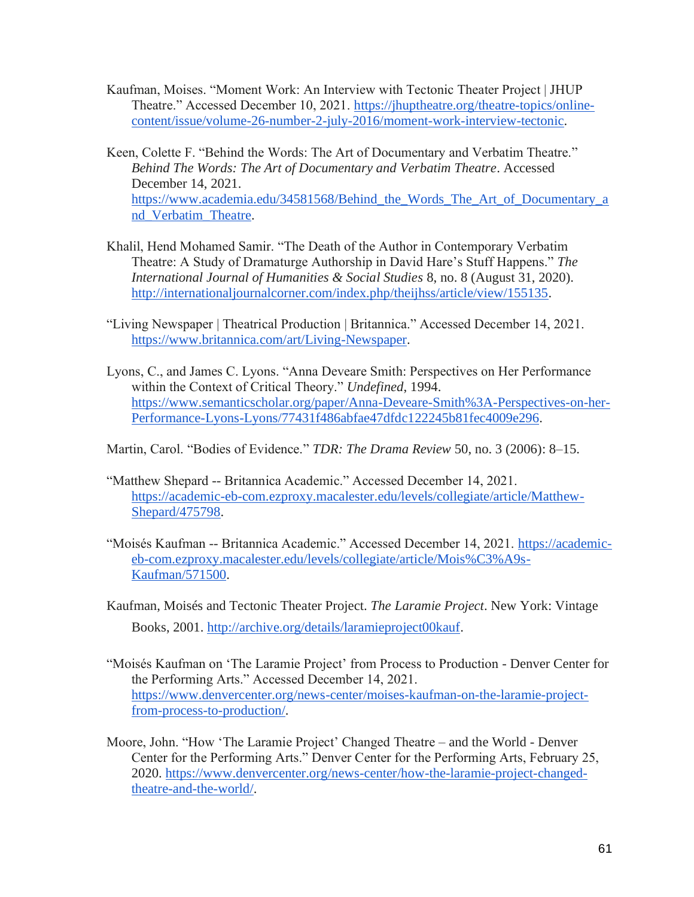- Kaufman, Moises. "Moment Work: An Interview with Tectonic Theater Project | JHUP Theatre." Accessed December 10, 2021. [https://jhuptheatre.org/theatre-topics/online](https://jhuptheatre.org/theatre-topics/online-content/issue/volume-26-number-2-july-2016/moment-work-interview-tectonic)[content/issue/volume-26-number-2-july-2016/moment-work-interview-tectonic.](https://jhuptheatre.org/theatre-topics/online-content/issue/volume-26-number-2-july-2016/moment-work-interview-tectonic)
- Keen, Colette F. "Behind the Words: The Art of Documentary and Verbatim Theatre." *Behind The Words: The Art of Documentary and Verbatim Theatre*. Accessed December 14, 2021[.](https://www.academia.edu/34581568/Behind_the_Words_The_Art_of_Documentary_and_Verbatim_Theatre) [https://www.academia.edu/34581568/Behind\\_the\\_Words\\_The\\_Art\\_of\\_Documentary\\_a](https://www.academia.edu/34581568/Behind_the_Words_The_Art_of_Documentary_and_Verbatim_Theatre) [nd\\_Verbatim\\_Theatre.](https://www.academia.edu/34581568/Behind_the_Words_The_Art_of_Documentary_and_Verbatim_Theatre)
- Khalil, Hend Mohamed Samir. "The Death of the Author in Contemporary Verbatim Theatre: A Study of Dramaturge Authorship in David Hare's Stuff Happens." *The International Journal of Humanities & Social Studies* 8, no. 8 (August 31, 2020)[.](http://internationaljournalcorner.com/index.php/theijhss/article/view/155135) [http://internationaljournalcorner.com/index.php/theijhss/article/view/155135.](http://internationaljournalcorner.com/index.php/theijhss/article/view/155135)
- "Living Newspaper | Theatrical Production | Britannica." Accessed December 14, 2021[.](https://www.britannica.com/art/Living-Newspaper) [https://www.britannica.com/art/Living-Newspaper.](https://www.britannica.com/art/Living-Newspaper)
- Lyons, C., and James C. Lyons. "Anna Deveare Smith: Perspectives on Her Performance within the Context of Critical Theory." *Undefined*, 1994[.](https://www.semanticscholar.org/paper/Anna-Deveare-Smith%3A-Perspectives-on-her-Performance-Lyons-Lyons/77431f486abfae47dfdc122245b81fec4009e296) [https://www.semanticscholar.org/paper/Anna-Deveare-Smith%3A-Perspectives-on-her-](https://www.semanticscholar.org/paper/Anna-Deveare-Smith%3A-Perspectives-on-her-Performance-Lyons-Lyons/77431f486abfae47dfdc122245b81fec4009e296)[Performance-Lyons-Lyons/77431f486abfae47dfdc122245b81fec4009e296.](https://www.semanticscholar.org/paper/Anna-Deveare-Smith%3A-Perspectives-on-her-Performance-Lyons-Lyons/77431f486abfae47dfdc122245b81fec4009e296)
- Martin, Carol. "Bodies of Evidence." *TDR: The Drama Review* 50, no. 3 (2006): 8–15.
- "Matthew Shepard -- Britannica Academic." Accessed December 14, 2021[.](https://academic-eb-com.ezproxy.macalester.edu/levels/collegiate/article/Matthew-Shepard/475798) [https://academic-eb-com.ezproxy.macalester.edu/levels/collegiate/article/Matthew-](https://academic-eb-com.ezproxy.macalester.edu/levels/collegiate/article/Matthew-Shepard/475798)[Shepard/475798.](https://academic-eb-com.ezproxy.macalester.edu/levels/collegiate/article/Matthew-Shepard/475798)
- "Moisés Kaufman -- Britannica Academic." Accessed December 14, 2021[.](https://academic-eb-com.ezproxy.macalester.edu/levels/collegiate/article/Mois%C3%A9s-Kaufman/571500) [https://academic](https://academic-eb-com.ezproxy.macalester.edu/levels/collegiate/article/Mois%C3%A9s-Kaufman/571500)[eb-com.ezproxy.macalester.edu/levels/collegiate/article/Mois%C3%A9s-](https://academic-eb-com.ezproxy.macalester.edu/levels/collegiate/article/Mois%C3%A9s-Kaufman/571500)[Kaufman/571500.](https://academic-eb-com.ezproxy.macalester.edu/levels/collegiate/article/Mois%C3%A9s-Kaufman/571500)
- Kaufman, Moisés and Tectonic Theater Project. *The Laramie Project*. New York: Vintage Books, 2001[.](http://archive.org/details/laramieproject00kauf) [http://archive.org/details/laramieproject00kauf.](http://archive.org/details/laramieproject00kauf)
- "Moisés Kaufman on 'The Laramie Project' from Process to Production Denver Center for the Performing Arts." Accessed December 14, 2021[.](https://www.denvercenter.org/news-center/moises-kaufman-on-the-laramie-project-from-process-to-production/) [https://www.denvercenter.org/news-center/moises-kaufman-on-the-laramie-project](https://www.denvercenter.org/news-center/moises-kaufman-on-the-laramie-project-from-process-to-production/)[from-process-to-production/.](https://www.denvercenter.org/news-center/moises-kaufman-on-the-laramie-project-from-process-to-production/)
- Moore, John. "How 'The Laramie Project' Changed Theatre and the World Denver Center for the Performing Arts." Denver Center for the Performing Arts, February 25, 2020[.](https://www.denvercenter.org/news-center/how-the-laramie-project-changed-theatre-and-the-world/) [https://www.denvercenter.org/news-center/how-the-laramie-project-changed](https://www.denvercenter.org/news-center/how-the-laramie-project-changed-theatre-and-the-world/)[theatre-and-the-world/.](https://www.denvercenter.org/news-center/how-the-laramie-project-changed-theatre-and-the-world/)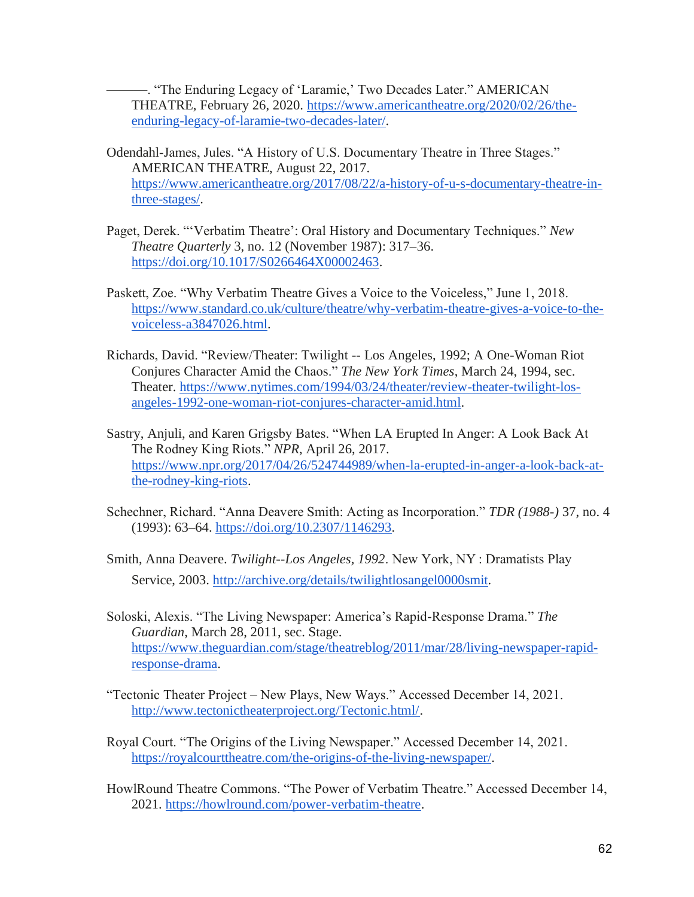———. "The Enduring Legacy of 'Laramie,' Two Decades Later." AMERICAN THEATRE, February 26, 2020. [https://www.americantheatre.org/2020/02/26/the](https://www.americantheatre.org/2020/02/26/the-enduring-legacy-of-laramie-two-decades-later/)[enduring-legacy-of-laramie-two-decades-later/.](https://www.americantheatre.org/2020/02/26/the-enduring-legacy-of-laramie-two-decades-later/)

- Odendahl-James, Jules. "A History of U.S. Documentary Theatre in Three Stages." AMERICAN THEATRE, August 22, 2017[.](https://www.americantheatre.org/2017/08/22/a-history-of-u-s-documentary-theatre-in-three-stages/) [https://www.americantheatre.org/2017/08/22/a-history-of-u-s-documentary-theatre-in](https://www.americantheatre.org/2017/08/22/a-history-of-u-s-documentary-theatre-in-three-stages/)[three-stages/.](https://www.americantheatre.org/2017/08/22/a-history-of-u-s-documentary-theatre-in-three-stages/)
- Paget, Derek. "'Verbatim Theatre': Oral History and Documentary Techniques." *New Theatre Quarterly* 3, no. 12 (November 1987): 317–36[.](https://doi.org/10.1017/S0266464X00002463) [https://doi.org/10.1017/S0266464X00002463.](https://doi.org/10.1017/S0266464X00002463)
- Paskett, Zoe. "Why Verbatim Theatre Gives a Voice to the Voiceless," June 1, 2018[.](https://www.standard.co.uk/culture/theatre/why-verbatim-theatre-gives-a-voice-to-the-voiceless-a3847026.html) [https://www.standard.co.uk/culture/theatre/why-verbatim-theatre-gives-a-voice-to-the](https://www.standard.co.uk/culture/theatre/why-verbatim-theatre-gives-a-voice-to-the-voiceless-a3847026.html)[voiceless-a3847026.html.](https://www.standard.co.uk/culture/theatre/why-verbatim-theatre-gives-a-voice-to-the-voiceless-a3847026.html)
- Richards, David. "Review/Theater: Twilight -- Los Angeles, 1992; A One-Woman Riot Conjures Character Amid the Chaos." *The New York Times*, March 24, 1994, sec. Theater[.](https://www.nytimes.com/1994/03/24/theater/review-theater-twilight-los-angeles-1992-one-woman-riot-conjures-character-amid.html) [https://www.nytimes.com/1994/03/24/theater/review-theater-twilight-los](https://www.nytimes.com/1994/03/24/theater/review-theater-twilight-los-angeles-1992-one-woman-riot-conjures-character-amid.html)[angeles-1992-one-woman-riot-conjures-character-amid.html.](https://www.nytimes.com/1994/03/24/theater/review-theater-twilight-los-angeles-1992-one-woman-riot-conjures-character-amid.html)
- Sastry, Anjuli, and Karen Grigsby Bates. "When LA Erupted In Anger: A Look Back At The Rodney King Riots." *NPR*, April 26, 2017[.](https://www.npr.org/2017/04/26/524744989/when-la-erupted-in-anger-a-look-back-at-the-rodney-king-riots) [https://www.npr.org/2017/04/26/524744989/when-la-erupted-in-anger-a-look-back-at](https://www.npr.org/2017/04/26/524744989/when-la-erupted-in-anger-a-look-back-at-the-rodney-king-riots)[the-rodney-king-riots.](https://www.npr.org/2017/04/26/524744989/when-la-erupted-in-anger-a-look-back-at-the-rodney-king-riots)
- Schechner, Richard. "Anna Deavere Smith: Acting as Incorporation." *TDR (1988-)* 37, no. 4 (1993): 63–64. [https://doi.org/10.2307/1146293.](https://doi.org/10.2307/1146293)
- Smith, Anna Deavere. *Twilight--Los Angeles, 1992*. New York, NY : Dramatists Play Service, 2003. [http://archive.org/details/twilightlosangel0000smit.](http://archive.org/details/twilightlosangel0000smit)
- Soloski, Alexis. "The Living Newspaper: America's Rapid-Response Drama." *The Guardian*, March 28, 2011, sec. Stage[.](https://www.theguardian.com/stage/theatreblog/2011/mar/28/living-newspaper-rapid-response-drama) [https://www.theguardian.com/stage/theatreblog/2011/mar/28/living-newspaper-rapid](https://www.theguardian.com/stage/theatreblog/2011/mar/28/living-newspaper-rapid-response-drama)[response-drama.](https://www.theguardian.com/stage/theatreblog/2011/mar/28/living-newspaper-rapid-response-drama)
- "Tectonic Theater Project New Plays, New Ways." Accessed December 14, 2021[.](http://www.tectonictheaterproject.org/Tectonic.html/) [http://www.tectonictheaterproject.org/Tectonic.html/.](http://www.tectonictheaterproject.org/Tectonic.html/)
- Royal Court. "The Origins of the Living Newspaper." Accessed December 14, 2021[.](https://royalcourttheatre.com/the-origins-of-the-living-newspaper/) [https://royalcourttheatre.com/the-origins-of-the-living-newspaper/.](https://royalcourttheatre.com/the-origins-of-the-living-newspaper/)
- HowlRound Theatre Commons. "The Power of Verbatim Theatre." Accessed December 14, 2021[.](https://howlround.com/power-verbatim-theatre) [https://howlround.com/power-verbatim-theatre.](https://howlround.com/power-verbatim-theatre)